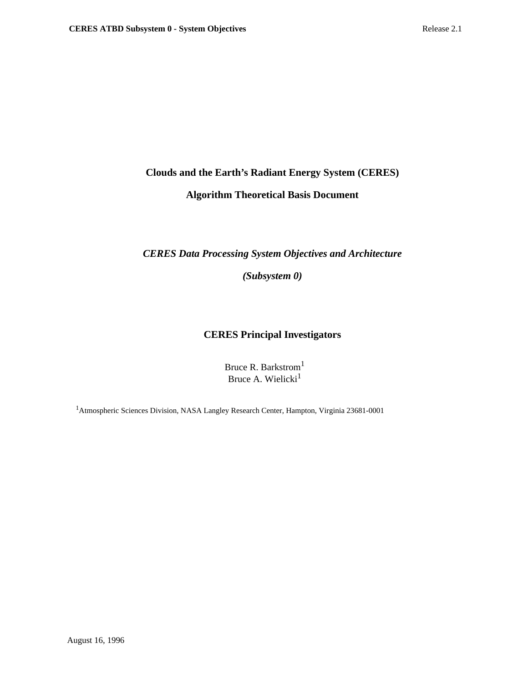# **Clouds and the Earth's Radiant Energy System (CERES)**

# **Algorithm Theoretical Basis Document**

# *CERES Data Processing System Objectives and Architecture*

*(Subsystem 0)*

# **CERES Principal Investigators**

Bruce R. Barkstrom<sup>1</sup> Bruce A. Wielicki<sup>1</sup>

1Atmospheric Sciences Division, NASA Langley Research Center, Hampton, Virginia 23681-0001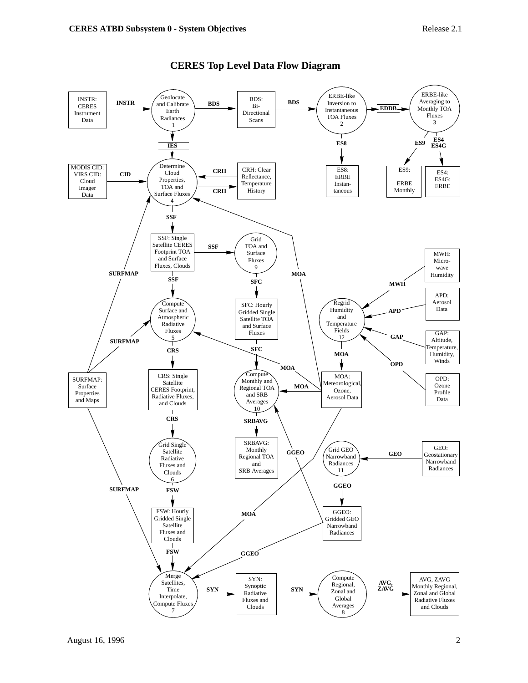

# **CERES Top Level Data Flow Diagram**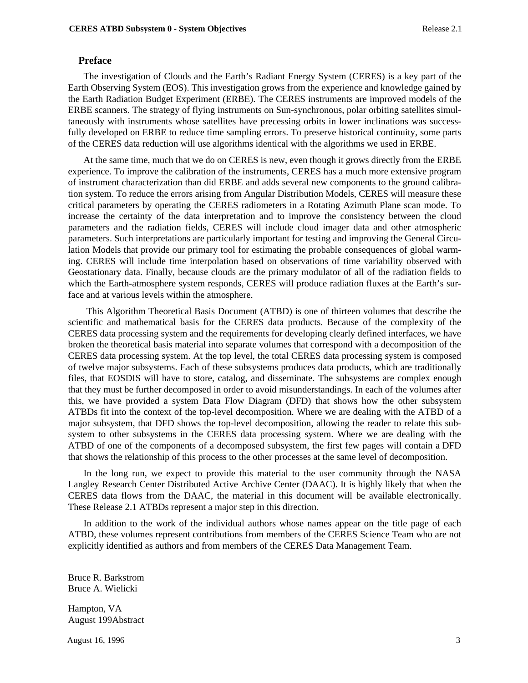## **Preface**

The investigation of Clouds and the Earth's Radiant Energy System (CERES) is a key part of the Earth Observing System (EOS). This investigation grows from the experience and knowledge gained by the Earth Radiation Budget Experiment (ERBE). The CERES instruments are improved models of the ERBE scanners. The strategy of flying instruments on Sun-synchronous, polar orbiting satellites simultaneously with instruments whose satellites have precessing orbits in lower inclinations was successfully developed on ERBE to reduce time sampling errors. To preserve historical continuity, some parts of the CERES data reduction will use algorithms identical with the algorithms we used in ERBE.

At the same time, much that we do on CERES is new, even though it grows directly from the ERBE experience. To improve the calibration of the instruments, CERES has a much more extensive program of instrument characterization than did ERBE and adds several new components to the ground calibration system. To reduce the errors arising from Angular Distribution Models, CERES will measure these critical parameters by operating the CERES radiometers in a Rotating Azimuth Plane scan mode. To increase the certainty of the data interpretation and to improve the consistency between the cloud parameters and the radiation fields, CERES will include cloud imager data and other atmospheric parameters. Such interpretations are particularly important for testing and improving the General Circulation Models that provide our primary tool for estimating the probable consequences of global warming. CERES will include time interpolation based on observations of time variability observed with Geostationary data. Finally, because clouds are the primary modulator of all of the radiation fields to which the Earth-atmosphere system responds, CERES will produce radiation fluxes at the Earth's surface and at various levels within the atmosphere.

 This Algorithm Theoretical Basis Document (ATBD) is one of thirteen volumes that describe the scientific and mathematical basis for the CERES data products. Because of the complexity of the CERES data processing system and the requirements for developing clearly defined interfaces, we have broken the theoretical basis material into separate volumes that correspond with a decomposition of the CERES data processing system. At the top level, the total CERES data processing system is composed of twelve major subsystems. Each of these subsystems produces data products, which are traditionally files, that EOSDIS will have to store, catalog, and disseminate. The subsystems are complex enough that they must be further decomposed in order to avoid misunderstandings. In each of the volumes after this, we have provided a system Data Flow Diagram (DFD) that shows how the other subsystem ATBDs fit into the context of the top-level decomposition. Where we are dealing with the ATBD of a major subsystem, that DFD shows the top-level decomposition, allowing the reader to relate this subsystem to other subsystems in the CERES data processing system. Where we are dealing with the ATBD of one of the components of a decomposed subsystem, the first few pages will contain a DFD that shows the relationship of this process to the other processes at the same level of decomposition.

In the long run, we expect to provide this material to the user community through the NASA Langley Research Center Distributed Active Archive Center (DAAC). It is highly likely that when the CERES data flows from the DAAC, the material in this document will be available electronically. These Release 2.1 ATBDs represent a major step in this direction.

In addition to the work of the individual authors whose names appear on the title page of each ATBD, these volumes represent contributions from members of the CERES Science Team who are not explicitly identified as authors and from members of the CERES Data Management Team.

Bruce R. Barkstrom Bruce A. Wielicki

Hampton, VA August 199Abstract

August 16, 1996 3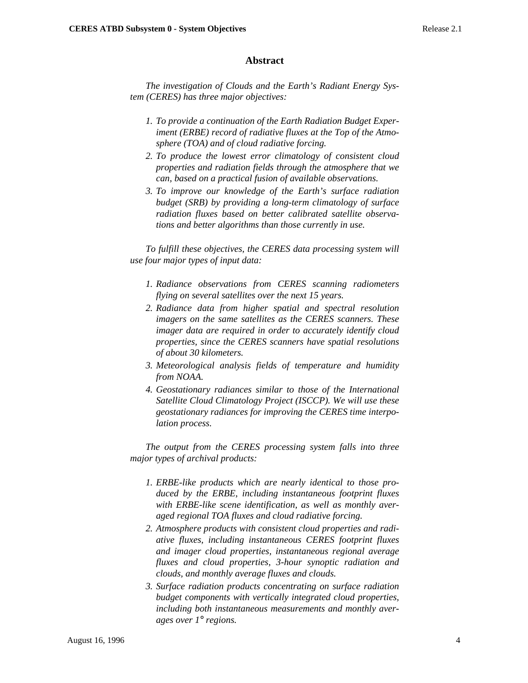## **Abstract**

*The investigation of Clouds and the Earth's Radiant Energy System (CERES) has three major objectives:*

- *1. To provide a continuation of the Earth Radiation Budget Experiment (ERBE) record of radiative fluxes at the Top of the Atmosphere (TOA) and of cloud radiative forcing.*
- *2. To produce the lowest error climatology of consistent cloud properties and radiation fields through the atmosphere that we can, based on a practical fusion of available observations.*
- *3. To improve our knowledge of the Earth's surface radiation budget (SRB) by providing a long-term climatology of surface radiation fluxes based on better calibrated satellite observations and better algorithms than those currently in use.*

*To fulfill these objectives, the CERES data processing system will use four major types of input data:*

- *1. Radiance observations from CERES scanning radiometers flying on several satellites over the next 15 years.*
- *2. Radiance data from higher spatial and spectral resolution imagers on the same satellites as the CERES scanners. These imager data are required in order to accurately identify cloud properties, since the CERES scanners have spatial resolutions of about 30 kilometers.*
- *3. Meteorological analysis fields of temperature and humidity from NOAA.*
- *4. Geostationary radiances similar to those of the International Satellite Cloud Climatology Project (ISCCP). We will use these geostationary radiances for improving the CERES time interpolation process.*

*The output from the CERES processing system falls into three major types of archival products:*

- *1. ERBE-like products which are nearly identical to those produced by the ERBE, including instantaneous footprint fluxes with ERBE-like scene identification, as well as monthly averaged regional TOA fluxes and cloud radiative forcing.*
- *2. Atmosphere products with consistent cloud properties and radiative fluxes, including instantaneous CERES footprint fluxes and imager cloud properties, instantaneous regional average fluxes and cloud properties, 3-hour synoptic radiation and clouds, and monthly average fluxes and clouds.*
- *3. Surface radiation products concentrating on surface radiation budget components with vertically integrated cloud properties, including both instantaneous measurements and monthly averages over 1*° *regions.*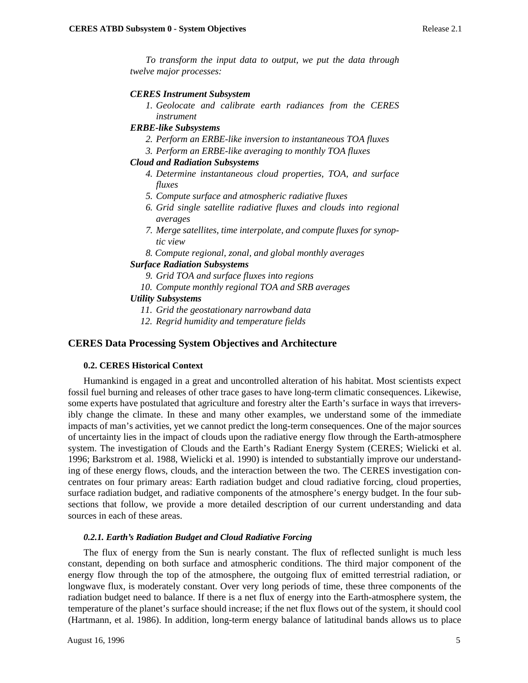*To transform the input data to output, we put the data through twelve major processes:*

### *CERES Instrument Subsystem*

*1. Geolocate and calibrate earth radiances from the CERES instrument*

## *ERBE-like Subsystems*

- *2. Perform an ERBE-like inversion to instantaneous TOA fluxes*
- *3. Perform an ERBE-like averaging to monthly TOA fluxes*

## *Cloud and Radiation Subsystems*

- *4. Determine instantaneous cloud properties, TOA, and surface fluxes*
- *5. Compute surface and atmospheric radiative fluxes*
- *6. Grid single satellite radiative fluxes and clouds into regional averages*
- *7. Merge satellites, time interpolate, and compute fluxes for synoptic view*
- *8. Compute regional, zonal, and global monthly averages*

## *Surface Radiation Subsystems*

- *9. Grid TOA and surface fluxes into regions*
- *10. Compute monthly regional TOA and SRB averages*

## *Utility Subsystems*

- *11. Grid the geostationary narrowband data*
- *12. Regrid humidity and temperature fields*

# **CERES Data Processing System Objectives and Architecture**

## **0.2. CERES Historical Context**

Humankind is engaged in a great and uncontrolled alteration of his habitat. Most scientists expect fossil fuel burning and releases of other trace gases to have long-term climatic consequences. Likewise, some experts have postulated that agriculture and forestry alter the Earth's surface in ways that irreversibly change the climate. In these and many other examples, we understand some of the immediate impacts of man's activities, yet we cannot predict the long-term consequences. One of the major sources of uncertainty lies in the impact of clouds upon the radiative energy flow through the Earth-atmosphere system. The investigation of Clouds and the Earth's Radiant Energy System (CERES; Wielicki et al. 1996; Barkstrom et al. 1988, Wielicki et al. 1990) is intended to substantially improve our understanding of these energy flows, clouds, and the interaction between the two. The CERES investigation concentrates on four primary areas: Earth radiation budget and cloud radiative forcing, cloud properties, surface radiation budget, and radiative components of the atmosphere's energy budget. In the four subsections that follow, we provide a more detailed description of our current understanding and data sources in each of these areas.

### *0.2.1. Earth's Radiation Budget and Cloud Radiative Forcing*

The flux of energy from the Sun is nearly constant. The flux of reflected sunlight is much less constant, depending on both surface and atmospheric conditions. The third major component of the energy flow through the top of the atmosphere, the outgoing flux of emitted terrestrial radiation, or longwave flux, is moderately constant. Over very long periods of time, these three components of the radiation budget need to balance. If there is a net flux of energy into the Earth-atmosphere system, the temperature of the planet's surface should increase; if the net flux flows out of the system, it should cool (Hartmann, et al. 1986). In addition, long-term energy balance of latitudinal bands allows us to place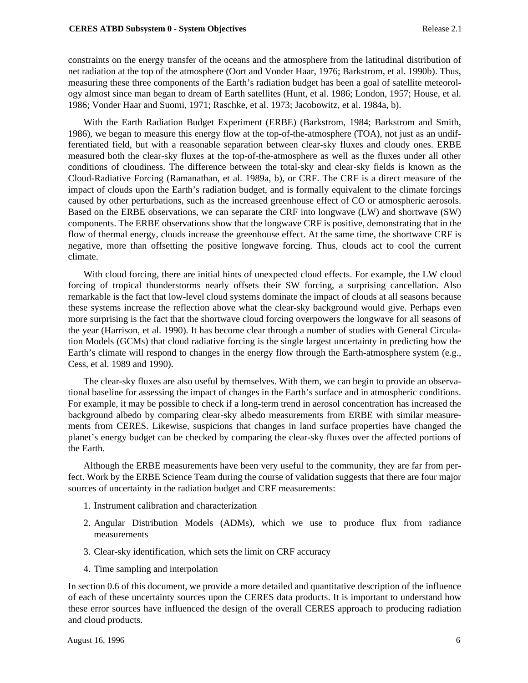constraints on the energy transfer of the oceans and the atmosphere from the latitudinal distribution of net radiation at the top of the atmosphere (Oort and Vonder Haar, 1976; Barkstrom, et al. 1990b). Thus, measuring these three components of the Earth's radiation budget has been a goal of satellite meteorology almost since man began to dream of Earth satellites (Hunt, et al. 1986; London, 1957; House, et al. 1986; Vonder Haar and Suomi, 1971; Raschke, et al. 1973; Jacobowitz, et al. 1984a, b).

With the Earth Radiation Budget Experiment (ERBE) (Barkstrom, 1984; Barkstrom and Smith, 1986), we began to measure this energy flow at the top-of-the-atmosphere (TOA), not just as an undifferentiated field, but with a reasonable separation between clear-sky fluxes and cloudy ones. ERBE measured both the clear-sky fluxes at the top-of-the-atmosphere as well as the fluxes under all other conditions of cloudiness. The difference between the total-sky and clear-sky fields is known as the Cloud-Radiative Forcing (Ramanathan, et al. 1989a, b), or CRF. The CRF is a direct measure of the impact of clouds upon the Earth's radiation budget, and is formally equivalent to the climate forcings caused by other perturbations, such as the increased greenhouse effect of CO or atmospheric aerosols. Based on the ERBE observations, we can separate the CRF into longwave (LW) and shortwave (SW) components. The ERBE observations show that the longwave CRF is positive, demonstrating that in the flow of thermal energy, clouds increase the greenhouse effect. At the same time, the shortwave CRF is negative, more than offsetting the positive longwave forcing. Thus, clouds act to cool the current climate.

With cloud forcing, there are initial hints of unexpected cloud effects. For example, the LW cloud forcing of tropical thunderstorms nearly offsets their SW forcing, a surprising cancellation. Also remarkable is the fact that low-level cloud systems dominate the impact of clouds at all seasons because these systems increase the reflection above what the clear-sky background would give. Perhaps even more surprising is the fact that the shortwave cloud forcing overpowers the longwave for all seasons of the year (Harrison, et al. 1990). It has become clear through a number of studies with General Circulation Models (GCMs) that cloud radiative forcing is the single largest uncertainty in predicting how the Earth's climate will respond to changes in the energy flow through the Earth-atmosphere system (e.g., Cess, et al. 1989 and 1990).

The clear-sky fluxes are also useful by themselves. With them, we can begin to provide an observational baseline for assessing the impact of changes in the Earth's surface and in atmospheric conditions. For example, it may be possible to check if a long-term trend in aerosol concentration has increased the background albedo by comparing clear-sky albedo measurements from ERBE with similar measurements from CERES. Likewise, suspicions that changes in land surface properties have changed the planet's energy budget can be checked by comparing the clear-sky fluxes over the affected portions of the Earth.

Although the ERBE measurements have been very useful to the community, they are far from perfect. Work by the ERBE Science Team during the course of validation suggests that there are four major sources of uncertainty in the radiation budget and CRF measurements:

- 1. Instrument calibration and characterization
- 2. Angular Distribution Models (ADMs), which we use to produce flux from radiance measurements
- 3. Clear-sky identification, which sets the limit on CRF accuracy
- 4. Time sampling and interpolation

In section 0.6 of this document, we provide a more detailed and quantitative description of the influence of each of these uncertainty sources upon the CERES data products. It is important to understand how these error sources have influenced the design of the overall CERES approach to producing radiation and cloud products.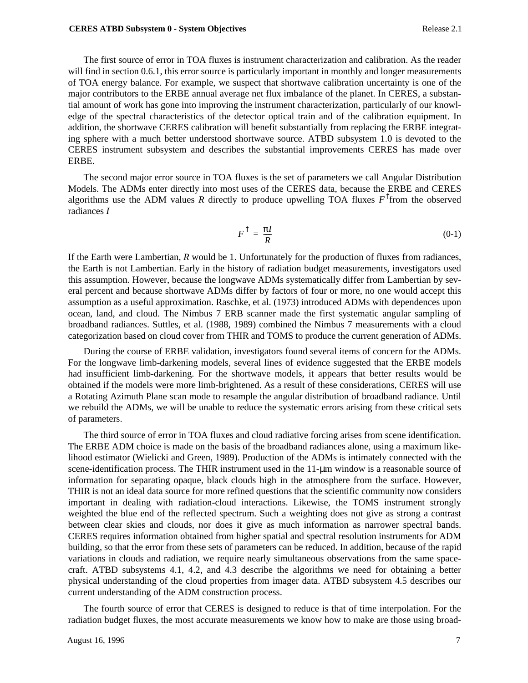The first source of error in TOA fluxes is instrument characterization and calibration. As the reader will find in section 0.6.1, this error source is particularly important in monthly and longer measurements of TOA energy balance. For example, we suspect that shortwave calibration uncertainty is one of the major contributors to the ERBE annual average net flux imbalance of the planet. In CERES, a substantial amount of work has gone into improving the instrument characterization, particularly of our knowledge of the spectral characteristics of the detector optical train and of the calibration equipment. In addition, the shortwave CERES calibration will benefit substantially from replacing the ERBE integrating sphere with a much better understood shortwave source. ATBD subsystem 1.0 is devoted to the CERES instrument subsystem and describes the substantial improvements CERES has made over ERBE.

The second major error source in TOA fluxes is the set of parameters we call Angular Distribution Models. The ADMs enter directly into most uses of the CERES data, because the ERBE and CERES algorithms use the ADM values *R* directly to produce upwelling TOA fluxes  $F^{\dagger}$  from the observed radiances *I*

$$
F^{\uparrow} = \frac{\pi I}{R} \tag{0-1}
$$

If the Earth were Lambertian, *R* would be 1. Unfortunately for the production of fluxes from radiances, the Earth is not Lambertian. Early in the history of radiation budget measurements, investigators used this assumption. However, because the longwave ADMs systematically differ from Lambertian by several percent and because shortwave ADMs differ by factors of four or more, no one would accept this assumption as a useful approximation. Raschke, et al. (1973) introduced ADMs with dependences upon ocean, land, and cloud. The Nimbus 7 ERB scanner made the first systematic angular sampling of broadband radiances. Suttles, et al. (1988, 1989) combined the Nimbus 7 measurements with a cloud categorization based on cloud cover from THIR and TOMS to produce the current generation of ADMs.

During the course of ERBE validation, investigators found several items of concern for the ADMs. For the longwave limb-darkening models, several lines of evidence suggested that the ERBE models had insufficient limb-darkening. For the shortwave models, it appears that better results would be obtained if the models were more limb-brightened. As a result of these considerations, CERES will use a Rotating Azimuth Plane scan mode to resample the angular distribution of broadband radiance. Until we rebuild the ADMs, we will be unable to reduce the systematic errors arising from these critical sets of parameters.

The third source of error in TOA fluxes and cloud radiative forcing arises from scene identification. The ERBE ADM choice is made on the basis of the broadband radiances alone, using a maximum likelihood estimator (Wielicki and Green, 1989). Production of the ADMs is intimately connected with the scene-identification process. The THIR instrument used in the  $11$ - $\mu$ m window is a reasonable source of information for separating opaque, black clouds high in the atmosphere from the surface. However, THIR is not an ideal data source for more refined questions that the scientific community now considers important in dealing with radiation-cloud interactions. Likewise, the TOMS instrument strongly weighted the blue end of the reflected spectrum. Such a weighting does not give as strong a contrast between clear skies and clouds, nor does it give as much information as narrower spectral bands. CERES requires information obtained from higher spatial and spectral resolution instruments for ADM building, so that the error from these sets of parameters can be reduced. In addition, because of the rapid variations in clouds and radiation, we require nearly simultaneous observations from the same spacecraft. ATBD subsystems 4.1, 4.2, and 4.3 describe the algorithms we need for obtaining a better physical understanding of the cloud properties from imager data. ATBD subsystem 4.5 describes our current understanding of the ADM construction process.

The fourth source of error that CERES is designed to reduce is that of time interpolation. For the radiation budget fluxes, the most accurate measurements we know how to make are those using broad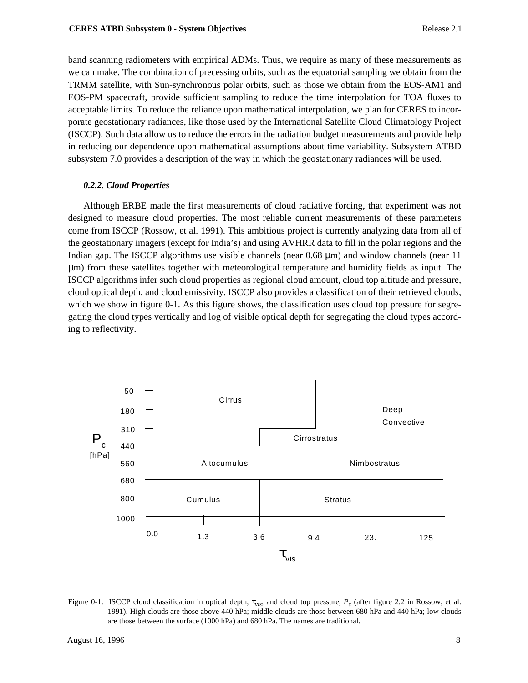band scanning radiometers with empirical ADMs. Thus, we require as many of these measurements as we can make. The combination of precessing orbits, such as the equatorial sampling we obtain from the TRMM satellite, with Sun-synchronous polar orbits, such as those we obtain from the EOS-AM1 and EOS-PM spacecraft, provide sufficient sampling to reduce the time interpolation for TOA fluxes to acceptable limits. To reduce the reliance upon mathematical interpolation, we plan for CERES to incorporate geostationary radiances, like those used by the International Satellite Cloud Climatology Project (ISCCP). Such data allow us to reduce the errors in the radiation budget measurements and provide help in reducing our dependence upon mathematical assumptions about time variability. Subsystem ATBD subsystem 7.0 provides a description of the way in which the geostationary radiances will be used.

## *0.2.2. Cloud Properties*

Although ERBE made the first measurements of cloud radiative forcing, that experiment was not designed to measure cloud properties. The most reliable current measurements of these parameters come from ISCCP (Rossow, et al. 1991). This ambitious project is currently analyzing data from all of the geostationary imagers (except for India's) and using AVHRR data to fill in the polar regions and the Indian gap. The ISCCP algorithms use visible channels (near 0.68 µm) and window channels (near 11 µm) from these satellites together with meteorological temperature and humidity fields as input. The ISCCP algorithms infer such cloud properties as regional cloud amount, cloud top altitude and pressure, cloud optical depth, and cloud emissivity. ISCCP also provides a classification of their retrieved clouds, which we show in figure 0-1. As this figure shows, the classification uses cloud top pressure for segregating the cloud types vertically and log of visible optical depth for segregating the cloud types according to reflectivity.



Figure 0-1. ISCCP cloud classification in optical depth, τ*vis*, and cloud top pressure, *Pc* (after figure 2.2 in Rossow, et al. 1991). High clouds are those above 440 hPa; middle clouds are those between 680 hPa and 440 hPa; low clouds are those between the surface (1000 hPa) and 680 hPa. The names are traditional.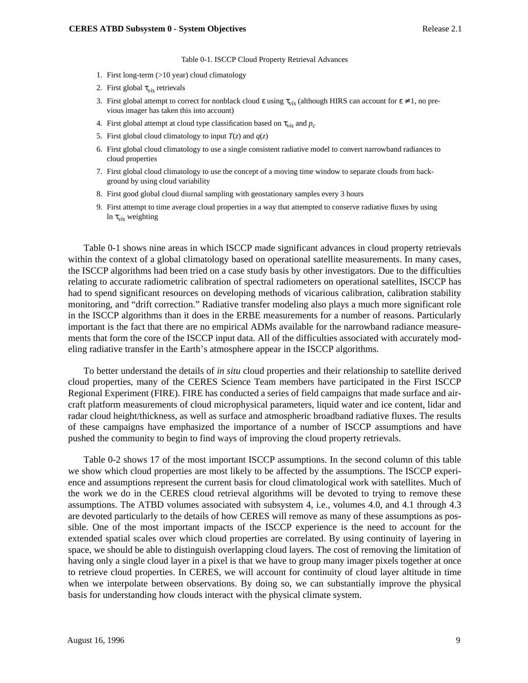Table 0-1. ISCCP Cloud Property Retrieval Advances

- 1. First long-term (>10 year) cloud climatology
- 2. First global τ*vis* retrievals
- 3. First global attempt to correct for nonblack cloud  $\varepsilon$  using  $\tau_{vis}$  (although HIRS can account for  $\varepsilon \neq 1$ , no previous imager has taken this into account)
- 4. First global attempt at cloud type classification based on  $\tau_{vis}$  and  $p_c$
- 5. First global cloud climatology to input  $T(z)$  and  $q(z)$
- 6. First global cloud climatology to use a single consistent radiative model to convert narrowband radiances to cloud properties
- 7. First global cloud climatology to use the concept of a moving time window to separate clouds from background by using cloud variability
- 8. First good global cloud diurnal sampling with geostationary samples every 3 hours
- 9. First attempt to time average cloud properties in a way that attempted to conserve radiative fluxes by using ln τ*vis* weighting

Table 0-1 shows nine areas in which ISCCP made significant advances in cloud property retrievals within the context of a global climatology based on operational satellite measurements. In many cases, the ISCCP algorithms had been tried on a case study basis by other investigators. Due to the difficulties relating to accurate radiometric calibration of spectral radiometers on operational satellites, ISCCP has had to spend significant resources on developing methods of vicarious calibration, calibration stability monitoring, and "drift correction." Radiative transfer modeling also plays a much more significant role in the ISCCP algorithms than it does in the ERBE measurements for a number of reasons. Particularly important is the fact that there are no empirical ADMs available for the narrowband radiance measurements that form the core of the ISCCP input data. All of the difficulties associated with accurately modeling radiative transfer in the Earth's atmosphere appear in the ISCCP algorithms.

To better understand the details of *in situ* cloud properties and their relationship to satellite derived cloud properties, many of the CERES Science Team members have participated in the First ISCCP Regional Experiment (FIRE). FIRE has conducted a series of field campaigns that made surface and aircraft platform measurements of cloud microphysical parameters, liquid water and ice content, lidar and radar cloud height/thickness, as well as surface and atmospheric broadband radiative fluxes. The results of these campaigns have emphasized the importance of a number of ISCCP assumptions and have pushed the community to begin to find ways of improving the cloud property retrievals.

Table 0-2 shows 17 of the most important ISCCP assumptions. In the second column of this table we show which cloud properties are most likely to be affected by the assumptions. The ISCCP experience and assumptions represent the current basis for cloud climatological work with satellites. Much of the work we do in the CERES cloud retrieval algorithms will be devoted to trying to remove these assumptions. The ATBD volumes associated with subsystem 4, i.e., volumes 4.0, and 4.1 through 4.3 are devoted particularly to the details of how CERES will remove as many of these assumptions as possible. One of the most important impacts of the ISCCP experience is the need to account for the extended spatial scales over which cloud properties are correlated. By using continuity of layering in space, we should be able to distinguish overlapping cloud layers. The cost of removing the limitation of having only a single cloud layer in a pixel is that we have to group many imager pixels together at once to retrieve cloud properties. In CERES, we will account for continuity of cloud layer altitude in time when we interpolate between observations. By doing so, we can substantially improve the physical basis for understanding how clouds interact with the physical climate system.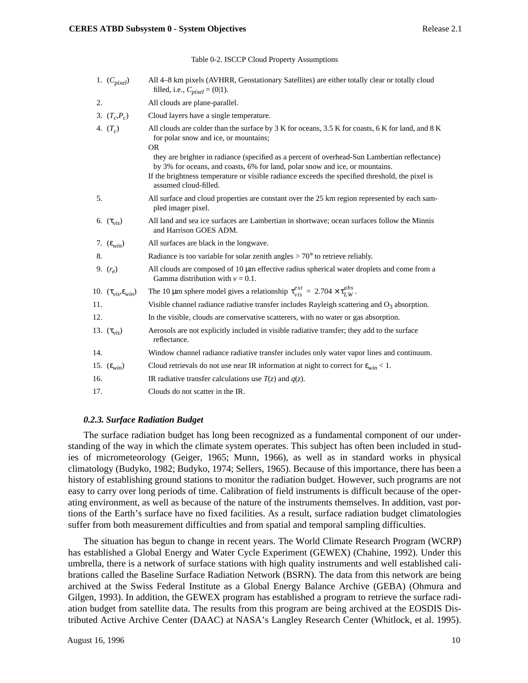#### Table 0-2. ISCCP Cloud Property Assumptions

|     | 1. $(C_{pixel})$                      | All 4–8 km pixels (AVHRR, Geostationary Satellites) are either totally clear or totally cloud<br>filled, i.e., $C_{pixel} = (0 1)$ .                                                                                                                                                                      |
|-----|---------------------------------------|-----------------------------------------------------------------------------------------------------------------------------------------------------------------------------------------------------------------------------------------------------------------------------------------------------------|
| 2.  |                                       | All clouds are plane-parallel.                                                                                                                                                                                                                                                                            |
|     | 3. $(T_c P_c)$                        | Cloud layers have a single temperature.                                                                                                                                                                                                                                                                   |
|     | 4. $(T_c)$                            | All clouds are colder than the surface by 3 K for oceans, 3.5 K for coasts, 6 K for land, and 8 K<br>for polar snow and ice, or mountains;<br><b>OR</b>                                                                                                                                                   |
|     |                                       | they are brighter in radiance (specified as a percent of overhead-Sun Lambertian reflectance)<br>by 3% for oceans, and coasts, 6% for land, polar snow and ice, or mountains.<br>If the brightness temperature or visible radiance exceeds the specified threshold, the pixel is<br>assumed cloud-filled. |
| 5.  |                                       | All surface and cloud properties are constant over the 25 km region represented by each sam-<br>pled imager pixel.                                                                                                                                                                                        |
|     | 6. $(\tau_{vis})$                     | All land and sea ice surfaces are Lambertian in shortwave; ocean surfaces follow the Minnis<br>and Harrison GOES ADM.                                                                                                                                                                                     |
|     | 7. $(\varepsilon_{win})$              | All surfaces are black in the longwave.                                                                                                                                                                                                                                                                   |
| 8.  |                                       | Radiance is too variable for solar zenith angles $> 70^{\circ}$ to retrieve reliably.                                                                                                                                                                                                                     |
|     | 9. $(r_e)$                            | All clouds are composed of $10 \mu m$ effective radius spherical water droplets and come from a<br>Gamma distribution with $v = 0.1$ .                                                                                                                                                                    |
|     | 10. $(\tau_{vis}, \varepsilon_{win})$ | The 10 µm sphere model gives a relationship $\tau_{vis}^{ext} = 2.704 \times \tau_{LW}^{abs}$ .                                                                                                                                                                                                           |
| 11. |                                       | Visible channel radiance radiative transfer includes Rayleigh scattering and $O_3$ absorption.                                                                                                                                                                                                            |
| 12. |                                       | In the visible, clouds are conservative scatterers, with no water or gas absorption.                                                                                                                                                                                                                      |
|     | 13. $(\tau_{vis})$                    | Aerosols are not explicitly included in visible radiative transfer; they add to the surface<br>reflectance.                                                                                                                                                                                               |
| 14. |                                       | Window channel radiance radiative transfer includes only water vapor lines and continuum.                                                                                                                                                                                                                 |
|     | 15. $(\varepsilon_{win})$             | Cloud retrievals do not use near IR information at night to correct for $\varepsilon_{win} < 1$ .                                                                                                                                                                                                         |
| 16. |                                       | IR radiative transfer calculations use $T(z)$ and $q(z)$ .                                                                                                                                                                                                                                                |
| 17. |                                       | Clouds do not scatter in the IR.                                                                                                                                                                                                                                                                          |

#### *0.2.3. Surface Radiation Budget*

The surface radiation budget has long been recognized as a fundamental component of our understanding of the way in which the climate system operates. This subject has often been included in studies of micrometeorology (Geiger, 1965; Munn, 1966), as well as in standard works in physical climatology (Budyko, 1982; Budyko, 1974; Sellers, 1965). Because of this importance, there has been a history of establishing ground stations to monitor the radiation budget. However, such programs are not easy to carry over long periods of time. Calibration of field instruments is difficult because of the operating environment, as well as because of the nature of the instruments themselves. In addition, vast portions of the Earth's surface have no fixed facilities. As a result, surface radiation budget climatologies suffer from both measurement difficulties and from spatial and temporal sampling difficulties.

The situation has begun to change in recent years. The World Climate Research Program (WCRP) has established a Global Energy and Water Cycle Experiment (GEWEX) (Chahine, 1992). Under this umbrella, there is a network of surface stations with high quality instruments and well established calibrations called the Baseline Surface Radiation Network (BSRN). The data from this network are being archived at the Swiss Federal Institute as a Global Energy Balance Archive (GEBA) (Ohmura and Gilgen, 1993). In addition, the GEWEX program has established a program to retrieve the surface radiation budget from satellite data. The results from this program are being archived at the EOSDIS Distributed Active Archive Center (DAAC) at NASA's Langley Research Center (Whitlock, et al. 1995).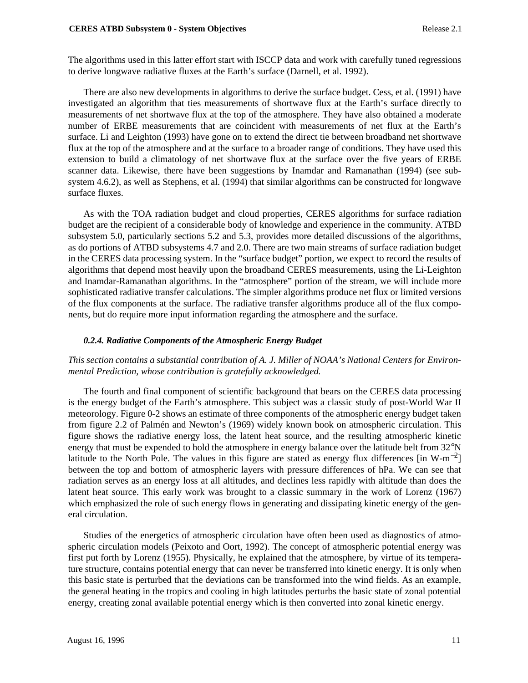The algorithms used in this latter effort start with ISCCP data and work with carefully tuned regressions to derive longwave radiative fluxes at the Earth's surface (Darnell, et al. 1992).

There are also new developments in algorithms to derive the surface budget. Cess, et al. (1991) have investigated an algorithm that ties measurements of shortwave flux at the Earth's surface directly to measurements of net shortwave flux at the top of the atmosphere. They have also obtained a moderate number of ERBE measurements that are coincident with measurements of net flux at the Earth's surface. Li and Leighton (1993) have gone on to extend the direct tie between broadband net shortwave flux at the top of the atmosphere and at the surface to a broader range of conditions. They have used this extension to build a climatology of net shortwave flux at the surface over the five years of ERBE scanner data. Likewise, there have been suggestions by Inamdar and Ramanathan (1994) (see subsystem 4.6.2), as well as Stephens, et al. (1994) that similar algorithms can be constructed for longwave surface fluxes.

As with the TOA radiation budget and cloud properties, CERES algorithms for surface radiation budget are the recipient of a considerable body of knowledge and experience in the community. ATBD subsystem 5.0, particularly sections 5.2 and 5.3, provides more detailed discussions of the algorithms, as do portions of ATBD subsystems 4.7 and 2.0. There are two main streams of surface radiation budget in the CERES data processing system. In the "surface budget" portion, we expect to record the results of algorithms that depend most heavily upon the broadband CERES measurements, using the Li-Leighton and Inamdar-Ramanathan algorithms. In the "atmosphere" portion of the stream, we will include more sophisticated radiative transfer calculations. The simpler algorithms produce net flux or limited versions of the flux components at the surface. The radiative transfer algorithms produce all of the flux components, but do require more input information regarding the atmosphere and the surface.

# *0.2.4. Radiative Components of the Atmospheric Energy Budget*

# *This section contains a substantial contribution of A. J. Miller of NOAA's National Centers for Environmental Prediction, whose contribution is gratefully acknowledged.*

The fourth and final component of scientific background that bears on the CERES data processing is the energy budget of the Earth's atmosphere. This subject was a classic study of post-World War II meteorology. Figure 0-2 shows an estimate of three components of the atmospheric energy budget taken from figure 2.2 of Palmén and Newton's (1969) widely known book on atmospheric circulation. This figure shows the radiative energy loss, the latent heat source, and the resulting atmospheric kinetic energy that must be expended to hold the atmosphere in energy balance over the latitude belt from 32<sup>o</sup>N latitude to the North Pole. The values in this figure are stated as energy flux differences [in W-m<sup>-2</sup>] between the top and bottom of atmospheric layers with pressure differences of hPa. We can see that radiation serves as an energy loss at all altitudes, and declines less rapidly with altitude than does the latent heat source. This early work was brought to a classic summary in the work of Lorenz (1967) which emphasized the role of such energy flows in generating and dissipating kinetic energy of the general circulation.

Studies of the energetics of atmospheric circulation have often been used as diagnostics of atmospheric circulation models (Peixoto and Oort, 1992). The concept of atmospheric potential energy was first put forth by Lorenz (1955). Physically, he explained that the atmosphere, by virtue of its temperature structure, contains potential energy that can never be transferred into kinetic energy. It is only when this basic state is perturbed that the deviations can be transformed into the wind fields. As an example, the general heating in the tropics and cooling in high latitudes perturbs the basic state of zonal potential energy, creating zonal available potential energy which is then converted into zonal kinetic energy.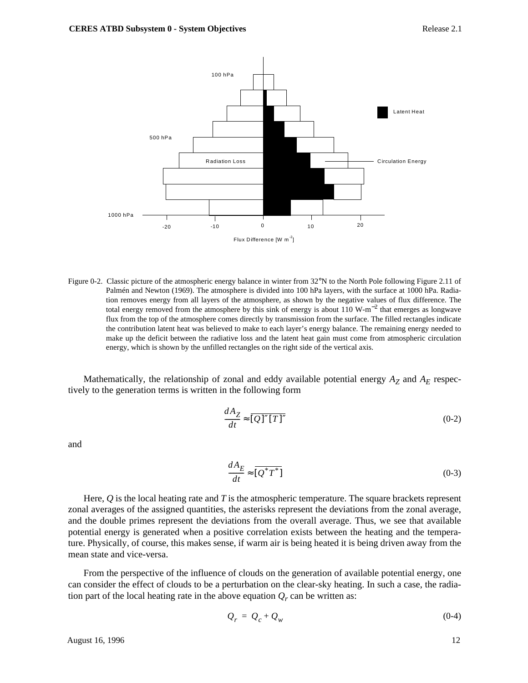

Figure 0-2. Classic picture of the atmospheric energy balance in winter from 32°N to the North Pole following Figure 2.11 of Palmén and Newton (1969). The atmosphere is divided into 100 hPa layers, with the surface at 1000 hPa. Radiation removes energy from all layers of the atmosphere, as shown by the negative values of flux difference. The total energy removed from the atmosphere by this sink of energy is about 110 W-m−<sup>2</sup> that emerges as longwave flux from the top of the atmosphere comes directly by transmission from the surface. The filled rectangles indicate the contribution latent heat was believed to make to each layer's energy balance. The remaining energy needed to make up the deficit between the radiative loss and the latent heat gain must come from atmospheric circulation energy, which is shown by the unfilled rectangles on the right side of the vertical axis.

Mathematically, the relationship of zonal and eddy available potential energy  $A_Z$  and  $A_E$  respectively to the generation terms is written in the following form

$$
\frac{dA_Z}{dt} \approx \overline{[Q]''[T]''}
$$
\n(0-2)

and

$$
\frac{dA_E}{dt} \approx \overline{[Q^*T^*]} \tag{0-3}
$$

Here, *Q* is the local heating rate and *T* is the atmospheric temperature. The square brackets represent zonal averages of the assigned quantities, the asterisks represent the deviations from the zonal average, and the double primes represent the deviations from the overall average. Thus, we see that available potential energy is generated when a positive correlation exists between the heating and the temperature. Physically, of course, this makes sense, if warm air is being heated it is being driven away from the mean state and vice-versa.

From the perspective of the influence of clouds on the generation of available potential energy, one can consider the effect of clouds to be a perturbation on the clear-sky heating. In such a case, the radiation part of the local heating rate in the above equation  $Q_r$  can be written as:

$$
Q_r = Q_c + Q_w \tag{0-4}
$$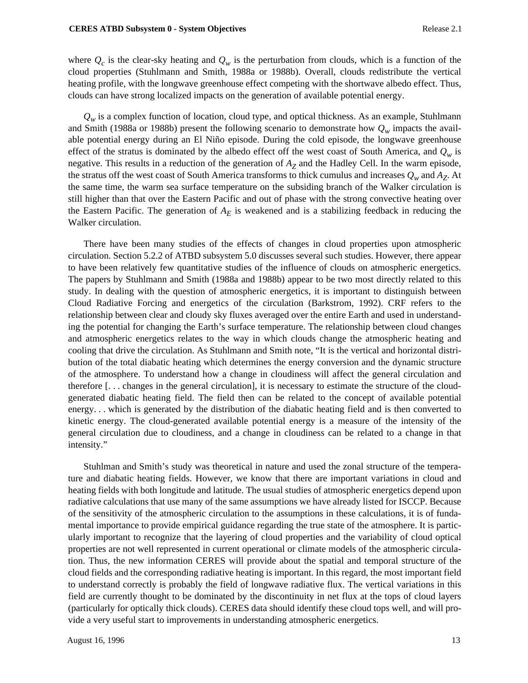where  $Q_c$  is the clear-sky heating and  $Q_w$  is the perturbation from clouds, which is a function of the cloud properties (Stuhlmann and Smith, 1988a or 1988b). Overall, clouds redistribute the vertical heating profile, with the longwave greenhouse effect competing with the shortwave albedo effect. Thus, clouds can have strong localized impacts on the generation of available potential energy.

 $Q_w$  is a complex function of location, cloud type, and optical thickness. As an example, Stuhlmann and Smith (1988a or 1988b) present the following scenario to demonstrate how  $Q_w$  impacts the available potential energy during an El Niño episode. During the cold episode, the longwave greenhouse effect of the stratus is dominated by the albedo effect off the west coast of South America, and  $Q_w$  is negative. This results in a reduction of the generation of *AZ* and the Hadley Cell. In the warm episode, the stratus off the west coast of South America transforms to thick cumulus and increases  $Q_w$  and  $A_Z$ . At the same time, the warm sea surface temperature on the subsiding branch of the Walker circulation is still higher than that over the Eastern Pacific and out of phase with the strong convective heating over the Eastern Pacific. The generation of  $A<sub>E</sub>$  is weakened and is a stabilizing feedback in reducing the Walker circulation.

There have been many studies of the effects of changes in cloud properties upon atmospheric circulation. Section 5.2.2 of ATBD subsystem 5.0 discusses several such studies. However, there appear to have been relatively few quantitative studies of the influence of clouds on atmospheric energetics. The papers by Stuhlmann and Smith (1988a and 1988b) appear to be two most directly related to this study. In dealing with the question of atmospheric energetics, it is important to distinguish between Cloud Radiative Forcing and energetics of the circulation (Barkstrom, 1992). CRF refers to the relationship between clear and cloudy sky fluxes averaged over the entire Earth and used in understanding the potential for changing the Earth's surface temperature. The relationship between cloud changes and atmospheric energetics relates to the way in which clouds change the atmospheric heating and cooling that drive the circulation. As Stuhlmann and Smith note, "It is the vertical and horizontal distribution of the total diabatic heating which determines the energy conversion and the dynamic structure of the atmosphere. To understand how a change in cloudiness will affect the general circulation and therefore [. . . changes in the general circulation], it is necessary to estimate the structure of the cloudgenerated diabatic heating field. The field then can be related to the concept of available potential energy. . . which is generated by the distribution of the diabatic heating field and is then converted to kinetic energy. The cloud-generated available potential energy is a measure of the intensity of the general circulation due to cloudiness, and a change in cloudiness can be related to a change in that intensity."

Stuhlman and Smith's study was theoretical in nature and used the zonal structure of the temperature and diabatic heating fields. However, we know that there are important variations in cloud and heating fields with both longitude and latitude. The usual studies of atmospheric energetics depend upon radiative calculations that use many of the same assumptions we have already listed for ISCCP. Because of the sensitivity of the atmospheric circulation to the assumptions in these calculations, it is of fundamental importance to provide empirical guidance regarding the true state of the atmosphere. It is particularly important to recognize that the layering of cloud properties and the variability of cloud optical properties are not well represented in current operational or climate models of the atmospheric circulation. Thus, the new information CERES will provide about the spatial and temporal structure of the cloud fields and the corresponding radiative heating is important. In this regard, the most important field to understand correctly is probably the field of longwave radiative flux. The vertical variations in this field are currently thought to be dominated by the discontinuity in net flux at the tops of cloud layers (particularly for optically thick clouds). CERES data should identify these cloud tops well, and will provide a very useful start to improvements in understanding atmospheric energetics.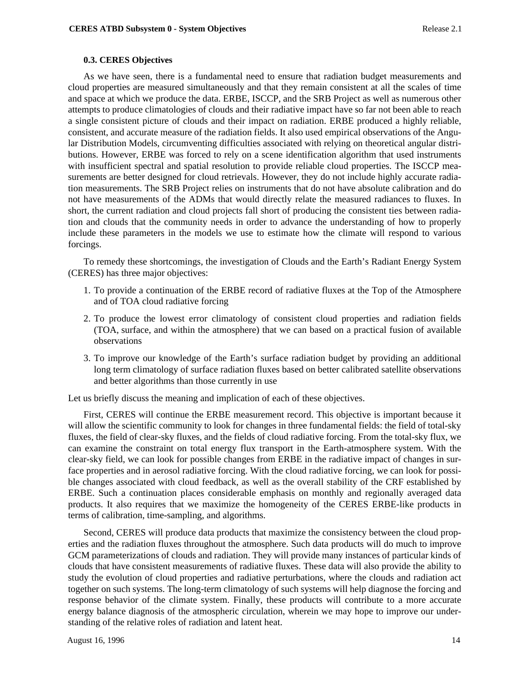# **0.3. CERES Objectives**

As we have seen, there is a fundamental need to ensure that radiation budget measurements and cloud properties are measured simultaneously and that they remain consistent at all the scales of time and space at which we produce the data. ERBE, ISCCP, and the SRB Project as well as numerous other attempts to produce climatologies of clouds and their radiative impact have so far not been able to reach a single consistent picture of clouds and their impact on radiation. ERBE produced a highly reliable, consistent, and accurate measure of the radiation fields. It also used empirical observations of the Angular Distribution Models, circumventing difficulties associated with relying on theoretical angular distributions. However, ERBE was forced to rely on a scene identification algorithm that used instruments with insufficient spectral and spatial resolution to provide reliable cloud properties. The ISCCP measurements are better designed for cloud retrievals. However, they do not include highly accurate radiation measurements. The SRB Project relies on instruments that do not have absolute calibration and do not have measurements of the ADMs that would directly relate the measured radiances to fluxes. In short, the current radiation and cloud projects fall short of producing the consistent ties between radiation and clouds that the community needs in order to advance the understanding of how to properly include these parameters in the models we use to estimate how the climate will respond to various forcings.

To remedy these shortcomings, the investigation of Clouds and the Earth's Radiant Energy System (CERES) has three major objectives:

- 1. To provide a continuation of the ERBE record of radiative fluxes at the Top of the Atmosphere and of TOA cloud radiative forcing
- 2. To produce the lowest error climatology of consistent cloud properties and radiation fields (TOA, surface, and within the atmosphere) that we can based on a practical fusion of available observations
- 3. To improve our knowledge of the Earth's surface radiation budget by providing an additional long term climatology of surface radiation fluxes based on better calibrated satellite observations and better algorithms than those currently in use

Let us briefly discuss the meaning and implication of each of these objectives.

First, CERES will continue the ERBE measurement record. This objective is important because it will allow the scientific community to look for changes in three fundamental fields: the field of total-sky fluxes, the field of clear-sky fluxes, and the fields of cloud radiative forcing. From the total-sky flux, we can examine the constraint on total energy flux transport in the Earth-atmosphere system. With the clear-sky field, we can look for possible changes from ERBE in the radiative impact of changes in surface properties and in aerosol radiative forcing. With the cloud radiative forcing, we can look for possible changes associated with cloud feedback, as well as the overall stability of the CRF established by ERBE. Such a continuation places considerable emphasis on monthly and regionally averaged data products. It also requires that we maximize the homogeneity of the CERES ERBE-like products in terms of calibration, time-sampling, and algorithms.

Second, CERES will produce data products that maximize the consistency between the cloud properties and the radiation fluxes throughout the atmosphere. Such data products will do much to improve GCM parameterizations of clouds and radiation. They will provide many instances of particular kinds of clouds that have consistent measurements of radiative fluxes. These data will also provide the ability to study the evolution of cloud properties and radiative perturbations, where the clouds and radiation act together on such systems. The long-term climatology of such systems will help diagnose the forcing and response behavior of the climate system. Finally, these products will contribute to a more accurate energy balance diagnosis of the atmospheric circulation, wherein we may hope to improve our understanding of the relative roles of radiation and latent heat.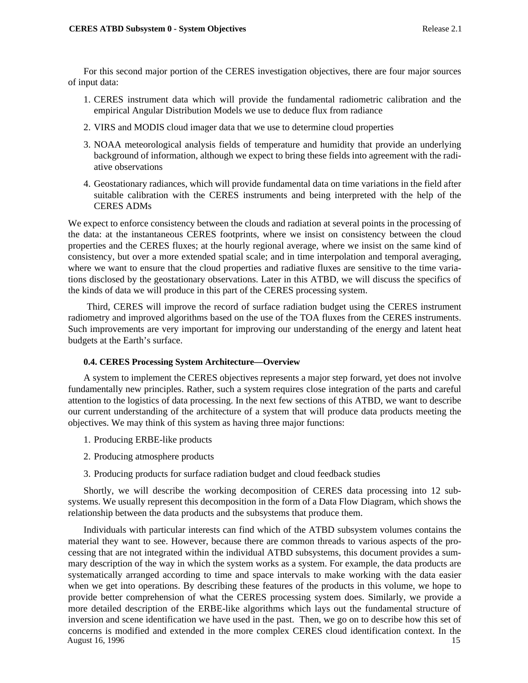For this second major portion of the CERES investigation objectives, there are four major sources of input data:

- 1. CERES instrument data which will provide the fundamental radiometric calibration and the empirical Angular Distribution Models we use to deduce flux from radiance
- 2. VIRS and MODIS cloud imager data that we use to determine cloud properties
- 3. NOAA meteorological analysis fields of temperature and humidity that provide an underlying background of information, although we expect to bring these fields into agreement with the radiative observations
- 4. Geostationary radiances, which will provide fundamental data on time variations in the field after suitable calibration with the CERES instruments and being interpreted with the help of the CERES ADMs

We expect to enforce consistency between the clouds and radiation at several points in the processing of the data: at the instantaneous CERES footprints, where we insist on consistency between the cloud properties and the CERES fluxes; at the hourly regional average, where we insist on the same kind of consistency, but over a more extended spatial scale; and in time interpolation and temporal averaging, where we want to ensure that the cloud properties and radiative fluxes are sensitive to the time variations disclosed by the geostationary observations. Later in this ATBD, we will discuss the specifics of the kinds of data we will produce in this part of the CERES processing system.

 Third, CERES will improve the record of surface radiation budget using the CERES instrument radiometry and improved algorithms based on the use of the TOA fluxes from the CERES instruments. Such improvements are very important for improving our understanding of the energy and latent heat budgets at the Earth's surface.

### **0.4. CERES Processing System Architecture—Overview**

A system to implement the CERES objectives represents a major step forward, yet does not involve fundamentally new principles. Rather, such a system requires close integration of the parts and careful attention to the logistics of data processing. In the next few sections of this ATBD, we want to describe our current understanding of the architecture of a system that will produce data products meeting the objectives. We may think of this system as having three major functions:

- 1. Producing ERBE-like products
- 2. Producing atmosphere products
- 3. Producing products for surface radiation budget and cloud feedback studies

Shortly, we will describe the working decomposition of CERES data processing into 12 subsystems. We usually represent this decomposition in the form of a Data Flow Diagram, which shows the relationship between the data products and the subsystems that produce them.

August 16, 1996 15 Individuals with particular interests can find which of the ATBD subsystem volumes contains the material they want to see. However, because there are common threads to various aspects of the processing that are not integrated within the individual ATBD subsystems, this document provides a summary description of the way in which the system works as a system. For example, the data products are systematically arranged according to time and space intervals to make working with the data easier when we get into operations. By describing these features of the products in this volume, we hope to provide better comprehension of what the CERES processing system does. Similarly, we provide a more detailed description of the ERBE-like algorithms which lays out the fundamental structure of inversion and scene identification we have used in the past. Then, we go on to describe how this set of concerns is modified and extended in the more complex CERES cloud identification context. In the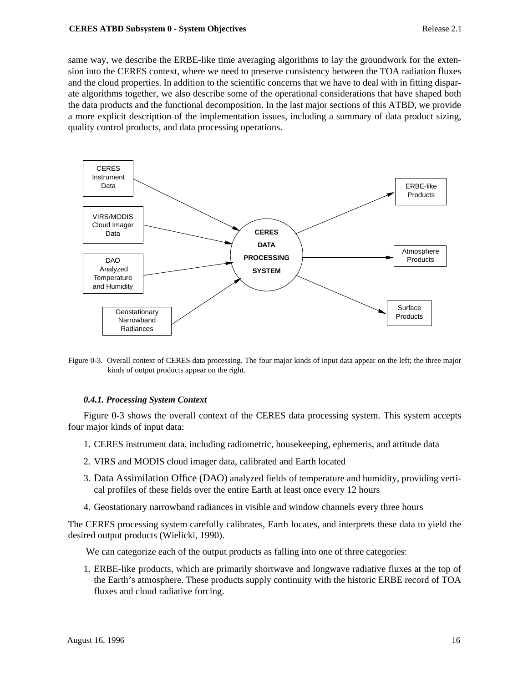same way, we describe the ERBE-like time averaging algorithms to lay the groundwork for the extension into the CERES context, where we need to preserve consistency between the TOA radiation fluxes and the cloud properties. In addition to the scientific concerns that we have to deal with in fitting disparate algorithms together, we also describe some of the operational considerations that have shaped both the data products and the functional decomposition. In the last major sections of this ATBD, we provide a more explicit description of the implementation issues, including a summary of data product sizing, quality control products, and data processing operations.



Figure 0-3. Overall context of CERES data processing. The four major kinds of input data appear on the left; the three major kinds of output products appear on the right.

# *0.4.1. Processing System Context*

Figure 0-3 shows the overall context of the CERES data processing system. This system accepts four major kinds of input data:

- 1. CERES instrument data, including radiometric, housekeeping, ephemeris, and attitude data
- 2. VIRS and MODIS cloud imager data, calibrated and Earth located
- 3. Data Assimilation Office (DAO) analyzed fields of temperature and humidity, providing vertical profiles of these fields over the entire Earth at least once every 12 hours
- 4. Geostationary narrowband radiances in visible and window channels every three hours

The CERES processing system carefully calibrates, Earth locates, and interprets these data to yield the desired output products (Wielicki, 1990).

We can categorize each of the output products as falling into one of three categories:

1. ERBE-like products, which are primarily shortwave and longwave radiative fluxes at the top of the Earth's atmosphere. These products supply continuity with the historic ERBE record of TOA fluxes and cloud radiative forcing.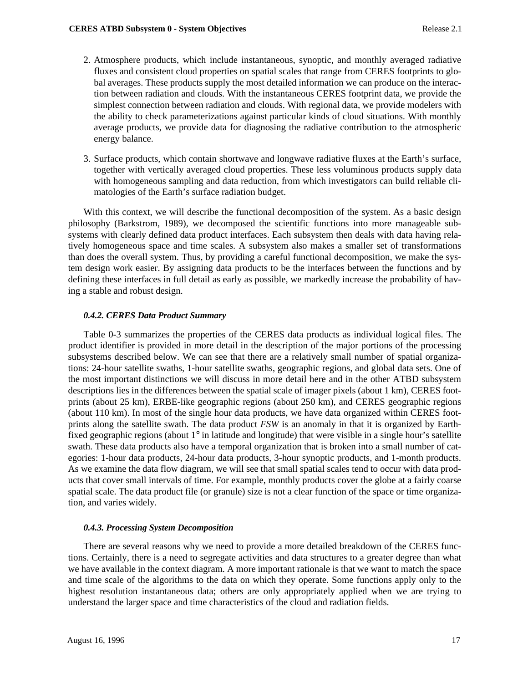- 2. Atmosphere products, which include instantaneous, synoptic, and monthly averaged radiative fluxes and consistent cloud properties on spatial scales that range from CERES footprints to global averages. These products supply the most detailed information we can produce on the interaction between radiation and clouds. With the instantaneous CERES footprint data, we provide the simplest connection between radiation and clouds. With regional data, we provide modelers with the ability to check parameterizations against particular kinds of cloud situations. With monthly average products, we provide data for diagnosing the radiative contribution to the atmospheric energy balance.
- 3. Surface products, which contain shortwave and longwave radiative fluxes at the Earth's surface, together with vertically averaged cloud properties. These less voluminous products supply data with homogeneous sampling and data reduction, from which investigators can build reliable climatologies of the Earth's surface radiation budget.

With this context, we will describe the functional decomposition of the system. As a basic design philosophy (Barkstrom, 1989), we decomposed the scientific functions into more manageable subsystems with clearly defined data product interfaces. Each subsystem then deals with data having relatively homogeneous space and time scales. A subsystem also makes a smaller set of transformations than does the overall system. Thus, by providing a careful functional decomposition, we make the system design work easier. By assigning data products to be the interfaces between the functions and by defining these interfaces in full detail as early as possible, we markedly increase the probability of having a stable and robust design.

# *0.4.2. CERES Data Product Summary*

Table 0-3 summarizes the properties of the CERES data products as individual logical files. The product identifier is provided in more detail in the description of the major portions of the processing subsystems described below. We can see that there are a relatively small number of spatial organizations: 24-hour satellite swaths, 1-hour satellite swaths, geographic regions, and global data sets. One of the most important distinctions we will discuss in more detail here and in the other ATBD subsystem descriptions lies in the differences between the spatial scale of imager pixels (about 1 km), CERES footprints (about 25 km), ERBE-like geographic regions (about 250 km), and CERES geographic regions (about 110 km). In most of the single hour data products, we have data organized within CERES footprints along the satellite swath. The data product *FSW* is an anomaly in that it is organized by Earthfixed geographic regions (about 1° in latitude and longitude) that were visible in a single hour's satellite swath. These data products also have a temporal organization that is broken into a small number of categories: 1-hour data products, 24-hour data products, 3-hour synoptic products, and 1-month products. As we examine the data flow diagram, we will see that small spatial scales tend to occur with data products that cover small intervals of time. For example, monthly products cover the globe at a fairly coarse spatial scale. The data product file (or granule) size is not a clear function of the space or time organization, and varies widely.

### *0.4.3. Processing System Decomposition*

There are several reasons why we need to provide a more detailed breakdown of the CERES functions. Certainly, there is a need to segregate activities and data structures to a greater degree than what we have available in the context diagram. A more important rationale is that we want to match the space and time scale of the algorithms to the data on which they operate. Some functions apply only to the highest resolution instantaneous data; others are only appropriately applied when we are trying to understand the larger space and time characteristics of the cloud and radiation fields.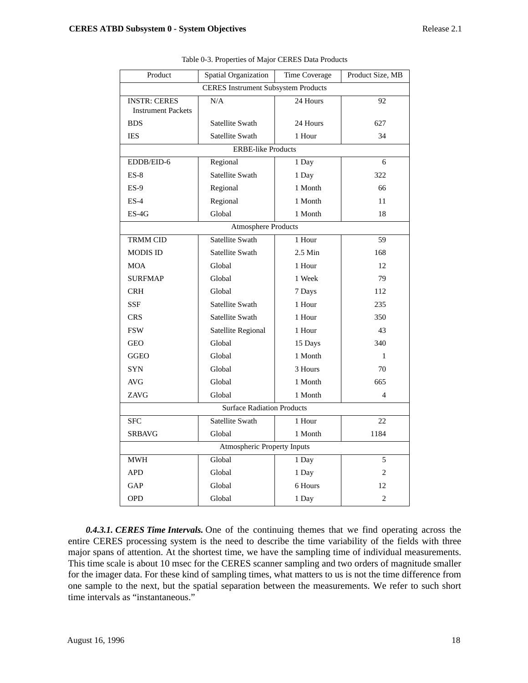| Product                                          | Spatial Organization | Time Coverage | Product Size, MB         |  |  |  |  |  |
|--------------------------------------------------|----------------------|---------------|--------------------------|--|--|--|--|--|
| <b>CERES</b> Instrument Subsystem Products       |                      |               |                          |  |  |  |  |  |
| <b>INSTR: CERES</b><br><b>Instrument Packets</b> | N/A                  | 24 Hours      | 92                       |  |  |  |  |  |
| <b>BDS</b>                                       | Satellite Swath      | 24 Hours      | 627                      |  |  |  |  |  |
| IES                                              | Satellite Swath      | 1 Hour        | 34                       |  |  |  |  |  |
| <b>ERBE-like Products</b>                        |                      |               |                          |  |  |  |  |  |
| EDDB/EID-6                                       | Regional             | 1 Day         | 6                        |  |  |  |  |  |
| $ES-8$                                           | Satellite Swath      | 1 Day         | 322                      |  |  |  |  |  |
| $ES-9$                                           | Regional             | 1 Month       | 66                       |  |  |  |  |  |
| $ES-4$                                           | Regional             | 1 Month       | 11                       |  |  |  |  |  |
| $ES-4G$                                          | Global               | 1 Month       | 18                       |  |  |  |  |  |
| <b>Atmosphere Products</b>                       |                      |               |                          |  |  |  |  |  |
| <b>TRMM CID</b>                                  | Satellite Swath      | 1 Hour        | 59                       |  |  |  |  |  |
| <b>MODIS ID</b>                                  | Satellite Swath      | $2.5$ Min     | 168                      |  |  |  |  |  |
| MOA                                              | Global               | 1 Hour        | 12                       |  |  |  |  |  |
| <b>SURFMAP</b>                                   | Global               | 1 Week        | 79                       |  |  |  |  |  |
| <b>CRH</b>                                       | Global               | 7 Days        | 112                      |  |  |  |  |  |
| <b>SSF</b>                                       | Satellite Swath      | 1 Hour        | 235                      |  |  |  |  |  |
| <b>CRS</b>                                       | Satellite Swath      | 1 Hour        | 350                      |  |  |  |  |  |
| <b>FSW</b>                                       | Satellite Regional   | 1 Hour        | 43                       |  |  |  |  |  |
| <b>GEO</b>                                       | Global               | 15 Days       | 340                      |  |  |  |  |  |
| <b>GGEO</b>                                      | Global               | 1 Month       | 1                        |  |  |  |  |  |
| <b>SYN</b>                                       | Global               | 3 Hours       | 70                       |  |  |  |  |  |
| AVG                                              | Global               | 1 Month       | 665                      |  |  |  |  |  |
| ZAVG                                             | Global               | 1 Month       | $\overline{\mathcal{A}}$ |  |  |  |  |  |
| <b>Surface Radiation Products</b>                |                      |               |                          |  |  |  |  |  |
| <b>SFC</b>                                       | Satellite Swath      | 1 Hour        | 22                       |  |  |  |  |  |
| <b>SRBAVG</b>                                    | Global               | 1 Month       | 1184                     |  |  |  |  |  |
| Atmospheric Property Inputs                      |                      |               |                          |  |  |  |  |  |
| <b>MWH</b>                                       | Global               | 1 Day         | 5                        |  |  |  |  |  |
| <b>APD</b>                                       | Global               | 1 Day         | 2                        |  |  |  |  |  |
| GAP                                              | Global               | 6 Hours       | 12                       |  |  |  |  |  |
| <b>OPD</b>                                       | Global               | 1 Day         | $\overline{c}$           |  |  |  |  |  |

Table 0-3. Properties of Major CERES Data Products

 *0.4.3.1. CERES Time Intervals.* One of the continuing themes that we find operating across the entire CERES processing system is the need to describe the time variability of the fields with three major spans of attention. At the shortest time, we have the sampling time of individual measurements. This time scale is about 10 msec for the CERES scanner sampling and two orders of magnitude smaller for the imager data. For these kind of sampling times, what matters to us is not the time difference from one sample to the next, but the spatial separation between the measurements. We refer to such short time intervals as "instantaneous."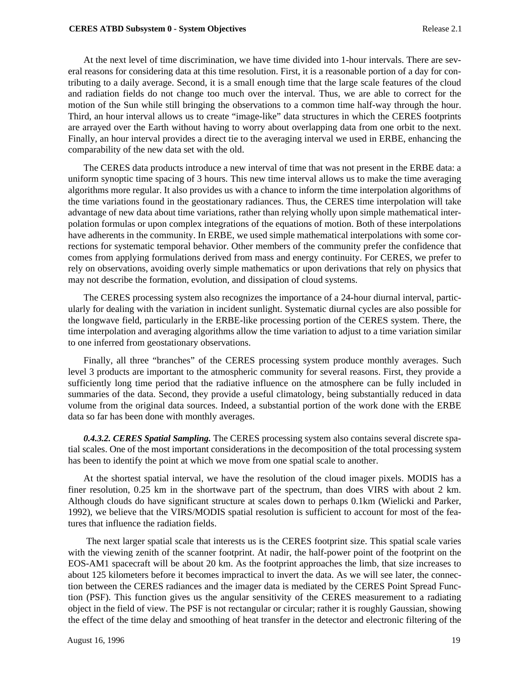At the next level of time discrimination, we have time divided into 1-hour intervals. There are several reasons for considering data at this time resolution. First, it is a reasonable portion of a day for contributing to a daily average. Second, it is a small enough time that the large scale features of the cloud and radiation fields do not change too much over the interval. Thus, we are able to correct for the motion of the Sun while still bringing the observations to a common time half-way through the hour. Third, an hour interval allows us to create "image-like" data structures in which the CERES footprints are arrayed over the Earth without having to worry about overlapping data from one orbit to the next. Finally, an hour interval provides a direct tie to the averaging interval we used in ERBE, enhancing the comparability of the new data set with the old.

The CERES data products introduce a new interval of time that was not present in the ERBE data: a uniform synoptic time spacing of 3 hours. This new time interval allows us to make the time averaging algorithms more regular. It also provides us with a chance to inform the time interpolation algorithms of the time variations found in the geostationary radiances. Thus, the CERES time interpolation will take advantage of new data about time variations, rather than relying wholly upon simple mathematical interpolation formulas or upon complex integrations of the equations of motion. Both of these interpolations have adherents in the community. In ERBE, we used simple mathematical interpolations with some corrections for systematic temporal behavior. Other members of the community prefer the confidence that comes from applying formulations derived from mass and energy continuity. For CERES, we prefer to rely on observations, avoiding overly simple mathematics or upon derivations that rely on physics that may not describe the formation, evolution, and dissipation of cloud systems.

The CERES processing system also recognizes the importance of a 24-hour diurnal interval, particularly for dealing with the variation in incident sunlight. Systematic diurnal cycles are also possible for the longwave field, particularly in the ERBE-like processing portion of the CERES system. There, the time interpolation and averaging algorithms allow the time variation to adjust to a time variation similar to one inferred from geostationary observations.

Finally, all three "branches" of the CERES processing system produce monthly averages. Such level 3 products are important to the atmospheric community for several reasons. First, they provide a sufficiently long time period that the radiative influence on the atmosphere can be fully included in summaries of the data. Second, they provide a useful climatology, being substantially reduced in data volume from the original data sources. Indeed, a substantial portion of the work done with the ERBE data so far has been done with monthly averages.

*0.4.3.2. CERES Spatial Sampling.* The CERES processing system also contains several discrete spatial scales. One of the most important considerations in the decomposition of the total processing system has been to identify the point at which we move from one spatial scale to another.

At the shortest spatial interval, we have the resolution of the cloud imager pixels. MODIS has a finer resolution, 0.25 km in the shortwave part of the spectrum, than does VIRS with about 2 km. Although clouds do have significant structure at scales down to perhaps 0.1km (Wielicki and Parker, 1992), we believe that the VIRS/MODIS spatial resolution is sufficient to account for most of the features that influence the radiation fields.

 The next larger spatial scale that interests us is the CERES footprint size. This spatial scale varies with the viewing zenith of the scanner footprint. At nadir, the half-power point of the footprint on the EOS-AM1 spacecraft will be about 20 km. As the footprint approaches the limb, that size increases to about 125 kilometers before it becomes impractical to invert the data. As we will see later, the connection between the CERES radiances and the imager data is mediated by the CERES Point Spread Function (PSF). This function gives us the angular sensitivity of the CERES measurement to a radiating object in the field of view. The PSF is not rectangular or circular; rather it is roughly Gaussian, showing the effect of the time delay and smoothing of heat transfer in the detector and electronic filtering of the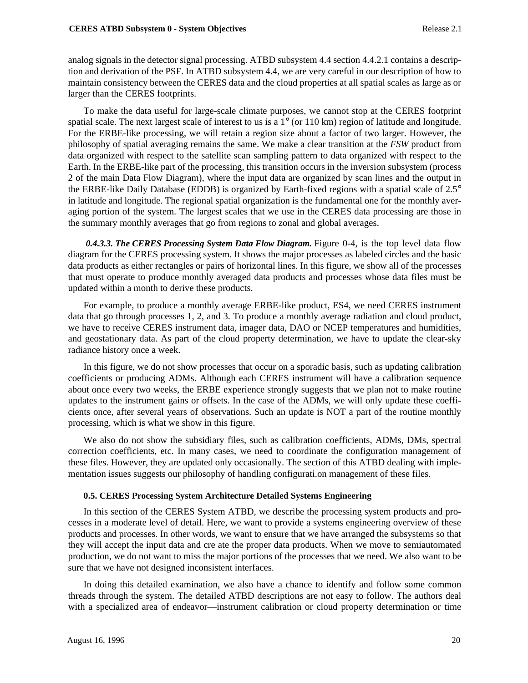analog signals in the detector signal processing. ATBD subsystem 4.4 section 4.4.2.1 contains a description and derivation of the PSF. In ATBD subsystem 4.4, we are very careful in our description of how to maintain consistency between the CERES data and the cloud properties at all spatial scales as large as or larger than the CERES footprints.

To make the data useful for large-scale climate purposes, we cannot stop at the CERES footprint spatial scale. The next largest scale of interest to us is a 1° (or 110 km) region of latitude and longitude. For the ERBE-like processing, we will retain a region size about a factor of two larger. However, the philosophy of spatial averaging remains the same. We make a clear transition at the *FSW* product from data organized with respect to the satellite scan sampling pattern to data organized with respect to the Earth. In the ERBE-like part of the processing, this transition occurs in the inversion subsystem (process 2 of the main Data Flow Diagram), where the input data are organized by scan lines and the output in the ERBE-like Daily Database (EDDB) is organized by Earth-fixed regions with a spatial scale of 2.5° in latitude and longitude. The regional spatial organization is the fundamental one for the monthly averaging portion of the system. The largest scales that we use in the CERES data processing are those in the summary monthly averages that go from regions to zonal and global averages.

 *0.4.3.3. The CERES Processing System Data Flow Diagram.* Figure 0-4, is the top level data flow diagram for the CERES processing system. It shows the major processes as labeled circles and the basic data products as either rectangles or pairs of horizontal lines. In this figure, we show all of the processes that must operate to produce monthly averaged data products and processes whose data files must be updated within a month to derive these products.

For example, to produce a monthly average ERBE-like product, ES4, we need CERES instrument data that go through processes 1, 2, and 3. To produce a monthly average radiation and cloud product, we have to receive CERES instrument data, imager data, DAO or NCEP temperatures and humidities, and geostationary data. As part of the cloud property determination, we have to update the clear-sky radiance history once a week.

In this figure, we do not show processes that occur on a sporadic basis, such as updating calibration coefficients or producing ADMs. Although each CERES instrument will have a calibration sequence about once every two weeks, the ERBE experience strongly suggests that we plan not to make routine updates to the instrument gains or offsets. In the case of the ADMs, we will only update these coefficients once, after several years of observations. Such an update is NOT a part of the routine monthly processing, which is what we show in this figure.

We also do not show the subsidiary files, such as calibration coefficients, ADMs, DMs, spectral correction coefficients, etc. In many cases, we need to coordinate the configuration management of these files. However, they are updated only occasionally. The section of this ATBD dealing with implementation issues suggests our philosophy of handling configurati.on management of these files.

# **0.5. CERES Processing System Architecture Detailed Systems Engineering**

In this section of the CERES System ATBD, we describe the processing system products and processes in a moderate level of detail. Here, we want to provide a systems engineering overview of these products and processes. In other words, we want to ensure that we have arranged the subsystems so that they will accept the input data and cre ate the proper data products. When we move to semiautomated production, we do not want to miss the major portions of the processes that we need. We also want to be sure that we have not designed inconsistent interfaces.

In doing this detailed examination, we also have a chance to identify and follow some common threads through the system. The detailed ATBD descriptions are not easy to follow. The authors deal with a specialized area of endeavor—instrument calibration or cloud property determination or time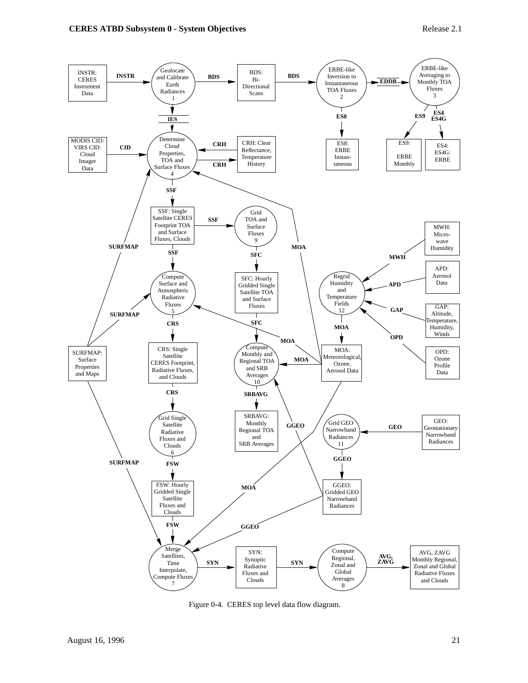

Figure 0-4. CERES top level data flow diagram.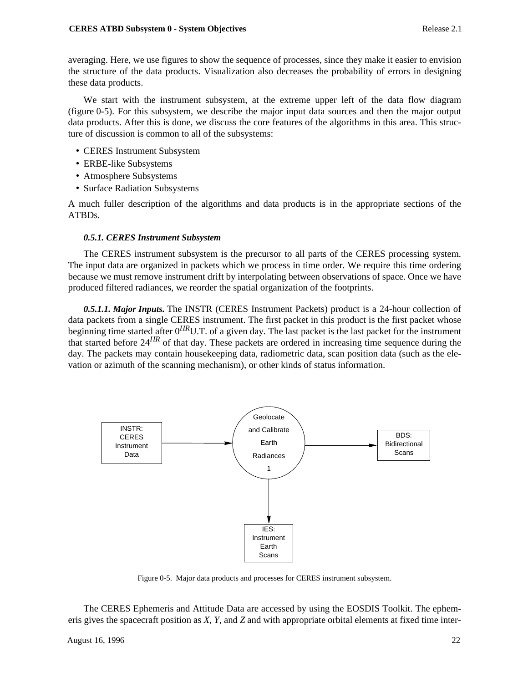averaging. Here, we use figures to show the sequence of processes, since they make it easier to envision the structure of the data products. Visualization also decreases the probability of errors in designing these data products.

We start with the instrument subsystem, at the extreme upper left of the data flow diagram (figure 0-5). For this subsystem, we describe the major input data sources and then the major output data products. After this is done, we discuss the core features of the algorithms in this area. This structure of discussion is common to all of the subsystems:

- CERES Instrument Subsystem
- ERBE-like Subsystems
- Atmosphere Subsystems
- Surface Radiation Subsystems

A much fuller description of the algorithms and data products is in the appropriate sections of the ATBDs.

# *0.5.1. CERES Instrument Subsystem*

The CERES instrument subsystem is the precursor to all parts of the CERES processing system. The input data are organized in packets which we process in time order. We require this time ordering because we must remove instrument drift by interpolating between observations of space. Once we have produced filtered radiances, we reorder the spatial organization of the footprints.

*0.5.1.1. Major Inputs.* The INSTR (CERES Instrument Packets) product is a 24-hour collection of data packets from a single CERES instrument. The first packet in this product is the first packet whose beginning time started after 0*HR*U.T. of a given day. The last packet is the last packet for the instrument that started before 24*HR* of that day. These packets are ordered in increasing time sequence during the day. The packets may contain housekeeping data, radiometric data, scan position data (such as the elevation or azimuth of the scanning mechanism), or other kinds of status information.



Figure 0-5. Major data products and processes for CERES instrument subsystem.

The CERES Ephemeris and Attitude Data are accessed by using the EOSDIS Toolkit. The ephemeris gives the spacecraft position as *X*, *Y*, and *Z* and with appropriate orbital elements at fixed time inter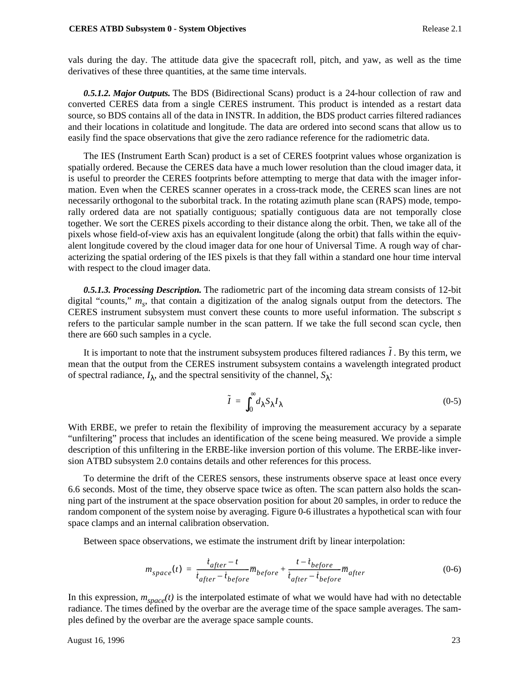vals during the day. The attitude data give the spacecraft roll, pitch, and yaw, as well as the time derivatives of these three quantities, at the same time intervals.

*0.5.1.2. Major Outputs.* The BDS (Bidirectional Scans) product is a 24-hour collection of raw and converted CERES data from a single CERES instrument. This product is intended as a restart data source, so BDS contains all of the data in INSTR. In addition, the BDS product carries filtered radiances and their locations in colatitude and longitude. The data are ordered into second scans that allow us to easily find the space observations that give the zero radiance reference for the radiometric data.

The IES (Instrument Earth Scan) product is a set of CERES footprint values whose organization is spatially ordered. Because the CERES data have a much lower resolution than the cloud imager data, it is useful to preorder the CERES footprints before attempting to merge that data with the imager information. Even when the CERES scanner operates in a cross-track mode, the CERES scan lines are not necessarily orthogonal to the suborbital track. In the rotating azimuth plane scan (RAPS) mode, temporally ordered data are not spatially contiguous; spatially contiguous data are not temporally close together. We sort the CERES pixels according to their distance along the orbit. Then, we take all of the pixels whose field-of-view axis has an equivalent longitude (along the orbit) that falls within the equivalent longitude covered by the cloud imager data for one hour of Universal Time. A rough way of characterizing the spatial ordering of the IES pixels is that they fall within a standard one hour time interval with respect to the cloud imager data.

*0.5.1.3. Processing Description.* The radiometric part of the incoming data stream consists of 12-bit digital "counts,"  $m_s$ , that contain a digitization of the analog signals output from the detectors. The CERES instrument subsystem must convert these counts to more useful information. The subscript *s* refers to the particular sample number in the scan pattern. If we take the full second scan cycle, then there are 660 such samples in a cycle.

It is important to note that the instrument subsystem produces filtered radiances  $\tilde{I}$ . By this term, we mean that the output from the CERES instrument subsystem contains a wavelength integrated product of spectral radiance,  $I_{\lambda}$ , and the spectral sensitivity of the channel,  $S_{\lambda}$ :

$$
\tilde{I} = \int_0^\infty d\lambda S_\lambda I_\lambda \tag{0-5}
$$

With ERBE, we prefer to retain the flexibility of improving the measurement accuracy by a separate "unfiltering" process that includes an identification of the scene being measured. We provide a simple description of this unfiltering in the ERBE-like inversion portion of this volume. The ERBE-like inversion ATBD subsystem 2.0 contains details and other references for this process.

To determine the drift of the CERES sensors, these instruments observe space at least once every 6.6 seconds. Most of the time, they observe space twice as often. The scan pattern also holds the scanning part of the instrument at the space observation position for about 20 samples, in order to reduce the random component of the system noise by averaging. Figure 0-6 illustrates a hypothetical scan with four space clamps and an internal calibration observation.

Between space observations, we estimate the instrument drift by linear interpolation:

$$
m_{space}(t) = \frac{i_{after} - t}{i_{after} - i_{before}} \overline{m}_{before} + \frac{t - i_{before}}{i_{after} - i_{before}} \overline{m}_{after}
$$
(0-6)

In this expression,  $m_{space}(t)$  is the interpolated estimate of what we would have had with no detectable radiance. The times defined by the overbar are the average time of the space sample averages. The samples defined by the overbar are the average space sample counts.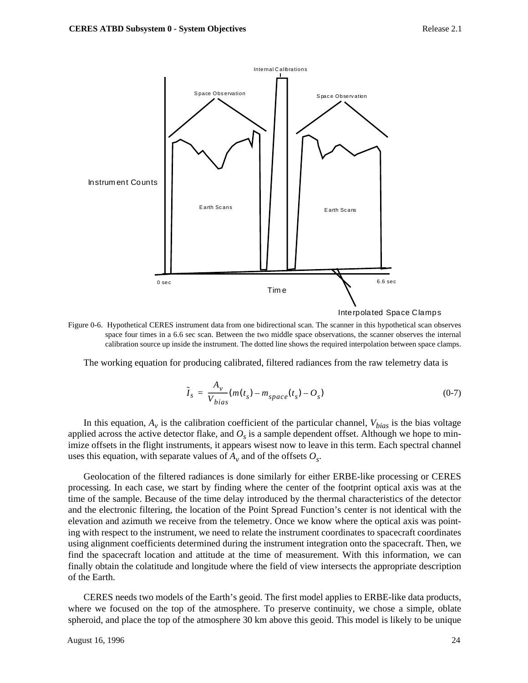

Figure 0-6. Hypothetical CERES instrument data from one bidirectional scan. The scanner in this hypothetical scan observes space four times in a 6.6 sec scan. Between the two middle space observations, the scanner observes the internal calibration source up inside the instrument. The dotted line shows the required interpolation between space clamps.

The working equation for producing calibrated, filtered radiances from the raw telemetry data is

$$
\tilde{I}_s = \frac{A_v}{V_{bias}} (m(t_s) - m_{space}(t_s) - O_s)
$$
\n(0-7)

In this equation,  $A_v$  is the calibration coefficient of the particular channel,  $V_{bias}$  is the bias voltage applied across the active detector flake, and  $O_s$  is a sample dependent offset. Although we hope to minimize offsets in the flight instruments, it appears wisest now to leave in this term. Each spectral channel uses this equation, with separate values of  $A_v$  and of the offsets  $O_s$ .

Geolocation of the filtered radiances is done similarly for either ERBE-like processing or CERES processing. In each case, we start by finding where the center of the footprint optical axis was at the time of the sample. Because of the time delay introduced by the thermal characteristics of the detector and the electronic filtering, the location of the Point Spread Function's center is not identical with the elevation and azimuth we receive from the telemetry. Once we know where the optical axis was pointing with respect to the instrument, we need to relate the instrument coordinates to spacecraft coordinates using alignment coefficients determined during the instrument integration onto the spacecraft. Then, we find the spacecraft location and attitude at the time of measurement. With this information, we can finally obtain the colatitude and longitude where the field of view intersects the appropriate description of the Earth.

CERES needs two models of the Earth's geoid. The first model applies to ERBE-like data products, where we focused on the top of the atmosphere. To preserve continuity, we chose a simple, oblate spheroid, and place the top of the atmosphere 30 km above this geoid. This model is likely to be unique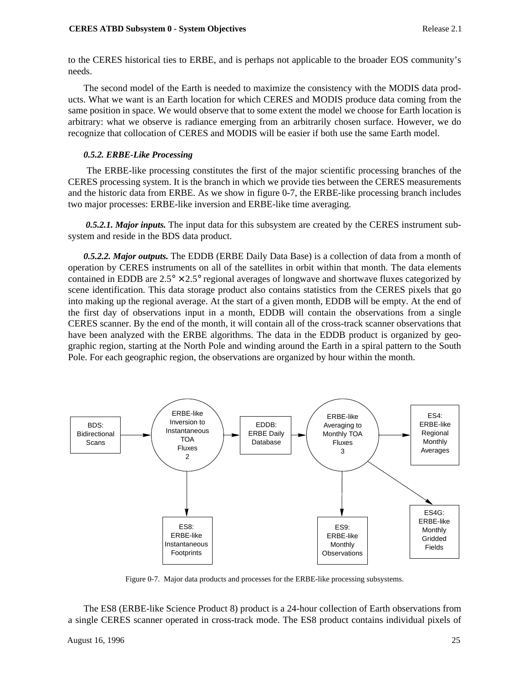to the CERES historical ties to ERBE, and is perhaps not applicable to the broader EOS community's needs.

The second model of the Earth is needed to maximize the consistency with the MODIS data products. What we want is an Earth location for which CERES and MODIS produce data coming from the same position in space. We would observe that to some extent the model we choose for Earth location is arbitrary: what we observe is radiance emerging from an arbitrarily chosen surface. However, we do recognize that collocation of CERES and MODIS will be easier if both use the same Earth model.

## *0.5.2. ERBE-Like Processing*

 The ERBE-like processing constitutes the first of the major scientific processing branches of the CERES processing system. It is the branch in which we provide ties between the CERES measurements and the historic data from ERBE. As we show in figure 0-7, the ERBE-like processing branch includes two major processes: ERBE-like inversion and ERBE-like time averaging.

 *0.5.2.1. Major inputs.* The input data for this subsystem are created by the CERES instrument subsystem and reside in the BDS data product.

*0.5.2.2. Major outputs.* The EDDB (ERBE Daily Data Base) is a collection of data from a month of operation by CERES instruments on all of the satellites in orbit within that month. The data elements contained in EDDB are  $2.5^{\circ} \times 2.5^{\circ}$  regional averages of longwave and shortwave fluxes categorized by scene identification. This data storage product also contains statistics from the CERES pixels that go into making up the regional average. At the start of a given month, EDDB will be empty. At the end of the first day of observations input in a month, EDDB will contain the observations from a single CERES scanner. By the end of the month, it will contain all of the cross-track scanner observations that have been analyzed with the ERBE algorithms. The data in the EDDB product is organized by geographic region, starting at the North Pole and winding around the Earth in a spiral pattern to the South Pole. For each geographic region, the observations are organized by hour within the month.



Figure 0-7. Major data products and processes for the ERBE-like processing subsystems.

The ES8 (ERBE-like Science Product 8) product is a 24-hour collection of Earth observations from a single CERES scanner operated in cross-track mode. The ES8 product contains individual pixels of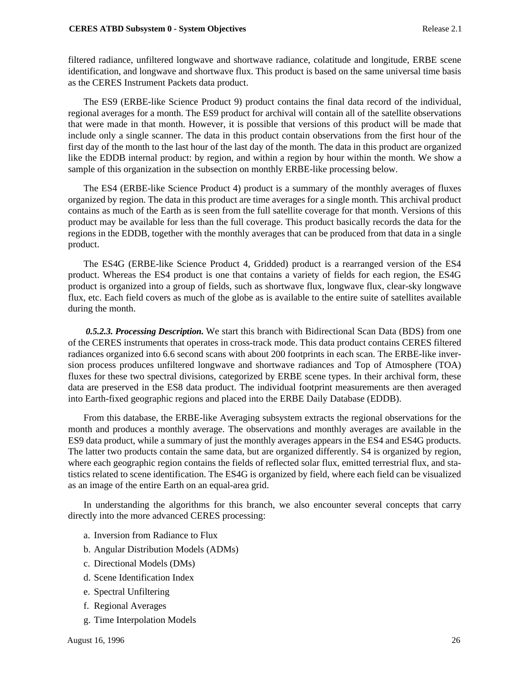filtered radiance, unfiltered longwave and shortwave radiance, colatitude and longitude, ERBE scene identification, and longwave and shortwave flux. This product is based on the same universal time basis as the CERES Instrument Packets data product.

The ES9 (ERBE-like Science Product 9) product contains the final data record of the individual, regional averages for a month. The ES9 product for archival will contain all of the satellite observations that were made in that month. However, it is possible that versions of this product will be made that include only a single scanner. The data in this product contain observations from the first hour of the first day of the month to the last hour of the last day of the month. The data in this product are organized like the EDDB internal product: by region, and within a region by hour within the month. We show a sample of this organization in the subsection on monthly ERBE-like processing below.

The ES4 (ERBE-like Science Product 4) product is a summary of the monthly averages of fluxes organized by region. The data in this product are time averages for a single month. This archival product contains as much of the Earth as is seen from the full satellite coverage for that month. Versions of this product may be available for less than the full coverage. This product basically records the data for the regions in the EDDB, together with the monthly averages that can be produced from that data in a single product.

The ES4G (ERBE-like Science Product 4, Gridded) product is a rearranged version of the ES4 product. Whereas the ES4 product is one that contains a variety of fields for each region, the ES4G product is organized into a group of fields, such as shortwave flux, longwave flux, clear-sky longwave flux, etc. Each field covers as much of the globe as is available to the entire suite of satellites available during the month.

 *0.5.2.3. Processing Description.* We start this branch with Bidirectional Scan Data (BDS) from one of the CERES instruments that operates in cross-track mode. This data product contains CERES filtered radiances organized into 6.6 second scans with about 200 footprints in each scan. The ERBE-like inversion process produces unfiltered longwave and shortwave radiances and Top of Atmosphere (TOA) fluxes for these two spectral divisions, categorized by ERBE scene types. In their archival form, these data are preserved in the ES8 data product. The individual footprint measurements are then averaged into Earth-fixed geographic regions and placed into the ERBE Daily Database (EDDB).

From this database, the ERBE-like Averaging subsystem extracts the regional observations for the month and produces a monthly average. The observations and monthly averages are available in the ES9 data product, while a summary of just the monthly averages appears in the ES4 and ES4G products. The latter two products contain the same data, but are organized differently. S4 is organized by region, where each geographic region contains the fields of reflected solar flux, emitted terrestrial flux, and statistics related to scene identification. The ES4G is organized by field, where each field can be visualized as an image of the entire Earth on an equal-area grid.

In understanding the algorithms for this branch, we also encounter several concepts that carry directly into the more advanced CERES processing:

- a. Inversion from Radiance to Flux
- b. Angular Distribution Models (ADMs)
- c. Directional Models (DMs)
- d. Scene Identification Index
- e. Spectral Unfiltering
- f. Regional Averages
- g. Time Interpolation Models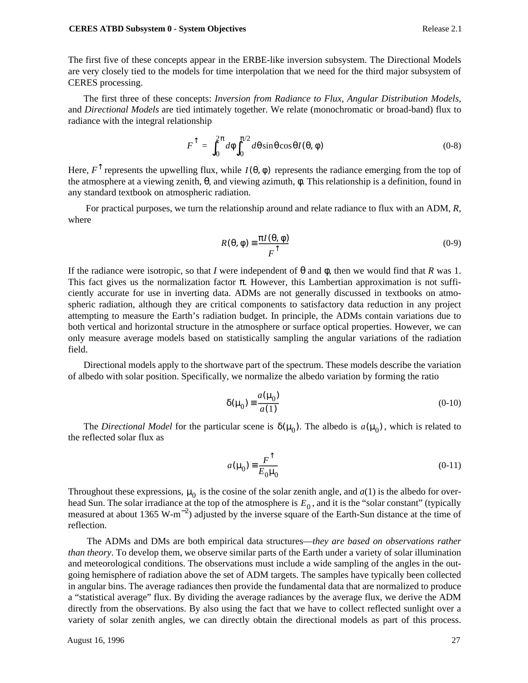The first five of these concepts appear in the ERBE-like inversion subsystem. The Directional Models are very closely tied to the models for time interpolation that we need for the third major subsystem of CERES processing.

The first three of these concepts: *Inversion from Radiance to Flux, Angular Distribution Models,* and *Directional Models* are tied intimately together. We relate (monochromatic or broad-band) flux to radiance with the integral relationship

$$
F^{\uparrow} = \int_0^{2\pi} d\phi \int_0^{\pi/2} d\theta \sin\theta \cos\theta I(\theta, \phi) \tag{0-8}
$$

Here,  $F^{\uparrow}$  represents the upwelling flux, while  $I(\theta, \phi)$  represents the radiance emerging from the top of the atmosphere at a viewing zenith, θ, and viewing azimuth, φ. This relationship is a definition, found in any standard textbook on atmospheric radiation.

 For practical purposes, we turn the relationship around and relate radiance to flux with an ADM, *R*, where

$$
R(\theta, \phi) \equiv \frac{\pi I(\theta, \phi)}{F^{\uparrow}}
$$
 (0-9)

If the radiance were isotropic, so that *I* were independent of  $\theta$  and  $\phi$ , then we would find that *R* was 1. This fact gives us the normalization factor  $\pi$ . However, this Lambertian approximation is not sufficiently accurate for use in inverting data. ADMs are not generally discussed in textbooks on atmospheric radiation, although they are critical components to satisfactory data reduction in any project attempting to measure the Earth's radiation budget. In principle, the ADMs contain variations due to both vertical and horizontal structure in the atmosphere or surface optical properties. However, we can only measure average models based on statistically sampling the angular variations of the radiation field.

Directional models apply to the shortwave part of the spectrum. These models describe the variation of albedo with solar position. Specifically, we normalize the albedo variation by forming the ratio

$$
\delta(\mu_0) \equiv \frac{a(\mu_0)}{a(1)}\tag{0-10}
$$

The *Directional Model* for the particular scene is  $\delta(\mu_0)$ . The albedo is  $a(\mu_0)$ , which is related to the reflected solar flux as

$$
a(\mu_0) \equiv \frac{F^{\uparrow}}{E_0 \mu_0} \tag{0-11}
$$

Throughout these expressions,  $\mu_0$  is the cosine of the solar zenith angle, and  $a(1)$  is the albedo for overhead Sun. The solar irradiance at the top of the atmosphere is  $E_0$ , and it is the "solar constant" (typically measured at about 1365 W-m<sup>-2</sup>) adjusted by the inverse square of the Earth-Sun distance at the time of reflection.

 The ADMs and DMs are both empirical data structures—*they are based on observations rather than theory*. To develop them, we observe similar parts of the Earth under a variety of solar illumination and meteorological conditions. The observations must include a wide sampling of the angles in the outgoing hemisphere of radiation above the set of ADM targets. The samples have typically been collected in angular bins. The average radiances then provide the fundamental data that are normalized to produce a "statistical average" flux. By dividing the average radiances by the average flux, we derive the ADM directly from the observations. By also using the fact that we have to collect reflected sunlight over a variety of solar zenith angles, we can directly obtain the directional models as part of this process.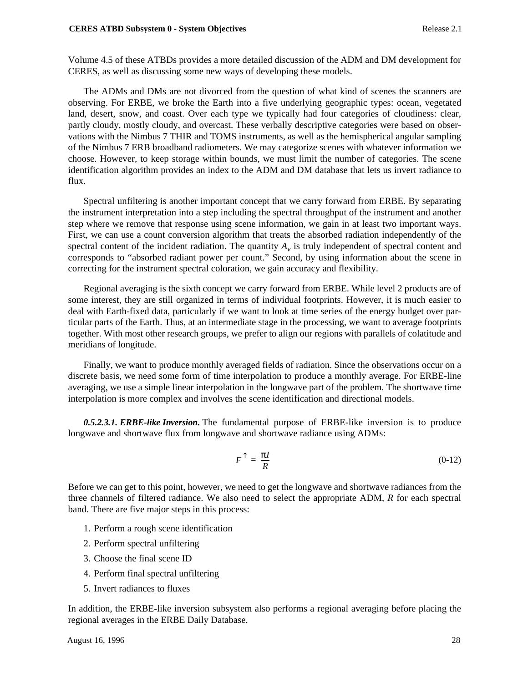#### **CERES ATBD Subsystem 0 - System Objectives** Release 2.1

Volume 4.5 of these ATBDs provides a more detailed discussion of the ADM and DM development for CERES, as well as discussing some new ways of developing these models.

The ADMs and DMs are not divorced from the question of what kind of scenes the scanners are observing. For ERBE, we broke the Earth into a five underlying geographic types: ocean, vegetated land, desert, snow, and coast. Over each type we typically had four categories of cloudiness: clear, partly cloudy, mostly cloudy, and overcast. These verbally descriptive categories were based on observations with the Nimbus 7 THIR and TOMS instruments, as well as the hemispherical angular sampling of the Nimbus 7 ERB broadband radiometers. We may categorize scenes with whatever information we choose. However, to keep storage within bounds, we must limit the number of categories. The scene identification algorithm provides an index to the ADM and DM database that lets us invert radiance to flux.

Spectral unfiltering is another important concept that we carry forward from ERBE. By separating the instrument interpretation into a step including the spectral throughput of the instrument and another step where we remove that response using scene information, we gain in at least two important ways. First, we can use a count conversion algorithm that treats the absorbed radiation independently of the spectral content of the incident radiation. The quantity  $A<sub>v</sub>$  is truly independent of spectral content and corresponds to "absorbed radiant power per count." Second, by using information about the scene in correcting for the instrument spectral coloration, we gain accuracy and flexibility.

Regional averaging is the sixth concept we carry forward from ERBE. While level 2 products are of some interest, they are still organized in terms of individual footprints. However, it is much easier to deal with Earth-fixed data, particularly if we want to look at time series of the energy budget over particular parts of the Earth. Thus, at an intermediate stage in the processing, we want to average footprints together. With most other research groups, we prefer to align our regions with parallels of colatitude and meridians of longitude.

Finally, we want to produce monthly averaged fields of radiation. Since the observations occur on a discrete basis, we need some form of time interpolation to produce a monthly average. For ERBE-line averaging, we use a simple linear interpolation in the longwave part of the problem. The shortwave time interpolation is more complex and involves the scene identification and directional models.

*0.5.2.3.1. ERBE-like Inversion.* The fundamental purpose of ERBE-like inversion is to produce longwave and shortwave flux from longwave and shortwave radiance using ADMs:

$$
F^{\uparrow} = \frac{\pi I}{R} \tag{0-12}
$$

Before we can get to this point, however, we need to get the longwave and shortwave radiances from the three channels of filtered radiance. We also need to select the appropriate ADM, *R* for each spectral band. There are five major steps in this process:

- 1. Perform a rough scene identification
- 2. Perform spectral unfiltering
- 3. Choose the final scene ID
- 4. Perform final spectral unfiltering
- 5. Invert radiances to fluxes

In addition, the ERBE-like inversion subsystem also performs a regional averaging before placing the regional averages in the ERBE Daily Database.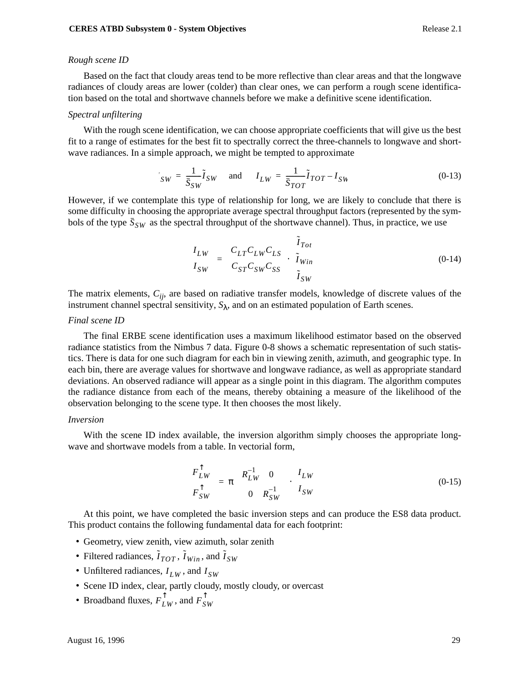#### *Rough scene ID*

Based on the fact that cloudy areas tend to be more reflective than clear areas and that the longwave radiances of cloudy areas are lower (colder) than clear ones, we can perform a rough scene identification based on the total and shortwave channels before we make a definitive scene identification.

#### *Spectral unfiltering*

With the rough scene identification, we can choose appropriate coefficients that will give us the best fit to a range of estimates for the best fit to spectrally correct the three-channels to longwave and shortwave radiances. In a simple approach, we might be tempted to approximate

$$
V_{SW} = \frac{1}{\overline{S}_{SW}} \widetilde{I}_{SW} \quad \text{and} \quad I_{LW} = \frac{1}{\overline{S}_{TOT}} \widetilde{I}_{TOT} - I_{SW}
$$
 (0-13)

However, if we contemplate this type of relationship for long, we are likely to conclude that there is some difficulty in choosing the appropriate average spectral throughput factors (represented by the symbols of the type  $\bar{S}_{SW}$  as the spectral throughput of the shortwave channel). Thus, in practice, we use

$$
\begin{pmatrix} I_{LW} \\ I_{SW} \end{pmatrix} = \begin{pmatrix} C_{LT}C_{LW}C_{LS} \\ C_{ST}C_{SW}C_{SS} \end{pmatrix} \cdot \begin{pmatrix} \tilde{I}_{Tot} \\ \tilde{I}_{Win} \\ \tilde{I}_{SW} \end{pmatrix}
$$
(0-14)

The matrix elements, *Cij*, are based on radiative transfer models, knowledge of discrete values of the instrument channel spectral sensitivity,  $S_{\lambda}$ , and on an estimated population of Earth scenes.

#### *Final scene ID*

The final ERBE scene identification uses a maximum likelihood estimator based on the observed radiance statistics from the Nimbus 7 data. Figure 0-8 shows a schematic representation of such statistics. There is data for one such diagram for each bin in viewing zenith, azimuth, and geographic type. In each bin, there are average values for shortwave and longwave radiance, as well as appropriate standard deviations. An observed radiance will appear as a single point in this diagram. The algorithm computes the radiance distance from each of the means, thereby obtaining a measure of the likelihood of the observation belonging to the scene type. It then chooses the most likely.

#### *Inversion*

With the scene ID index available, the inversion algorithm simply chooses the appropriate longwave and shortwave models from a table. In vectorial form,

$$
\begin{pmatrix} F_{LW}^{\uparrow} \\ F_{SW}^{\uparrow} \end{pmatrix} = \pi \begin{pmatrix} R_{LW}^{-1} & 0 \\ 0 & R_{SW}^{-1} \end{pmatrix} \cdot \begin{pmatrix} I_{LW} \\ I_{SW} \end{pmatrix}
$$
 (0-15)

At this point, we have completed the basic inversion steps and can produce the ES8 data product. This product contains the following fundamental data for each footprint:

- Geometry, view zenith, view azimuth, solar zenith
- Filtered radiances,  $\tilde{I}_{TOT}$ ,  $\tilde{I}_{Win}$ , and  $\tilde{I}_{SW}$
- Unfiltered radiances,  $I_{LW}$ , and  $I_{SW}$
- Scene ID index, clear, partly cloudy, mostly cloudy, or overcast
- Broadband fluxes,  $F_{LW}^{\uparrow}$ , and  $F_{SW}^{\uparrow}$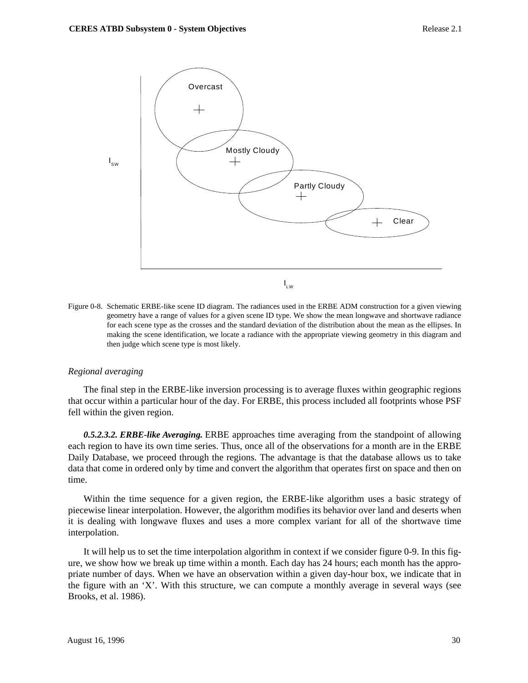

Figure 0-8. Schematic ERBE-like scene ID diagram. The radiances used in the ERBE ADM construction for a given viewing geometry have a range of values for a given scene ID type. We show the mean longwave and shortwave radiance for each scene type as the crosses and the standard deviation of the distribution about the mean as the ellipses. In making the scene identification, we locate a radiance with the appropriate viewing geometry in this diagram and then judge which scene type is most likely.

### *Regional averaging*

The final step in the ERBE-like inversion processing is to average fluxes within geographic regions that occur within a particular hour of the day. For ERBE, this process included all footprints whose PSF fell within the given region.

*0.5.2.3.2. ERBE-like Averaging.* ERBE approaches time averaging from the standpoint of allowing each region to have its own time series. Thus, once all of the observations for a month are in the ERBE Daily Database, we proceed through the regions. The advantage is that the database allows us to take data that come in ordered only by time and convert the algorithm that operates first on space and then on time.

Within the time sequence for a given region, the ERBE-like algorithm uses a basic strategy of piecewise linear interpolation. However, the algorithm modifies its behavior over land and deserts when it is dealing with longwave fluxes and uses a more complex variant for all of the shortwave time interpolation.

It will help us to set the time interpolation algorithm in context if we consider figure 0-9. In this figure, we show how we break up time within a month. Each day has 24 hours; each month has the appropriate number of days. When we have an observation within a given day-hour box, we indicate that in the figure with an 'X'. With this structure, we can compute a monthly average in several ways (see Brooks, et al. 1986).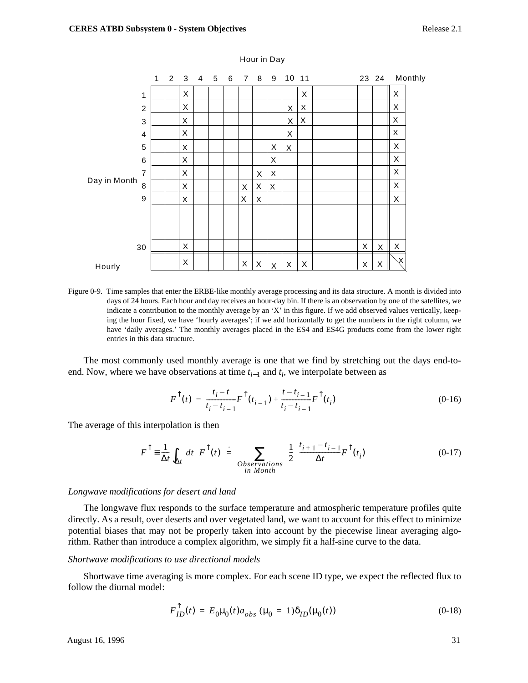

#### Hour in Day

Figure 0-9. Time samples that enter the ERBE-like monthly average processing and its data structure. A month is divided into days of 24 hours. Each hour and day receives an hour-day bin. If there is an observation by one of the satellites, we indicate a contribution to the monthly average by an 'X' in this figure. If we add observed values vertically, keeping the hour fixed, we have 'hourly averages'; if we add horizontally to get the numbers in the right column, we have 'daily averages.' The monthly averages placed in the ES4 and ES4G products come from the lower right entries in this data structure.

The most commonly used monthly average is one that we find by stretching out the days end-toend. Now, where we have observations at time  $t_{i-1}$  and  $t_i$ , we interpolate between as

$$
F^{\uparrow}(t) = \frac{t_i - t}{t_i - t_{i-1}} F^{\uparrow}(t_{i-1}) + \frac{t - t_{i-1}}{t_i - t_{i-1}} F^{\uparrow}(t_i)
$$
\n(0-16)

The average of this interpolation is then

$$
F^{\uparrow} = \frac{1}{\Delta t} \int_{\Delta t} dt \ F^{\uparrow}(t) = \sum_{\substack{Observations \\ in \; Month}} \frac{1}{2} \frac{t_{i+1} - t_{i-1}}{\Delta t} F^{\uparrow}(t_i)
$$
 (0-17)

#### *Longwave modifications for desert and land*

The longwave flux responds to the surface temperature and atmospheric temperature profiles quite directly. As a result, over deserts and over vegetated land, we want to account for this effect to minimize potential biases that may not be properly taken into account by the piecewise linear averaging algorithm. Rather than introduce a complex algorithm, we simply fit a half-sine curve to the data.

#### *Shortwave modifications to use directional models*

Shortwave time averaging is more complex. For each scene ID type, we expect the reflected flux to follow the diurnal model:

$$
F_{ID}^{\uparrow}(t) = E_0 \mu_0(t) a_{obs} \ (\mu_0 = 1) \delta_{ID}(\mu_0(t)) \tag{0-18}
$$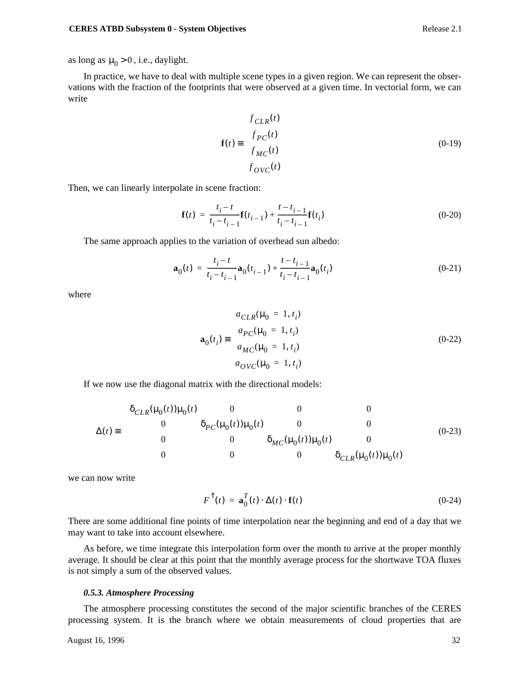as long as  $\mu_0 > 0$ , i.e., daylight.

In practice, we have to deal with multiple scene types in a given region. We can represent the observations with the fraction of the footprints that were observed at a given time. In vectorial form, we can write

$$
\mathbf{f}(t) = \begin{pmatrix} f_{CLR}(t) \\ f_{PC}(t) \\ f_{MC}(t) \\ f_{OVC}(t) \end{pmatrix}
$$
 (0-19)

Then, we can linearly interpolate in scene fraction:

$$
\mathbf{f}(t) = \frac{t_i - t}{t_i - t_{i-1}} \mathbf{f}(t_{i-1}) + \frac{t - t_{i-1}}{t_i - t_{i-1}} \mathbf{f}(t_i)
$$
(0-20)

The same approach applies to the variation of overhead sun albedo:

$$
\mathbf{a}_{0}(t) = \frac{t_{i} - t}{t_{i} - t_{i-1}} \mathbf{a}_{0}(t_{i-1}) + \frac{t - t_{i-1}}{t_{i} - t_{i-1}} \mathbf{a}_{0}(t_{i})
$$
(0-21)

where

$$
\mathbf{a}_{0}(t_{i}) \equiv \begin{pmatrix} a_{CLR}(\mu_{0} = 1, t_{i}) \\ a_{PC}(\mu_{0} = 1, t_{i}) \\ a_{MC}(\mu_{0} = 1, t_{i}) \\ a_{OVC}(\mu_{0} = 1, t_{i}) \end{pmatrix}
$$
(0-22)

If we now use the diagonal matrix with the directional models:

$$
\Delta(t) = \begin{pmatrix}\n\delta_{CLR}(\mu_0(t))\mu_0(t) & 0 & 0 & 0 \\
0 & \delta_{PC}(\mu_0(t))\mu_0(t) & 0 & 0 \\
0 & 0 & \delta_{MC}(\mu_0(t))\mu_0(t) & 0 \\
0 & 0 & 0 & \delta_{CLR}(\mu_0(t))\mu_0(t)\n\end{pmatrix}
$$
\n(0-23)

we can now write

$$
F^{\uparrow}(t) = \mathbf{a}_0^T(t) \cdot \Delta(t) \cdot \mathbf{f}(t)
$$
\n(0-24)

There are some additional fine points of time interpolation near the beginning and end of a day that we may want to take into account elsewhere.

As before, we time integrate this interpolation form over the month to arrive at the proper monthly average. It should be clear at this point that the monthly average process for the shortwave TOA fluxes is not simply a sum of the observed values.

## *0.5.3. Atmosphere Processing*

The atmosphere processing constitutes the second of the major scientific branches of the CERES processing system. It is the branch where we obtain measurements of cloud properties that are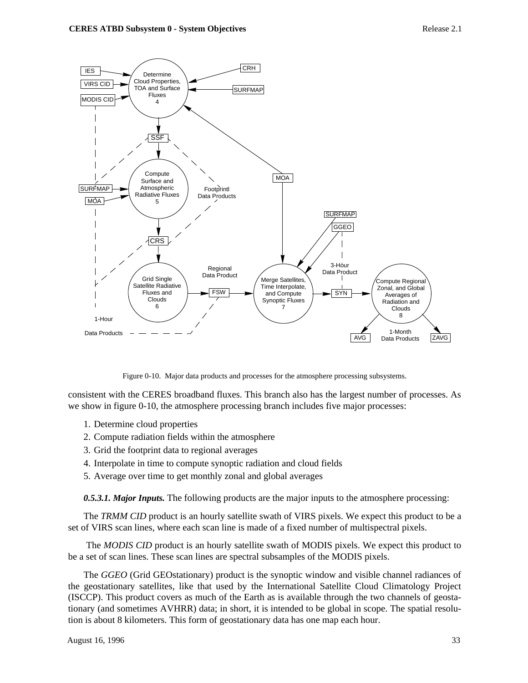

Figure 0-10. Major data products and processes for the atmosphere processing subsystems.

consistent with the CERES broadband fluxes. This branch also has the largest number of processes. As we show in figure 0-10, the atmosphere processing branch includes five major processes:

- 1. Determine cloud properties
- 2. Compute radiation fields within the atmosphere
- 3. Grid the footprint data to regional averages
- 4. Interpolate in time to compute synoptic radiation and cloud fields
- 5. Average over time to get monthly zonal and global averages

*0.5.3.1. Major Inputs.* The following products are the major inputs to the atmosphere processing:

The *TRMM CID* product is an hourly satellite swath of VIRS pixels. We expect this product to be a set of VIRS scan lines, where each scan line is made of a fixed number of multispectral pixels.

 The *MODIS CID* product is an hourly satellite swath of MODIS pixels. We expect this product to be a set of scan lines. These scan lines are spectral subsamples of the MODIS pixels.

The *GGEO* (Grid GEOstationary) product is the synoptic window and visible channel radiances of the geostationary satellites, like that used by the International Satellite Cloud Climatology Project (ISCCP). This product covers as much of the Earth as is available through the two channels of geostationary (and sometimes AVHRR) data; in short, it is intended to be global in scope. The spatial resolution is about 8 kilometers. This form of geostationary data has one map each hour.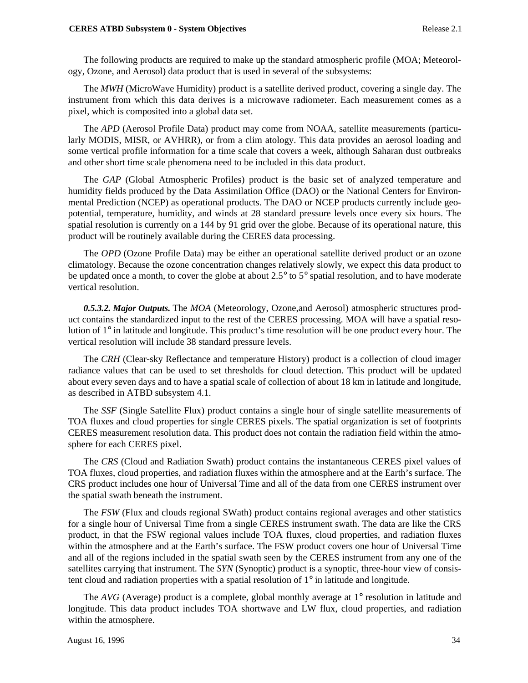#### **CERES ATBD Subsystem 0 - System Objectives** Release 2.1

The following products are required to make up the standard atmospheric profile (MOA; Meteorology, Ozone, and Aerosol) data product that is used in several of the subsystems:

The *MWH* (MicroWave Humidity) product is a satellite derived product, covering a single day. The instrument from which this data derives is a microwave radiometer. Each measurement comes as a pixel, which is composited into a global data set.

The *APD* (Aerosol Profile Data) product may come from NOAA, satellite measurements (particularly MODIS, MISR, or AVHRR), or from a clim atology. This data provides an aerosol loading and some vertical profile information for a time scale that covers a week, although Saharan dust outbreaks and other short time scale phenomena need to be included in this data product.

The *GAP* (Global Atmospheric Profiles) product is the basic set of analyzed temperature and humidity fields produced by the Data Assimilation Office (DAO) or the National Centers for Environmental Prediction (NCEP) as operational products. The DAO or NCEP products currently include geopotential, temperature, humidity, and winds at 28 standard pressure levels once every six hours. The spatial resolution is currently on a 144 by 91 grid over the globe. Because of its operational nature, this product will be routinely available during the CERES data processing.

The *OPD* (Ozone Profile Data) may be either an operational satellite derived product or an ozone climatology. Because the ozone concentration changes relatively slowly, we expect this data product to be updated once a month, to cover the globe at about 2.5° to 5° spatial resolution, and to have moderate vertical resolution.

*0.5.3.2. Major Outputs.* The *MOA* (Meteorology, Ozone,and Aerosol) atmospheric structures product contains the standardized input to the rest of the CERES processing. MOA will have a spatial resolution of 1° in latitude and longitude. This product's time resolution will be one product every hour. The vertical resolution will include 38 standard pressure levels.

The *CRH* (Clear-sky Reflectance and temperature History) product is a collection of cloud imager radiance values that can be used to set thresholds for cloud detection. This product will be updated about every seven days and to have a spatial scale of collection of about 18 km in latitude and longitude, as described in ATBD subsystem 4.1.

The *SSF* (Single Satellite Flux) product contains a single hour of single satellite measurements of TOA fluxes and cloud properties for single CERES pixels. The spatial organization is set of footprints CERES measurement resolution data. This product does not contain the radiation field within the atmosphere for each CERES pixel.

The *CRS* (Cloud and Radiation Swath) product contains the instantaneous CERES pixel values of TOA fluxes, cloud properties, and radiation fluxes within the atmosphere and at the Earth's surface. The CRS product includes one hour of Universal Time and all of the data from one CERES instrument over the spatial swath beneath the instrument.

The *FSW* (Flux and clouds regional SWath) product contains regional averages and other statistics for a single hour of Universal Time from a single CERES instrument swath. The data are like the CRS product, in that the FSW regional values include TOA fluxes, cloud properties, and radiation fluxes within the atmosphere and at the Earth's surface. The FSW product covers one hour of Universal Time and all of the regions included in the spatial swath seen by the CERES instrument from any one of the satellites carrying that instrument. The *SYN* (Synoptic) product is a synoptic, three-hour view of consistent cloud and radiation properties with a spatial resolution of 1° in latitude and longitude.

The *AVG* (Average) product is a complete, global monthly average at 1° resolution in latitude and longitude. This data product includes TOA shortwave and LW flux, cloud properties, and radiation within the atmosphere.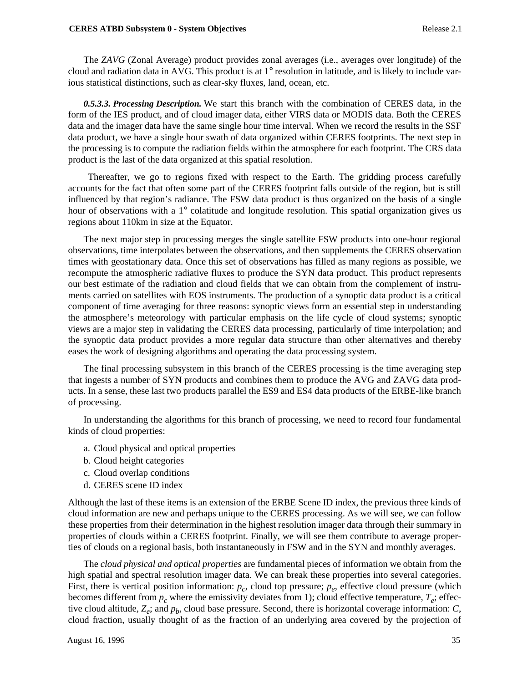The *ZAVG* (Zonal Average) product provides zonal averages (i.e., averages over longitude) of the cloud and radiation data in AVG. This product is at  $1^\circ$  resolution in latitude, and is likely to include various statistical distinctions, such as clear-sky fluxes, land, ocean, etc.

*0.5.3.3. Processing Description.* We start this branch with the combination of CERES data, in the form of the IES product, and of cloud imager data, either VIRS data or MODIS data. Both the CERES data and the imager data have the same single hour time interval. When we record the results in the SSF data product, we have a single hour swath of data organized within CERES footprints. The next step in the processing is to compute the radiation fields within the atmosphere for each footprint. The CRS data product is the last of the data organized at this spatial resolution.

 Thereafter, we go to regions fixed with respect to the Earth. The gridding process carefully accounts for the fact that often some part of the CERES footprint falls outside of the region, but is still influenced by that region's radiance. The FSW data product is thus organized on the basis of a single hour of observations with a 1° colatitude and longitude resolution. This spatial organization gives us regions about 110km in size at the Equator.

The next major step in processing merges the single satellite FSW products into one-hour regional observations, time interpolates between the observations, and then supplements the CERES observation times with geostationary data. Once this set of observations has filled as many regions as possible, we recompute the atmospheric radiative fluxes to produce the SYN data product. This product represents our best estimate of the radiation and cloud fields that we can obtain from the complement of instruments carried on satellites with EOS instruments. The production of a synoptic data product is a critical component of time averaging for three reasons: synoptic views form an essential step in understanding the atmosphere's meteorology with particular emphasis on the life cycle of cloud systems; synoptic views are a major step in validating the CERES data processing, particularly of time interpolation; and the synoptic data product provides a more regular data structure than other alternatives and thereby eases the work of designing algorithms and operating the data processing system.

The final processing subsystem in this branch of the CERES processing is the time averaging step that ingests a number of SYN products and combines them to produce the AVG and ZAVG data products. In a sense, these last two products parallel the ES9 and ES4 data products of the ERBE-like branch of processing.

In understanding the algorithms for this branch of processing, we need to record four fundamental kinds of cloud properties:

- a. Cloud physical and optical properties
- b. Cloud height categories
- c. Cloud overlap conditions
- d. CERES scene ID index

Although the last of these items is an extension of the ERBE Scene ID index, the previous three kinds of cloud information are new and perhaps unique to the CERES processing. As we will see, we can follow these properties from their determination in the highest resolution imager data through their summary in properties of clouds within a CERES footprint. Finally, we will see them contribute to average properties of clouds on a regional basis, both instantaneously in FSW and in the SYN and monthly averages.

The *cloud physical and optical properties* are fundamental pieces of information we obtain from the high spatial and spectral resolution imager data. We can break these properties into several categories. First, there is vertical position information:  $p_c$ , cloud top pressure;  $p_e$ , effective cloud pressure (which becomes different from  $p_c$  where the emissivity deviates from 1); cloud effective temperature,  $T_e$ ; effective cloud altitude,  $Z_e$ ; and  $p_b$ , cloud base pressure. Second, there is horizontal coverage information: *C*, cloud fraction, usually thought of as the fraction of an underlying area covered by the projection of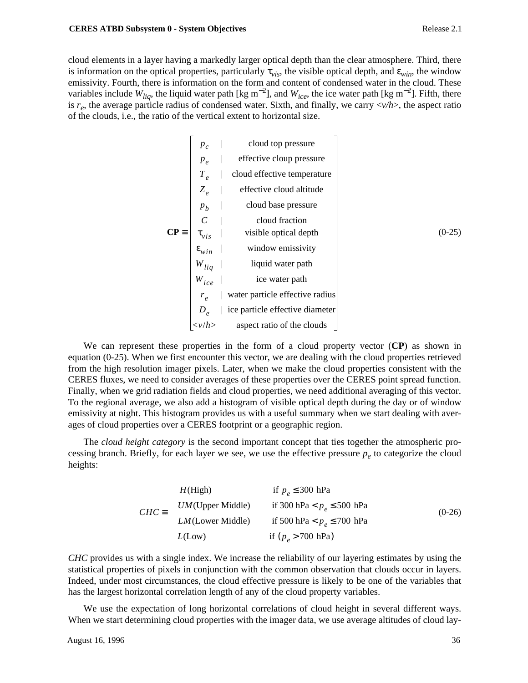cloud elements in a layer having a markedly larger optical depth than the clear atmosphere. Third, there is information on the optical properties, particularly  $\tau_{vis}$ , the visible optical depth, and  $\varepsilon_{win}$ , the window emissivity. Fourth, there is information on the form and content of condensed water in the cloud. These variables include  $W_{liq}$ , the liquid water path [kg m<sup>-2</sup>], and  $W_{ice}$ , the ice water path [kg m<sup>-2</sup>]. Fifth, there is *re*, the average particle radius of condensed water. Sixth, and finally, we carry <*v/h*>, the aspect ratio of the clouds, i.e., the ratio of the vertical extent to horizontal size.

$$
p_c
$$
 | cloud top pressure  
\n $p_e$  | effective cloup pressure  
\n $T_e$  | cloud effective temperature  
\n $Z_e$  | effective cloud altitude  
\n $p_b$  | cloud base pressure  
\n $C$  | cloud fraction  
\n $\tau_{vis}$  | visible optical depth  
\n $\epsilon_{win}$  | window emissivity  
\n $W_{liq}$  | liquid water path  
\n $W_{ice}$  | ice water path  
\n $r_e$  | water particle effective radius  
\n $D_e$  | ice particle effective diameter  
\n $\langle v/h \rangle$  aspect ratio of the clouds

We can represent these properties in the form of a cloud property vector (**CP**) as shown in equation (0-25). When we first encounter this vector, we are dealing with the cloud properties retrieved from the high resolution imager pixels. Later, when we make the cloud properties consistent with the CERES fluxes, we need to consider averages of these properties over the CERES point spread function. Finally, when we grid radiation fields and cloud properties, we need additional averaging of this vector. To the regional average, we also add a histogram of visible optical depth during the day or of window emissivity at night. This histogram provides us with a useful summary when we start dealing with averages of cloud properties over a CERES footprint or a geographic region.

The *cloud height category* is the second important concept that ties together the atmospheric processing branch. Briefly, for each layer we see, we use the effective pressure  $p_e$  to categorize the cloud heights:

 $\mathbf{I}$ 

|                                                                                                        | if $p_e \leq 300$ hPa          |          |
|--------------------------------------------------------------------------------------------------------|--------------------------------|----------|
| $CHC = \begin{cases} H(\text{High}) \\ UM(\text{Upper Middle}) \\ LM(\text{Lower Middle}) \end{cases}$ | if 300 hPa < $p_e \le 500$ hPa | $(0-26)$ |
|                                                                                                        | if 500 hPa < $p_e \le 700$ hPa |          |
| $\mid$ $L(\text{Low})$                                                                                 | if $(p_e > 700 \text{ hPa})$   |          |
|                                                                                                        |                                |          |

*CHC* provides us with a single index. We increase the reliability of our layering estimates by using the statistical properties of pixels in conjunction with the common observation that clouds occur in layers. Indeed, under most circumstances, the cloud effective pressure is likely to be one of the variables that has the largest horizontal correlation length of any of the cloud property variables.

We use the expectation of long horizontal correlations of cloud height in several different ways. When we start determining cloud properties with the imager data, we use average altitudes of cloud lay-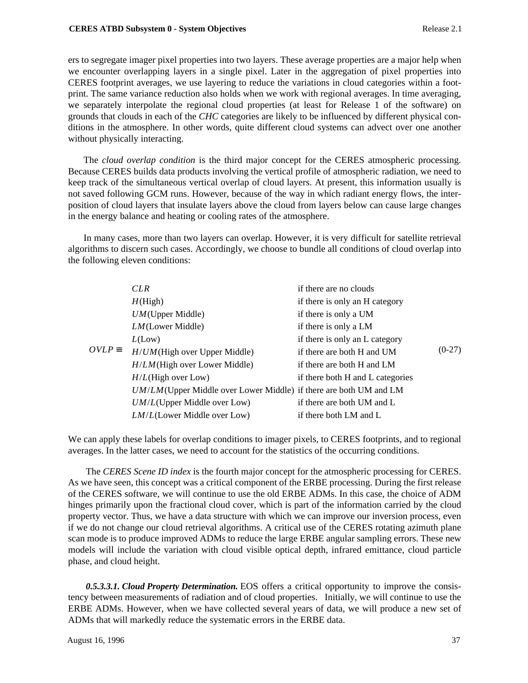ers to segregate imager pixel properties into two layers. These average properties are a major help when we encounter overlapping layers in a single pixel. Later in the aggregation of pixel properties into CERES footprint averages, we use layering to reduce the variations in cloud categories within a footprint. The same variance reduction also holds when we work with regional averages. In time averaging, we separately interpolate the regional cloud properties (at least for Release 1 of the software) on grounds that clouds in each of the *CHC* categories are likely to be influenced by different physical conditions in the atmosphere. In other words, quite different cloud systems can advect over one another without physically interacting.

The *cloud overlap condition* is the third major concept for the CERES atmospheric processing. Because CERES builds data products involving the vertical profile of atmospheric radiation, we need to keep track of the simultaneous vertical overlap of cloud layers. At present, this information usually is not saved following GCM runs. However, because of the way in which radiant energy flows, the interposition of cloud layers that insulate layers above the cloud from layers below can cause large changes in the energy balance and heating or cooling rates of the atmosphere.

In many cases, more than two layers can overlap. However, it is very difficult for satellite retrieval algorithms to discern such cases. Accordingly, we choose to bundle all conditions of cloud overlap into the following eleven conditions:

|                | CLR                                                                  | if there are no clouds           |          |
|----------------|----------------------------------------------------------------------|----------------------------------|----------|
|                | H(High)                                                              | if there is only an H category   |          |
|                | $UM$ (Upper Middle)                                                  | if there is only a UM            |          |
|                | $LM$ (Lower Middle)                                                  | if there is only a LM            |          |
|                | L(Low)                                                               | if there is only an L category   |          |
| $OVI.P \equiv$ | $H/UM$ (High over Upper Middle)                                      | if there are both H and UM       | $(0-27)$ |
|                | $H/LM$ (High over Lower Middle)                                      | if there are both H and LM       |          |
|                | $H/L$ (High over Low)                                                | if there both H and L categories |          |
|                | $UM/LM$ (Upper Middle over Lower Middle) if there are both UM and LM |                                  |          |
|                | $UM/L$ (Upper Middle over Low)                                       | if there are both UM and L       |          |
|                | $LM/L$ (Lower Middle over Low)                                       | if there both LM and L           |          |
|                |                                                                      |                                  |          |

We can apply these labels for overlap conditions to imager pixels, to CERES footprints, and to regional averages. In the latter cases, we need to account for the statistics of the occurring conditions.

 The *CERES Scene ID index* is the fourth major concept for the atmospheric processing for CERES. As we have seen, this concept was a critical component of the ERBE processing. During the first release of the CERES software, we will continue to use the old ERBE ADMs. In this case, the choice of ADM hinges primarily upon the fractional cloud cover, which is part of the information carried by the cloud property vector. Thus, we have a data structure with which we can improve our inversion process, even if we do not change our cloud retrieval algorithms. A critical use of the CERES rotating azimuth plane scan mode is to produce improved ADMs to reduce the large ERBE angular sampling errors. These new models will include the variation with cloud visible optical depth, infrared emittance, cloud particle phase, and cloud height.

 *0.5.3.3.1. Cloud Property Determination.* EOS offers a critical opportunity to improve the consistency between measurements of radiation and of cloud properties. Initially, we will continue to use the ERBE ADMs. However, when we have collected several years of data, we will produce a new set of ADMs that will markedly reduce the systematic errors in the ERBE data.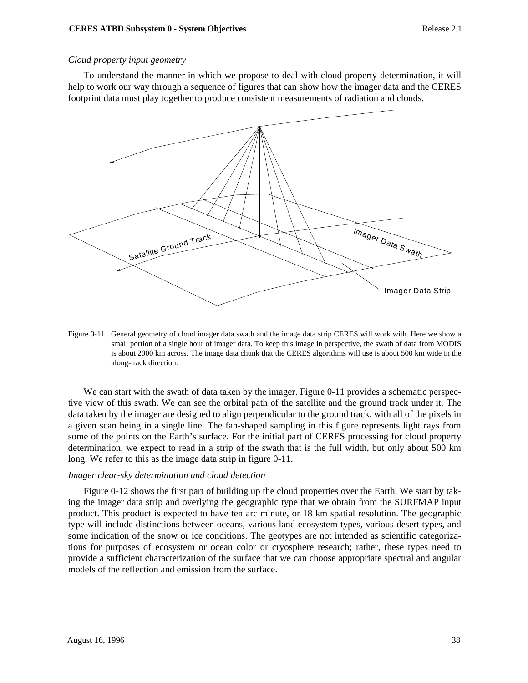### *Cloud property input geometry*

To understand the manner in which we propose to deal with cloud property determination, it will help to work our way through a sequence of figures that can show how the imager data and the CERES footprint data must play together to produce consistent measurements of radiation and clouds.



Figure 0-11. General geometry of cloud imager data swath and the image data strip CERES will work with. Here we show a small portion of a single hour of imager data. To keep this image in perspective, the swath of data from MODIS is about 2000 km across. The image data chunk that the CERES algorithms will use is about 500 km wide in the along-track direction.

We can start with the swath of data taken by the imager. Figure 0-11 provides a schematic perspective view of this swath. We can see the orbital path of the satellite and the ground track under it. The data taken by the imager are designed to align perpendicular to the ground track, with all of the pixels in a given scan being in a single line. The fan-shaped sampling in this figure represents light rays from some of the points on the Earth's surface. For the initial part of CERES processing for cloud property determination, we expect to read in a strip of the swath that is the full width, but only about 500 km long. We refer to this as the image data strip in figure 0-11.

#### *Imager clear-sky determination and cloud detection*

Figure 0-12 shows the first part of building up the cloud properties over the Earth. We start by taking the imager data strip and overlying the geographic type that we obtain from the SURFMAP input product. This product is expected to have ten arc minute, or 18 km spatial resolution. The geographic type will include distinctions between oceans, various land ecosystem types, various desert types, and some indication of the snow or ice conditions. The geotypes are not intended as scientific categorizations for purposes of ecosystem or ocean color or cryosphere research; rather, these types need to provide a sufficient characterization of the surface that we can choose appropriate spectral and angular models of the reflection and emission from the surface.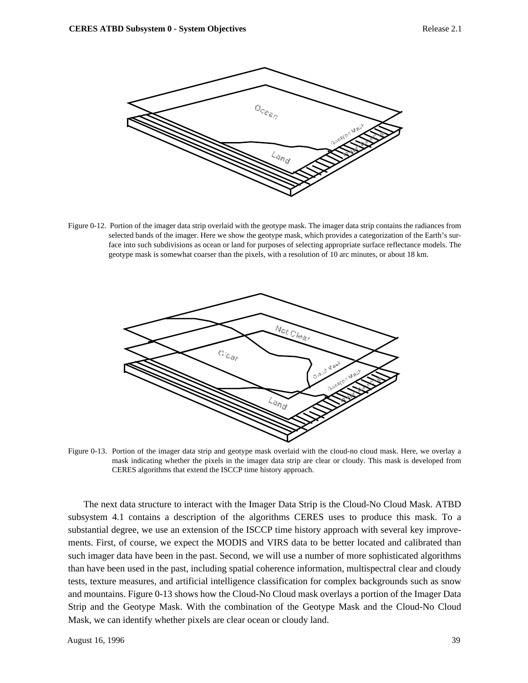

Figure 0-12. Portion of the imager data strip overlaid with the geotype mask. The imager data strip contains the radiances from selected bands of the imager. Here we show the geotype mask, which provides a categorization of the Earth's surface into such subdivisions as ocean or land for purposes of selecting appropriate surface reflectance models. The geotype mask is somewhat coarser than the pixels, with a resolution of 10 arc minutes, or about 18 km.



Figure 0-13. Portion of the imager data strip and geotype mask overlaid with the cloud-no cloud mask. Here, we overlay a mask indicating whether the pixels in the imager data strip are clear or cloudy. This mask is developed from CERES algorithms that extend the ISCCP time history approach.

The next data structure to interact with the Imager Data Strip is the Cloud-No Cloud Mask. ATBD subsystem 4.1 contains a description of the algorithms CERES uses to produce this mask. To a substantial degree, we use an extension of the ISCCP time history approach with several key improvements. First, of course, we expect the MODIS and VIRS data to be better located and calibrated than such imager data have been in the past. Second, we will use a number of more sophisticated algorithms than have been used in the past, including spatial coherence information, multispectral clear and cloudy tests, texture measures, and artificial intelligence classification for complex backgrounds such as snow and mountains. Figure 0-13 shows how the Cloud-No Cloud mask overlays a portion of the Imager Data Strip and the Geotype Mask. With the combination of the Geotype Mask and the Cloud-No Cloud Mask, we can identify whether pixels are clear ocean or cloudy land.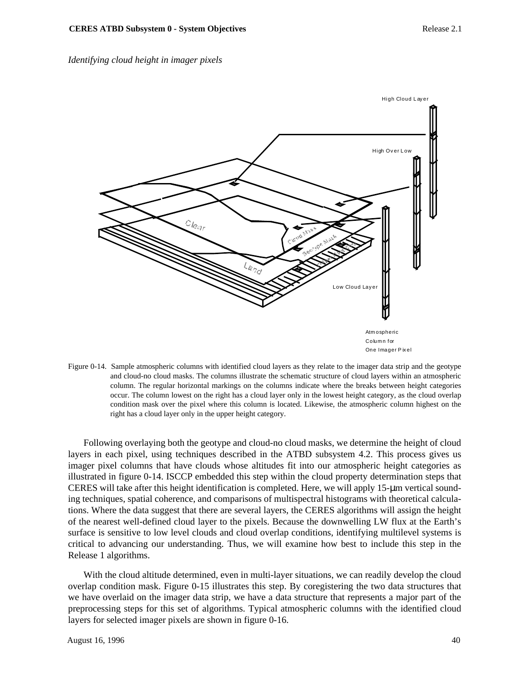



Figure 0-14. Sample atmospheric columns with identified cloud layers as they relate to the imager data strip and the geotype and cloud-no cloud masks. The columns illustrate the schematic structure of cloud layers within an atmospheric column. The regular horizontal markings on the columns indicate where the breaks between height categories occur. The column lowest on the right has a cloud layer only in the lowest height category, as the cloud overlap condition mask over the pixel where this column is located. Likewise, the atmospheric column highest on the right has a cloud layer only in the upper height category.

Following overlaying both the geotype and cloud-no cloud masks, we determine the height of cloud layers in each pixel, using techniques described in the ATBD subsystem 4.2. This process gives us imager pixel columns that have clouds whose altitudes fit into our atmospheric height categories as illustrated in figure 0-14. ISCCP embedded this step within the cloud property determination steps that CERES will take after this height identification is completed. Here, we will apply  $15-\mu m$  vertical sounding techniques, spatial coherence, and comparisons of multispectral histograms with theoretical calculations. Where the data suggest that there are several layers, the CERES algorithms will assign the height of the nearest well-defined cloud layer to the pixels. Because the downwelling LW flux at the Earth's surface is sensitive to low level clouds and cloud overlap conditions, identifying multilevel systems is critical to advancing our understanding. Thus, we will examine how best to include this step in the Release 1 algorithms.

With the cloud altitude determined, even in multi-layer situations, we can readily develop the cloud overlap condition mask. Figure 0-15 illustrates this step. By coregistering the two data structures that we have overlaid on the imager data strip, we have a data structure that represents a major part of the preprocessing steps for this set of algorithms. Typical atmospheric columns with the identified cloud layers for selected imager pixels are shown in figure 0-16.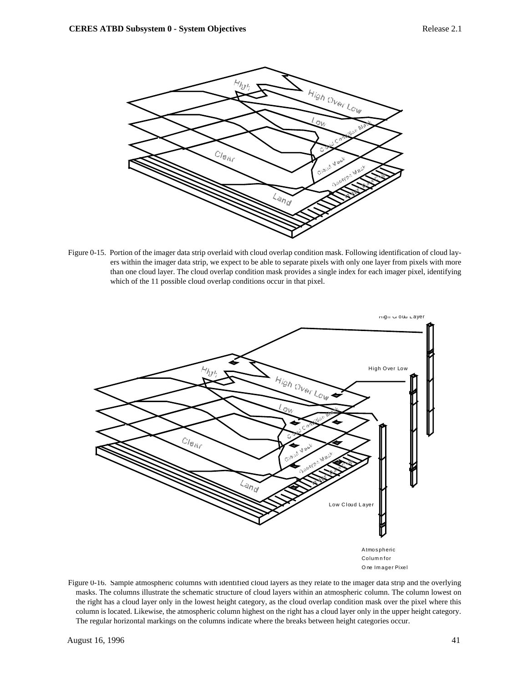

Figure 0-15. Portion of the imager data strip overlaid with cloud overlap condition mask. Following identification of cloud layers within the imager data strip, we expect to be able to separate pixels with only one layer from pixels with more than one cloud layer. The cloud overlap condition mask provides a single index for each imager pixel, identifying which of the 11 possible cloud overlap conditions occur in that pixel.



Figure 0-16. Sample atmospheric columns with identified cloud layers as they relate to the imager data strip and the overlying masks. The columns illustrate the schematic structure of cloud layers within an atmospheric column. The column lowest on the right has a cloud layer only in the lowest height category, as the cloud overlap condition mask over the pixel where this column is located. Likewise, the atmospheric column highest on the right has a cloud layer only in the upper height category. The regular horizontal markings on the columns indicate where the breaks between height categories occur.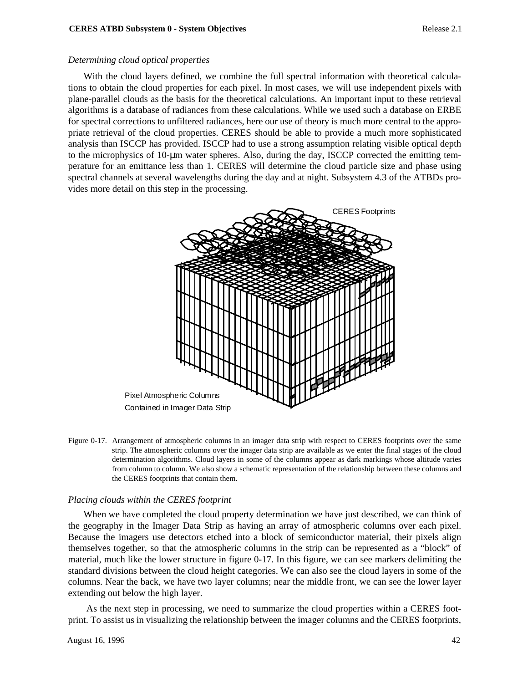#### *Determining cloud optical properties*

With the cloud layers defined, we combine the full spectral information with theoretical calculations to obtain the cloud properties for each pixel. In most cases, we will use independent pixels with plane-parallel clouds as the basis for the theoretical calculations. An important input to these retrieval algorithms is a database of radiances from these calculations. While we used such a database on ERBE for spectral corrections to unfiltered radiances, here our use of theory is much more central to the appropriate retrieval of the cloud properties. CERES should be able to provide a much more sophisticated analysis than ISCCP has provided. ISCCP had to use a strong assumption relating visible optical depth to the microphysics of 10-µm water spheres. Also, during the day, ISCCP corrected the emitting temperature for an emittance less than 1. CERES will determine the cloud particle size and phase using spectral channels at several wavelengths during the day and at night. Subsystem 4.3 of the ATBDs provides more detail on this step in the processing.



Figure 0-17. Arrangement of atmospheric columns in an imager data strip with respect to CERES footprints over the same strip. The atmospheric columns over the imager data strip are available as we enter the final stages of the cloud determination algorithms. Cloud layers in some of the columns appear as dark markings whose altitude varies from column to column. We also show a schematic representation of the relationship between these columns and the CERES footprints that contain them.

#### *Placing clouds within the CERES footprint*

When we have completed the cloud property determination we have just described, we can think of the geography in the Imager Data Strip as having an array of atmospheric columns over each pixel. Because the imagers use detectors etched into a block of semiconductor material, their pixels align themselves together, so that the atmospheric columns in the strip can be represented as a "block" of material, much like the lower structure in figure 0-17. In this figure, we can see markers delimiting the standard divisions between the cloud height categories. We can also see the cloud layers in some of the columns. Near the back, we have two layer columns; near the middle front, we can see the lower layer extending out below the high layer.

 As the next step in processing, we need to summarize the cloud properties within a CERES footprint. To assist us in visualizing the relationship between the imager columns and the CERES footprints,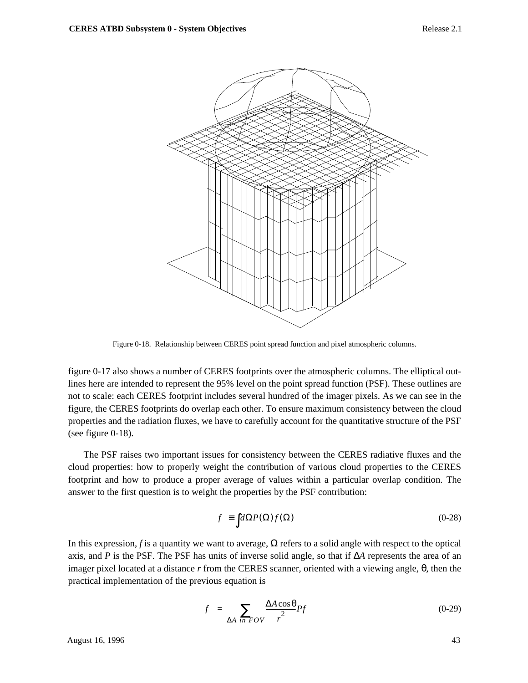

Figure 0-18. Relationship between CERES point spread function and pixel atmospheric columns.

figure 0-17 also shows a number of CERES footprints over the atmospheric columns. The elliptical outlines here are intended to represent the 95% level on the point spread function (PSF). These outlines are not to scale: each CERES footprint includes several hundred of the imager pixels. As we can see in the figure, the CERES footprints do overlap each other. To ensure maximum consistency between the cloud properties and the radiation fluxes, we have to carefully account for the quantitative structure of the PSF (see figure 0-18).

The PSF raises two important issues for consistency between the CERES radiative fluxes and the cloud properties: how to properly weight the contribution of various cloud properties to the CERES footprint and how to produce a proper average of values within a particular overlap condition. The answer to the first question is to weight the properties by the PSF contribution:

$$
\langle f \rangle \equiv \int d\Omega P(\Omega) f(\Omega) \tag{0-28}
$$

In this expression, *f* is a quantity we want to average,  $\Omega$  refers to a solid angle with respect to the optical axis, and *P* is the PSF. The PSF has units of inverse solid angle, so that if ∆*A* represents the area of an imager pixel located at a distance *r* from the CERES scanner, oriented with a viewing angle, θ, then the practical implementation of the previous equation is

$$
\langle f \rangle = \sum_{\Delta A \ in \ FOV} \frac{\Delta A \cos \theta}{r^2} P f \tag{0-29}
$$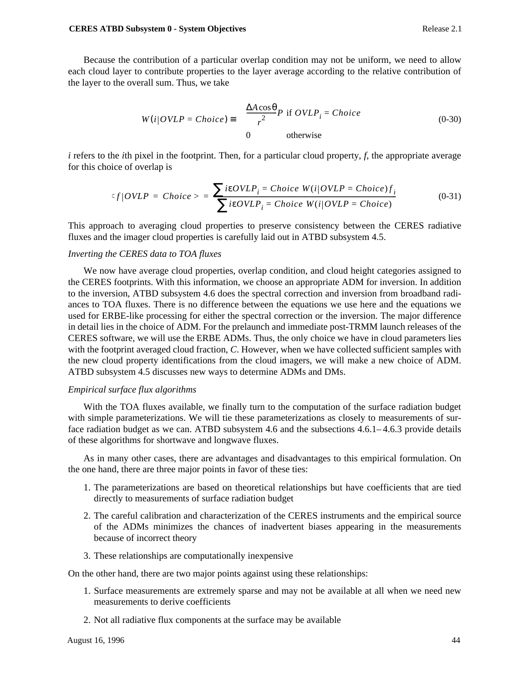Because the contribution of a particular overlap condition may not be uniform, we need to allow each cloud layer to contribute properties to the layer average according to the relative contribution of the layer to the overall sum. Thus, we take

$$
W(i|OVLP = Choice) \equiv \begin{cases} \frac{\Delta A \cos \theta}{r^2} P & \text{if } OVLP_i = Choice \\ 0 & \text{otherwise} \end{cases}
$$
 (0-30)

*i* refers to the *i*th pixel in the footprint. Then, for a particular cloud property, *f*, the appropriate average for this choice of overlap is

$$
\langle f|OVLP = Choice \rangle = \frac{\sum i\epsilon OVLP_i = Choice W(i|OVLP = Choice)f_i}{\sum i\epsilon OVLP_i = Choice W(i|OVLP = Choice)}
$$
(0-31)

This approach to averaging cloud properties to preserve consistency between the CERES radiative fluxes and the imager cloud properties is carefully laid out in ATBD subsystem 4.5.

### *Inverting the CERES data to TOA fluxes*

We now have average cloud properties, overlap condition, and cloud height categories assigned to the CERES footprints. With this information, we choose an appropriate ADM for inversion. In addition to the inversion, ATBD subsystem 4.6 does the spectral correction and inversion from broadband radiances to TOA fluxes. There is no difference between the equations we use here and the equations we used for ERBE-like processing for either the spectral correction or the inversion. The major difference in detail lies in the choice of ADM. For the prelaunch and immediate post-TRMM launch releases of the CERES software, we will use the ERBE ADMs. Thus, the only choice we have in cloud parameters lies with the footprint averaged cloud fraction, *C*. However, when we have collected sufficient samples with the new cloud property identifications from the cloud imagers, we will make a new choice of ADM. ATBD subsystem 4.5 discusses new ways to determine ADMs and DMs.

### *Empirical surface flux algorithms*

With the TOA fluxes available, we finally turn to the computation of the surface radiation budget with simple parameterizations. We will tie these parameterizations as closely to measurements of surface radiation budget as we can. ATBD subsystem 4.6 and the subsections 4.6.1– 4.6.3 provide details of these algorithms for shortwave and longwave fluxes.

As in many other cases, there are advantages and disadvantages to this empirical formulation. On the one hand, there are three major points in favor of these ties:

- 1. The parameterizations are based on theoretical relationships but have coefficients that are tied directly to measurements of surface radiation budget
- 2. The careful calibration and characterization of the CERES instruments and the empirical source of the ADMs minimizes the chances of inadvertent biases appearing in the measurements because of incorrect theory
- 3. These relationships are computationally inexpensive

On the other hand, there are two major points against using these relationships:

- 1. Surface measurements are extremely sparse and may not be available at all when we need new measurements to derive coefficients
- 2. Not all radiative flux components at the surface may be available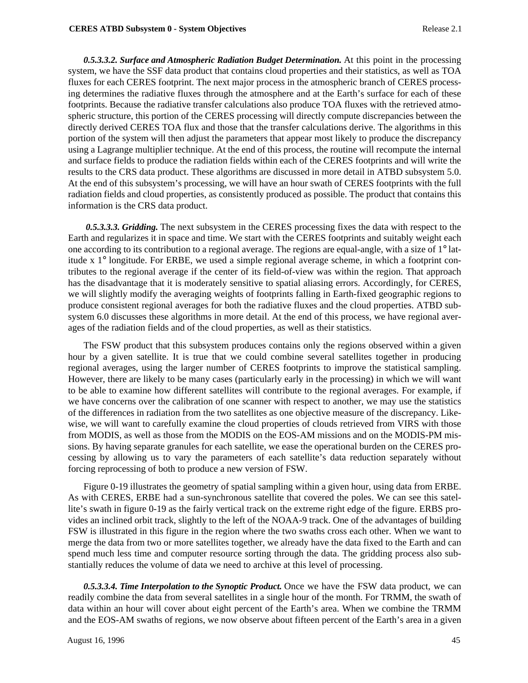*0.5.3.3.2. Surface and Atmospheric Radiation Budget Determination.* At this point in the processing system, we have the SSF data product that contains cloud properties and their statistics, as well as TOA fluxes for each CERES footprint. The next major process in the atmospheric branch of CERES processing determines the radiative fluxes through the atmosphere and at the Earth's surface for each of these footprints. Because the radiative transfer calculations also produce TOA fluxes with the retrieved atmospheric structure, this portion of the CERES processing will directly compute discrepancies between the directly derived CERES TOA flux and those that the transfer calculations derive. The algorithms in this portion of the system will then adjust the parameters that appear most likely to produce the discrepancy using a Lagrange multiplier technique. At the end of this process, the routine will recompute the internal and surface fields to produce the radiation fields within each of the CERES footprints and will write the results to the CRS data product. These algorithms are discussed in more detail in ATBD subsystem 5.0. At the end of this subsystem's processing, we will have an hour swath of CERES footprints with the full radiation fields and cloud properties, as consistently produced as possible. The product that contains this information is the CRS data product.

 *0.5.3.3.3. Gridding.* The next subsystem in the CERES processing fixes the data with respect to the Earth and regularizes it in space and time. We start with the CERES footprints and suitably weight each one according to its contribution to a regional average. The regions are equal-angle, with a size of 1° latitude x 1° longitude. For ERBE, we used a simple regional average scheme, in which a footprint contributes to the regional average if the center of its field-of-view was within the region. That approach has the disadvantage that it is moderately sensitive to spatial aliasing errors. Accordingly, for CERES, we will slightly modify the averaging weights of footprints falling in Earth-fixed geographic regions to produce consistent regional averages for both the radiative fluxes and the cloud properties. ATBD subsystem 6.0 discusses these algorithms in more detail. At the end of this process, we have regional averages of the radiation fields and of the cloud properties, as well as their statistics.

The FSW product that this subsystem produces contains only the regions observed within a given hour by a given satellite. It is true that we could combine several satellites together in producing regional averages, using the larger number of CERES footprints to improve the statistical sampling. However, there are likely to be many cases (particularly early in the processing) in which we will want to be able to examine how different satellites will contribute to the regional averages. For example, if we have concerns over the calibration of one scanner with respect to another, we may use the statistics of the differences in radiation from the two satellites as one objective measure of the discrepancy. Likewise, we will want to carefully examine the cloud properties of clouds retrieved from VIRS with those from MODIS, as well as those from the MODIS on the EOS-AM missions and on the MODIS-PM missions. By having separate granules for each satellite, we ease the operational burden on the CERES processing by allowing us to vary the parameters of each satellite's data reduction separately without forcing reprocessing of both to produce a new version of FSW.

Figure 0-19 illustrates the geometry of spatial sampling within a given hour, using data from ERBE. As with CERES, ERBE had a sun-synchronous satellite that covered the poles. We can see this satellite's swath in figure 0-19 as the fairly vertical track on the extreme right edge of the figure. ERBS provides an inclined orbit track, slightly to the left of the NOAA-9 track. One of the advantages of building FSW is illustrated in this figure in the region where the two swaths cross each other. When we want to merge the data from two or more satellites together, we already have the data fixed to the Earth and can spend much less time and computer resource sorting through the data. The gridding process also substantially reduces the volume of data we need to archive at this level of processing.

*0.5.3.3.4. Time Interpolation to the Synoptic Product.* Once we have the FSW data product, we can readily combine the data from several satellites in a single hour of the month. For TRMM, the swath of data within an hour will cover about eight percent of the Earth's area. When we combine the TRMM and the EOS-AM swaths of regions, we now observe about fifteen percent of the Earth's area in a given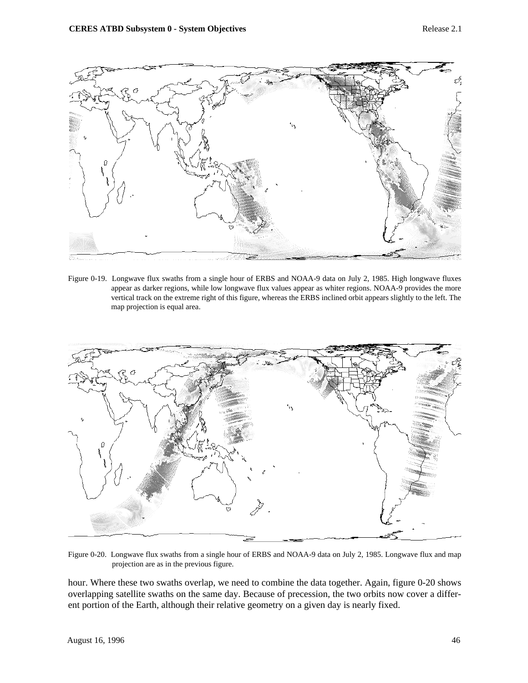

Figure 0-19. Longwave flux swaths from a single hour of ERBS and NOAA-9 data on July 2, 1985. High longwave fluxes appear as darker regions, while low longwave flux values appear as whiter regions. NOAA-9 provides the more vertical track on the extreme right of this figure, whereas the ERBS inclined orbit appears slightly to the left. The map projection is equal area.



Figure 0-20. Longwave flux swaths from a single hour of ERBS and NOAA-9 data on July 2, 1985. Longwave flux and map projection are as in the previous figure.

hour. Where these two swaths overlap, we need to combine the data together. Again, figure 0-20 shows overlapping satellite swaths on the same day. Because of precession, the two orbits now cover a different portion of the Earth, although their relative geometry on a given day is nearly fixed.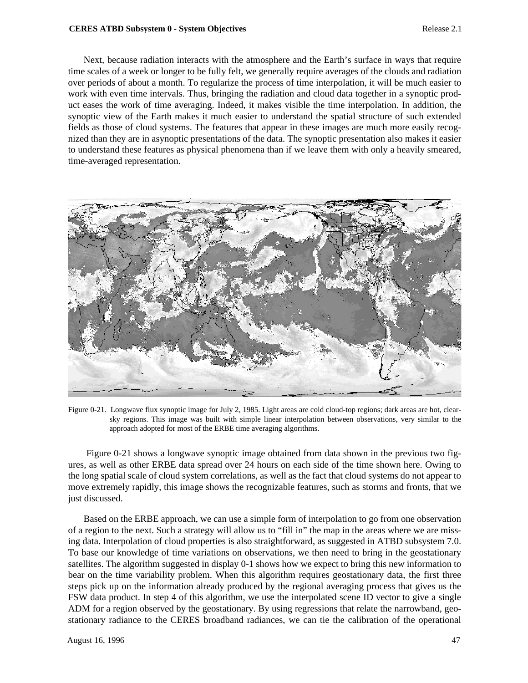#### **CERES ATBD Subsystem 0 - System Objectives** Release 2.1

Next, because radiation interacts with the atmosphere and the Earth's surface in ways that require time scales of a week or longer to be fully felt, we generally require averages of the clouds and radiation over periods of about a month. To regularize the process of time interpolation, it will be much easier to work with even time intervals. Thus, bringing the radiation and cloud data together in a synoptic product eases the work of time averaging. Indeed, it makes visible the time interpolation. In addition, the synoptic view of the Earth makes it much easier to understand the spatial structure of such extended fields as those of cloud systems. The features that appear in these images are much more easily recognized than they are in asynoptic presentations of the data. The synoptic presentation also makes it easier to understand these features as physical phenomena than if we leave them with only a heavily smeared, time-averaged representation.



Figure 0-21. Longwave flux synoptic image for July 2, 1985. Light areas are cold cloud-top regions; dark areas are hot, clearsky regions. This image was built with simple linear interpolation between observations, very similar to the approach adopted for most of the ERBE time averaging algorithms.

 Figure 0-21 shows a longwave synoptic image obtained from data shown in the previous two figures, as well as other ERBE data spread over 24 hours on each side of the time shown here. Owing to the long spatial scale of cloud system correlations, as well as the fact that cloud systems do not appear to move extremely rapidly, this image shows the recognizable features, such as storms and fronts, that we just discussed.

Based on the ERBE approach, we can use a simple form of interpolation to go from one observation of a region to the next. Such a strategy will allow us to "fill in" the map in the areas where we are missing data. Interpolation of cloud properties is also straightforward, as suggested in ATBD subsystem 7.0. To base our knowledge of time variations on observations, we then need to bring in the geostationary satellites. The algorithm suggested in display 0-1 shows how we expect to bring this new information to bear on the time variability problem. When this algorithm requires geostationary data, the first three steps pick up on the information already produced by the regional averaging process that gives us the FSW data product. In step 4 of this algorithm, we use the interpolated scene ID vector to give a single ADM for a region observed by the geostationary. By using regressions that relate the narrowband, geostationary radiance to the CERES broadband radiances, we can tie the calibration of the operational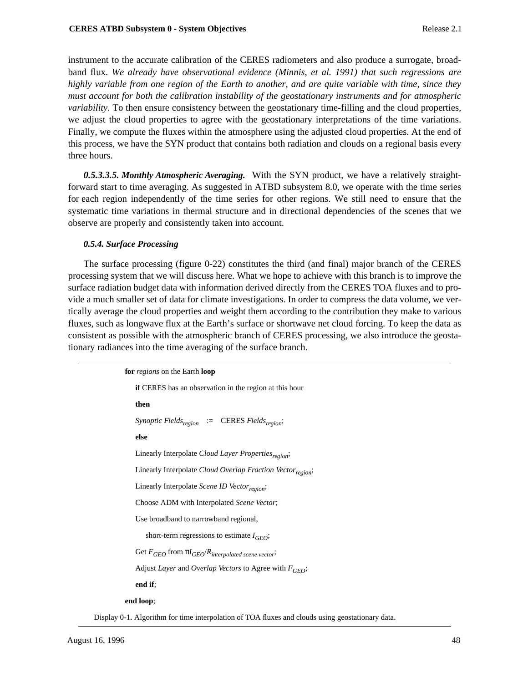instrument to the accurate calibration of the CERES radiometers and also produce a surrogate, broadband flux. *We already have observational evidence (Minnis, et al. 1991) that such regressions are highly variable from one region of the Earth to another, and are quite variable with time, since they must account for both the calibration instability of the geostationary instruments and for atmospheric variability*. To then ensure consistency between the geostationary time-filling and the cloud properties, we adjust the cloud properties to agree with the geostationary interpretations of the time variations. Finally, we compute the fluxes within the atmosphere using the adjusted cloud properties. At the end of this process, we have the SYN product that contains both radiation and clouds on a regional basis every three hours.

*0.5.3.3.5. Monthly Atmospheric Averaging.* With the SYN product, we have a relatively straightforward start to time averaging. As suggested in ATBD subsystem 8.0, we operate with the time series for each region independently of the time series for other regions. We still need to ensure that the systematic time variations in thermal structure and in directional dependencies of the scenes that we observe are properly and consistently taken into account.

## *0.5.4. Surface Processing*

The surface processing (figure 0-22) constitutes the third (and final) major branch of the CERES processing system that we will discuss here. What we hope to achieve with this branch is to improve the surface radiation budget data with information derived directly from the CERES TOA fluxes and to provide a much smaller set of data for climate investigations. In order to compress the data volume, we vertically average the cloud properties and weight them according to the contribution they make to various fluxes, such as longwave flux at the Earth's surface or shortwave net cloud forcing. To keep the data as consistent as possible with the atmospheric branch of CERES processing, we also introduce the geostationary radiances into the time averaging of the surface branch.

> **for** *regions* on the Earth **loop if** CERES has an observation in the region at this hour **then** *Synoptic Fieldsregion* := CERES *Fieldsregion*; **else** Linearly Interpolate *Cloud Layer Properties<sub>region</sub>*; Linearly Interpolate *Cloud Overlap Fraction Vector<sub>region</sub>*; Linearly Interpolate *Scene ID Vector<sub>region</sub>*; Choose ADM with Interpolated *Scene Vector*; Use broadband to narrowband regional, short-term regressions to estimate  $I_{GEO}$ ; Get *FGEO* from π*IGEO*/*Rinterpolated scene vector*; Adjust *Layer* and *Overlap Vectors* to Agree with  $F_{GEO}$ ; **end if**; **end loop**;

Display 0-1. Algorithm for time interpolation of TOA fluxes and clouds using geostationary data.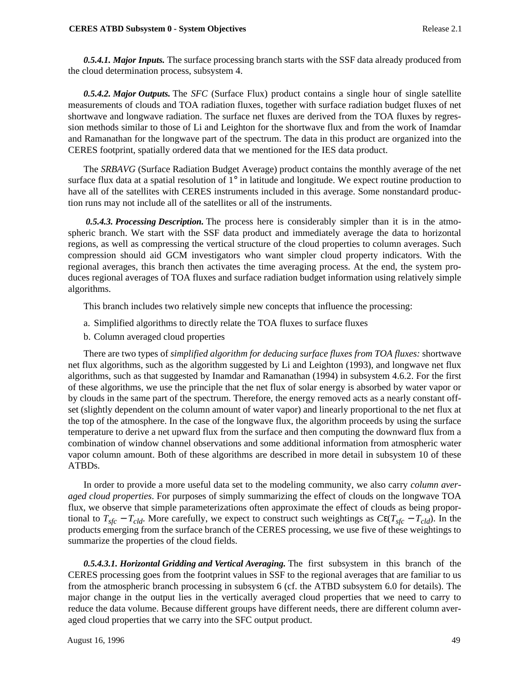*0.5.4.1. Major Inputs.* The surface processing branch starts with the SSF data already produced from the cloud determination process, subsystem 4.

*0.5.4.2. Major Outputs.* The *SFC* (Surface Flux) product contains a single hour of single satellite measurements of clouds and TOA radiation fluxes, together with surface radiation budget fluxes of net shortwave and longwave radiation. The surface net fluxes are derived from the TOA fluxes by regression methods similar to those of Li and Leighton for the shortwave flux and from the work of Inamdar and Ramanathan for the longwave part of the spectrum. The data in this product are organized into the CERES footprint, spatially ordered data that we mentioned for the IES data product.

The *SRBAVG* (Surface Radiation Budget Average) product contains the monthly average of the net surface flux data at a spatial resolution of  $1^\circ$  in latitude and longitude. We expect routine production to have all of the satellites with CERES instruments included in this average. Some nonstandard production runs may not include all of the satellites or all of the instruments.

 *0.5.4.3. Processing Description.* The process here is considerably simpler than it is in the atmospheric branch. We start with the SSF data product and immediately average the data to horizontal regions, as well as compressing the vertical structure of the cloud properties to column averages. Such compression should aid GCM investigators who want simpler cloud property indicators. With the regional averages, this branch then activates the time averaging process. At the end, the system produces regional averages of TOA fluxes and surface radiation budget information using relatively simple algorithms.

This branch includes two relatively simple new concepts that influence the processing:

- a. Simplified algorithms to directly relate the TOA fluxes to surface fluxes
- b. Column averaged cloud properties

There are two types of *simplified algorithm for deducing surface fluxes from TOA fluxes:* shortwave net flux algorithms, such as the algorithm suggested by Li and Leighton (1993), and longwave net flux algorithms, such as that suggested by Inamdar and Ramanathan (1994) in subsystem 4.6.2. For the first of these algorithms, we use the principle that the net flux of solar energy is absorbed by water vapor or by clouds in the same part of the spectrum. Therefore, the energy removed acts as a nearly constant offset (slightly dependent on the column amount of water vapor) and linearly proportional to the net flux at the top of the atmosphere. In the case of the longwave flux, the algorithm proceeds by using the surface temperature to derive a net upward flux from the surface and then computing the downward flux from a combination of window channel observations and some additional information from atmospheric water vapor column amount. Both of these algorithms are described in more detail in subsystem 10 of these ATBDs.

In order to provide a more useful data set to the modeling community, we also carry *column averaged cloud properties*. For purposes of simply summarizing the effect of clouds on the longwave TOA flux, we observe that simple parameterizations often approximate the effect of clouds as being proportional to  $T_{sfc} - T_{cld}$ . More carefully, we expect to construct such weightings as  $C\epsilon(T_{sfc} - T_{cld})$ . In the products emerging from the surface branch of the CERES processing, we use five of these weightings to summarize the properties of the cloud fields.

*0.5.4.3.1. Horizontal Gridding and Vertical Averaging.* The first subsystem in this branch of the CERES processing goes from the footprint values in SSF to the regional averages that are familiar to us from the atmospheric branch processing in subsystem 6 (cf. the ATBD subsystem 6.0 for details). The major change in the output lies in the vertically averaged cloud properties that we need to carry to reduce the data volume. Because different groups have different needs, there are different column averaged cloud properties that we carry into the SFC output product.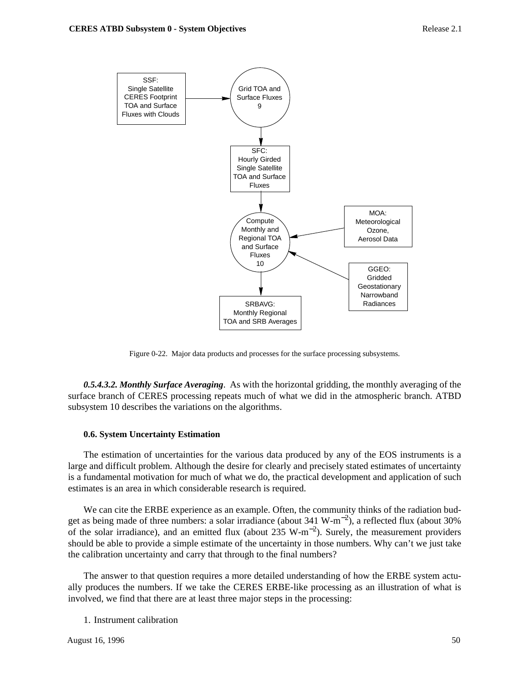

Figure 0-22. Major data products and processes for the surface processing subsystems.

*0.5.4.3.2. Monthly Surface Averaging*. As with the horizontal gridding, the monthly averaging of the surface branch of CERES processing repeats much of what we did in the atmospheric branch. ATBD subsystem 10 describes the variations on the algorithms.

#### **0.6. System Uncertainty Estimation**

The estimation of uncertainties for the various data produced by any of the EOS instruments is a large and difficult problem. Although the desire for clearly and precisely stated estimates of uncertainty is a fundamental motivation for much of what we do, the practical development and application of such estimates is an area in which considerable research is required.

We can cite the ERBE experience as an example. Often, the community thinks of the radiation budget as being made of three numbers: a solar irradiance (about 341 W-m<sup>-2</sup>), a reflected flux (about 30% of the solar irradiance), and an emitted flux (about 235 W-m<sup>−</sup>2). Surely, the measurement providers should be able to provide a simple estimate of the uncertainty in those numbers. Why can't we just take the calibration uncertainty and carry that through to the final numbers?

The answer to that question requires a more detailed understanding of how the ERBE system actually produces the numbers. If we take the CERES ERBE-like processing as an illustration of what is involved, we find that there are at least three major steps in the processing:

1. Instrument calibration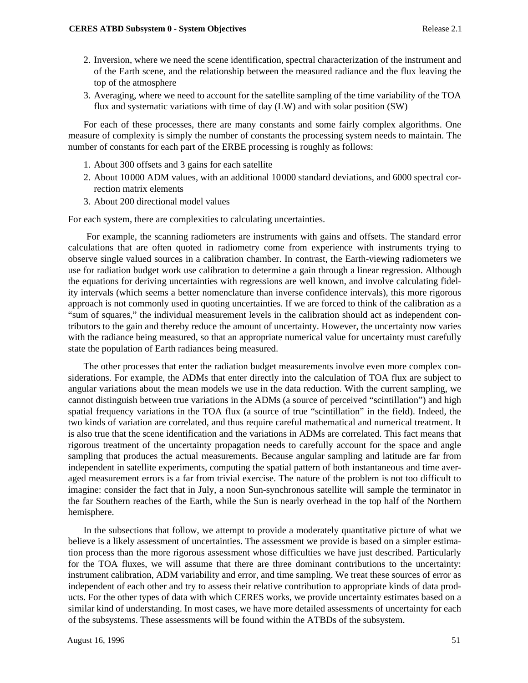- 2. Inversion, where we need the scene identification, spectral characterization of the instrument and of the Earth scene, and the relationship between the measured radiance and the flux leaving the top of the atmosphere
- 3. Averaging, where we need to account for the satellite sampling of the time variability of the TOA flux and systematic variations with time of day (LW) and with solar position (SW)

For each of these processes, there are many constants and some fairly complex algorithms. One measure of complexity is simply the number of constants the processing system needs to maintain. The number of constants for each part of the ERBE processing is roughly as follows:

- 1. About 300 offsets and 3 gains for each satellite
- 2. About 10000 ADM values, with an additional 10000 standard deviations, and 6000 spectral correction matrix elements
- 3. About 200 directional model values

For each system, there are complexities to calculating uncertainties.

 For example, the scanning radiometers are instruments with gains and offsets. The standard error calculations that are often quoted in radiometry come from experience with instruments trying to observe single valued sources in a calibration chamber. In contrast, the Earth-viewing radiometers we use for radiation budget work use calibration to determine a gain through a linear regression. Although the equations for deriving uncertainties with regressions are well known, and involve calculating fidelity intervals (which seems a better nomenclature than inverse confidence intervals), this more rigorous approach is not commonly used in quoting uncertainties. If we are forced to think of the calibration as a "sum of squares," the individual measurement levels in the calibration should act as independent contributors to the gain and thereby reduce the amount of uncertainty. However, the uncertainty now varies with the radiance being measured, so that an appropriate numerical value for uncertainty must carefully state the population of Earth radiances being measured.

The other processes that enter the radiation budget measurements involve even more complex considerations. For example, the ADMs that enter directly into the calculation of TOA flux are subject to angular variations about the mean models we use in the data reduction. With the current sampling, we cannot distinguish between true variations in the ADMs (a source of perceived "scintillation") and high spatial frequency variations in the TOA flux (a source of true "scintillation" in the field). Indeed, the two kinds of variation are correlated, and thus require careful mathematical and numerical treatment. It is also true that the scene identification and the variations in ADMs are correlated. This fact means that rigorous treatment of the uncertainty propagation needs to carefully account for the space and angle sampling that produces the actual measurements. Because angular sampling and latitude are far from independent in satellite experiments, computing the spatial pattern of both instantaneous and time averaged measurement errors is a far from trivial exercise. The nature of the problem is not too difficult to imagine: consider the fact that in July, a noon Sun-synchronous satellite will sample the terminator in the far Southern reaches of the Earth, while the Sun is nearly overhead in the top half of the Northern hemisphere.

In the subsections that follow, we attempt to provide a moderately quantitative picture of what we believe is a likely assessment of uncertainties. The assessment we provide is based on a simpler estimation process than the more rigorous assessment whose difficulties we have just described. Particularly for the TOA fluxes, we will assume that there are three dominant contributions to the uncertainty: instrument calibration, ADM variability and error, and time sampling. We treat these sources of error as independent of each other and try to assess their relative contribution to appropriate kinds of data products. For the other types of data with which CERES works, we provide uncertainty estimates based on a similar kind of understanding. In most cases, we have more detailed assessments of uncertainty for each of the subsystems. These assessments will be found within the ATBDs of the subsystem.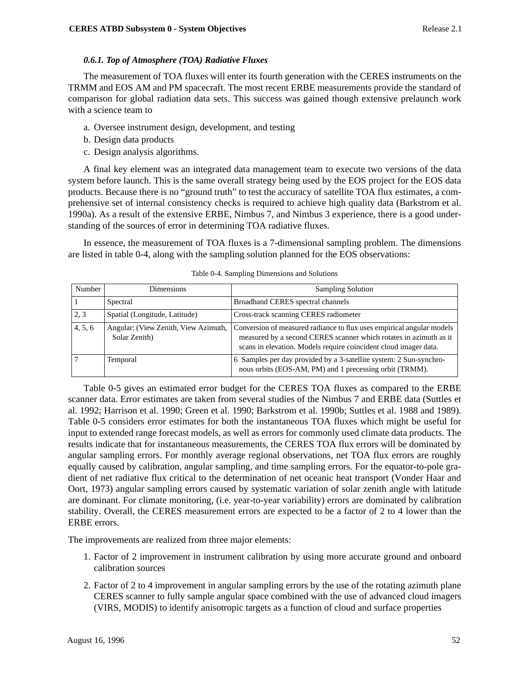# *0.6.1. Top of Atmosphere (TOA) Radiative Fluxes*

The measurement of TOA fluxes will enter its fourth generation with the CERES instruments on the TRMM and EOS AM and PM spacecraft. The most recent ERBE measurements provide the standard of comparison for global radiation data sets. This success was gained though extensive prelaunch work with a science team to

- a. Oversee instrument design, development, and testing
- b. Design data products
- c. Design analysis algorithms.

A final key element was an integrated data management team to execute two versions of the data system before launch. This is the same overall strategy being used by the EOS project for the EOS data products. Because there is no "ground truth" to test the accuracy of satellite TOA flux estimates, a comprehensive set of internal consistency checks is required to achieve high quality data (Barkstrom et al. 1990a). As a result of the extensive ERBE, Nimbus 7, and Nimbus 3 experience, there is a good understanding of the sources of error in determining TOA radiative fluxes.

In essence, the measurement of TOA fluxes is a 7-dimensional sampling problem. The dimensions are listed in table 0-4, along with the sampling solution planned for the EOS observations:

| Number  | Dimensions                                            | <b>Sampling Solution</b>                                                                                                                                                                                       |
|---------|-------------------------------------------------------|----------------------------------------------------------------------------------------------------------------------------------------------------------------------------------------------------------------|
|         | Spectral                                              | Broadband CERES spectral channels                                                                                                                                                                              |
| 2, 3    | Spatial (Longitude, Latitude)                         | Cross-track scanning CERES radiometer                                                                                                                                                                          |
| 4, 5, 6 | Angular: (View Zenith, View Azimuth,<br>Solar Zenith) | Conversion of measured radiance to flux uses empirical angular models<br>measured by a second CERES scanner which rotates in azimuth as it<br>scans in elevation. Models require coincident cloud imager data. |
|         | Temporal                                              | 6 Samples per day provided by a 3-satellite system: 2 Sun-synchro-<br>nous orbits (EOS-AM, PM) and 1 precessing orbit (TRMM).                                                                                  |

Table 0-4. Sampling Dimensions and Solutions

Table 0-5 gives an estimated error budget for the CERES TOA fluxes as compared to the ERBE scanner data. Error estimates are taken from several studies of the Nimbus 7 and ERBE data (Suttles et al. 1992; Harrison et al. 1990; Green et al. 1990; Barkstrom et al. 1990b; Suttles et al. 1988 and 1989). Table 0-5 considers error estimates for both the instantaneous TOA fluxes which might be useful for input to extended range forecast models, as well as errors for commonly used climate data products. The results indicate that for instantaneous measurements, the CERES TOA flux errors will be dominated by angular sampling errors. For monthly average regional observations, net TOA flux errors are roughly equally caused by calibration, angular sampling, and time sampling errors. For the equator-to-pole gradient of net radiative flux critical to the determination of net oceanic heat transport (Vonder Haar and Oort, 1973) angular sampling errors caused by systematic variation of solar zenith angle with latitude are dominant. For climate monitoring, (i.e. year-to-year variability) errors are dominated by calibration stability. Overall, the CERES measurement errors are expected to be a factor of 2 to 4 lower than the ERBE errors.

The improvements are realized from three major elements:

- 1. Factor of 2 improvement in instrument calibration by using more accurate ground and onboard calibration sources
- 2. Factor of 2 to 4 improvement in angular sampling errors by the use of the rotating azimuth plane CERES scanner to fully sample angular space combined with the use of advanced cloud imagers (VIRS, MODIS) to identify anisotropic targets as a function of cloud and surface properties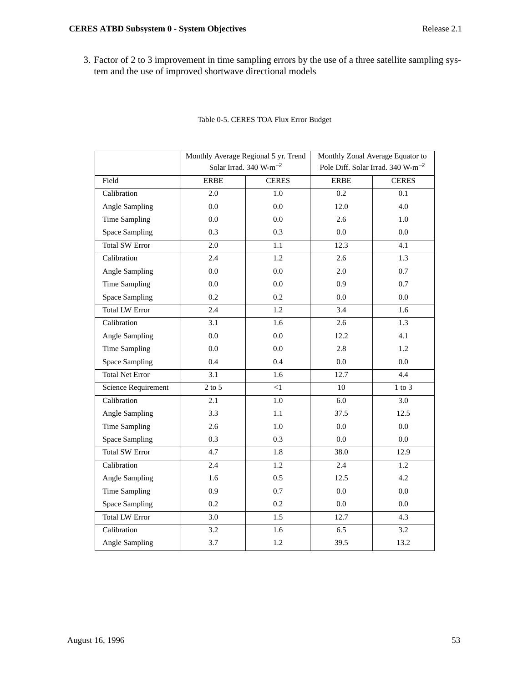3. Factor of 2 to 3 improvement in time sampling errors by the use of a three satellite sampling system and the use of improved shortwave directional models

|                        | Monthly Average Regional 5 yr. Trend |              | Monthly Zonal Average Equator to              |              |
|------------------------|--------------------------------------|--------------|-----------------------------------------------|--------------|
|                        | Solar Irrad. 340 W-m <sup>-2</sup>   |              | Pole Diff. Solar Irrad. 340 W-m <sup>-2</sup> |              |
| Field                  | <b>ERBE</b>                          | <b>CERES</b> | <b>ERBE</b>                                   | <b>CERES</b> |
| Calibration            | 2.0                                  | 1.0          | 0.2                                           | 0.1          |
| Angle Sampling         | $0.0\,$                              | 0.0          | 12.0                                          | 4.0          |
| Time Sampling          | 0.0                                  | 0.0          | 2.6                                           | 1.0          |
| <b>Space Sampling</b>  | 0.3                                  | 0.3          | 0.0                                           | 0.0          |
| <b>Total SW Error</b>  | 2.0                                  | $1.1\,$      | 12.3                                          | 4.1          |
| Calibration            | 2.4                                  | $1.2\,$      | 2.6                                           | 1.3          |
| Angle Sampling         | 0.0                                  | 0.0          | 2.0                                           | 0.7          |
| Time Sampling          | 0.0                                  | 0.0          | 0.9                                           | 0.7          |
| <b>Space Sampling</b>  | 0.2                                  | 0.2          | 0.0                                           | 0.0          |
| <b>Total LW Error</b>  | 2.4                                  | 1.2          | 3.4                                           | 1.6          |
| Calibration            | 3.1                                  | 1.6          | 2.6                                           | 1.3          |
| Angle Sampling         | 0.0                                  | 0.0          | 12.2                                          | 4.1          |
| Time Sampling          | 0.0                                  | 0.0          | 2.8                                           | 1.2          |
| <b>Space Sampling</b>  | 0.4                                  | 0.4          | 0.0                                           | $0.0\,$      |
| <b>Total Net Error</b> | 3.1                                  | 1.6          | 12.7                                          | 4.4          |
| Science Requirement    | $2$ to $5\,$                         | $\leq$ 1     | 10                                            | $1$ to $3$   |
| Calibration            | 2.1                                  | $1.0\,$      | 6.0                                           | 3.0          |
| Angle Sampling         | 3.3                                  | 1.1          | 37.5                                          | 12.5         |
| Time Sampling          | 2.6                                  | 1.0          | 0.0                                           | 0.0          |
| <b>Space Sampling</b>  | 0.3                                  | 0.3          | 0.0                                           | 0.0          |
| <b>Total SW Error</b>  | 4.7                                  | 1.8          | 38.0                                          | 12.9         |
| Calibration            | 2.4                                  | 1.2          | 2.4                                           | 1.2          |
| Angle Sampling         | 1.6                                  | 0.5          | 12.5                                          | 4.2          |
| Time Sampling          | 0.9                                  | 0.7          | 0.0                                           | $0.0\,$      |
| <b>Space Sampling</b>  | 0.2                                  | 0.2          | 0.0                                           | 0.0          |
| <b>Total LW Error</b>  | 3.0                                  | 1.5          | 12.7                                          | 4.3          |
| Calibration            | 3.2                                  | 1.6          | 6.5                                           | 3.2          |
| Angle Sampling         | 3.7                                  | 1.2          | 39.5                                          | 13.2         |

# Table 0-5. CERES TOA Flux Error Budget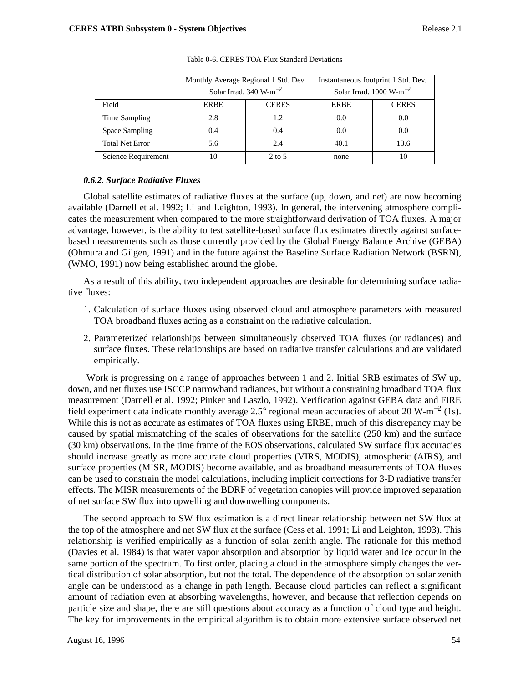|                        | Monthly Average Regional 1 Std. Dev. |              | Instantaneous footprint 1 Std. Dev.  |              |
|------------------------|--------------------------------------|--------------|--------------------------------------|--------------|
|                        | Solar Irrad. $340 \text{ W-m}^{-2}$  |              | Solar Irrad. $1000 \text{ W-m}^{-2}$ |              |
| Field                  | <b>ERBE</b>                          | <b>CERES</b> | <b>ERBE</b>                          | <b>CERES</b> |
| Time Sampling          | 2.8                                  | 1.2          | 0.0                                  | 0.0          |
| Space Sampling         | 0.4                                  | 0.4          | 0.0                                  | 0.0          |
| <b>Total Net Error</b> | 5.6                                  | 2.4          | 40.1                                 | 13.6         |
| Science Requirement    | 10                                   | $2$ to 5     | none                                 | 10           |

Table 0-6. CERES TOA Flux Standard Deviations

## *0.6.2. Surface Radiative Fluxes*

Global satellite estimates of radiative fluxes at the surface (up, down, and net) are now becoming available (Darnell et al. 1992; Li and Leighton, 1993). In general, the intervening atmosphere complicates the measurement when compared to the more straightforward derivation of TOA fluxes. A major advantage, however, is the ability to test satellite-based surface flux estimates directly against surfacebased measurements such as those currently provided by the Global Energy Balance Archive (GEBA) (Ohmura and Gilgen, 1991) and in the future against the Baseline Surface Radiation Network (BSRN), (WMO, 1991) now being established around the globe.

As a result of this ability, two independent approaches are desirable for determining surface radiative fluxes:

- 1. Calculation of surface fluxes using observed cloud and atmosphere parameters with measured TOA broadband fluxes acting as a constraint on the radiative calculation.
- 2. Parameterized relationships between simultaneously observed TOA fluxes (or radiances) and surface fluxes. These relationships are based on radiative transfer calculations and are validated empirically.

 Work is progressing on a range of approaches between 1 and 2. Initial SRB estimates of SW up, down, and net fluxes use ISCCP narrowband radiances, but without a constraining broadband TOA flux measurement (Darnell et al. 1992; Pinker and Laszlo, 1992). Verification against GEBA data and FIRE field experiment data indicate monthly average 2.5° regional mean accuracies of about 20 W-m<sup>-2</sup> (1s). While this is not as accurate as estimates of TOA fluxes using ERBE, much of this discrepancy may be caused by spatial mismatching of the scales of observations for the satellite (250 km) and the surface (30 km) observations. In the time frame of the EOS observations, calculated SW surface flux accuracies should increase greatly as more accurate cloud properties (VIRS, MODIS), atmospheric (AIRS), and surface properties (MISR, MODIS) become available, and as broadband measurements of TOA fluxes can be used to constrain the model calculations, including implicit corrections for 3-D radiative transfer effects. The MISR measurements of the BDRF of vegetation canopies will provide improved separation of net surface SW flux into upwelling and downwelling components.

The second approach to SW flux estimation is a direct linear relationship between net SW flux at the top of the atmosphere and net SW flux at the surface (Cess et al. 1991; Li and Leighton, 1993). This relationship is verified empirically as a function of solar zenith angle. The rationale for this method (Davies et al. 1984) is that water vapor absorption and absorption by liquid water and ice occur in the same portion of the spectrum. To first order, placing a cloud in the atmosphere simply changes the vertical distribution of solar absorption, but not the total. The dependence of the absorption on solar zenith angle can be understood as a change in path length. Because cloud particles can reflect a significant amount of radiation even at absorbing wavelengths, however, and because that reflection depends on particle size and shape, there are still questions about accuracy as a function of cloud type and height. The key for improvements in the empirical algorithm is to obtain more extensive surface observed net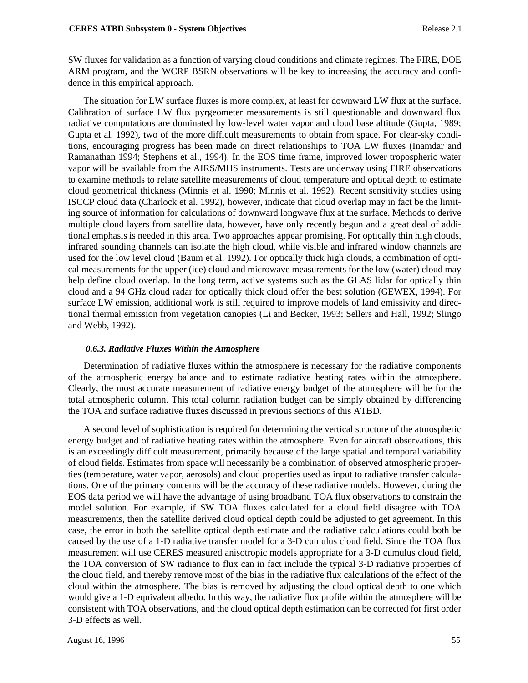SW fluxes for validation as a function of varying cloud conditions and climate regimes. The FIRE, DOE ARM program, and the WCRP BSRN observations will be key to increasing the accuracy and confidence in this empirical approach.

The situation for LW surface fluxes is more complex, at least for downward LW flux at the surface. Calibration of surface LW flux pyrgeometer measurements is still questionable and downward flux radiative computations are dominated by low-level water vapor and cloud base altitude (Gupta, 1989; Gupta et al. 1992), two of the more difficult measurements to obtain from space. For clear-sky conditions, encouraging progress has been made on direct relationships to TOA LW fluxes (Inamdar and Ramanathan 1994; Stephens et al., 1994). In the EOS time frame, improved lower tropospheric water vapor will be available from the AIRS/MHS instruments. Tests are underway using FIRE observations to examine methods to relate satellite measurements of cloud temperature and optical depth to estimate cloud geometrical thickness (Minnis et al. 1990; Minnis et al. 1992). Recent sensitivity studies using ISCCP cloud data (Charlock et al. 1992), however, indicate that cloud overlap may in fact be the limiting source of information for calculations of downward longwave flux at the surface. Methods to derive multiple cloud layers from satellite data, however, have only recently begun and a great deal of additional emphasis is needed in this area. Two approaches appear promising. For optically thin high clouds, infrared sounding channels can isolate the high cloud, while visible and infrared window channels are used for the low level cloud (Baum et al. 1992). For optically thick high clouds, a combination of optical measurements for the upper (ice) cloud and microwave measurements for the low (water) cloud may help define cloud overlap. In the long term, active systems such as the GLAS lidar for optically thin cloud and a 94 GHz cloud radar for optically thick cloud offer the best solution (GEWEX, 1994). For surface LW emission, additional work is still required to improve models of land emissivity and directional thermal emission from vegetation canopies (Li and Becker, 1993; Sellers and Hall, 1992; Slingo and Webb, 1992).

## *0.6.3. Radiative Fluxes Within the Atmosphere*

Determination of radiative fluxes within the atmosphere is necessary for the radiative components of the atmospheric energy balance and to estimate radiative heating rates within the atmosphere. Clearly, the most accurate measurement of radiative energy budget of the atmosphere will be for the total atmospheric column. This total column radiation budget can be simply obtained by differencing the TOA and surface radiative fluxes discussed in previous sections of this ATBD.

A second level of sophistication is required for determining the vertical structure of the atmospheric energy budget and of radiative heating rates within the atmosphere. Even for aircraft observations, this is an exceedingly difficult measurement, primarily because of the large spatial and temporal variability of cloud fields. Estimates from space will necessarily be a combination of observed atmospheric properties (temperature, water vapor, aerosols) and cloud properties used as input to radiative transfer calculations. One of the primary concerns will be the accuracy of these radiative models. However, during the EOS data period we will have the advantage of using broadband TOA flux observations to constrain the model solution. For example, if SW TOA fluxes calculated for a cloud field disagree with TOA measurements, then the satellite derived cloud optical depth could be adjusted to get agreement. In this case, the error in both the satellite optical depth estimate and the radiative calculations could both be caused by the use of a 1-D radiative transfer model for a 3-D cumulus cloud field. Since the TOA flux measurement will use CERES measured anisotropic models appropriate for a 3-D cumulus cloud field, the TOA conversion of SW radiance to flux can in fact include the typical 3-D radiative properties of the cloud field, and thereby remove most of the bias in the radiative flux calculations of the effect of the cloud within the atmosphere. The bias is removed by adjusting the cloud optical depth to one which would give a 1-D equivalent albedo. In this way, the radiative flux profile within the atmosphere will be consistent with TOA observations, and the cloud optical depth estimation can be corrected for first order 3-D effects as well.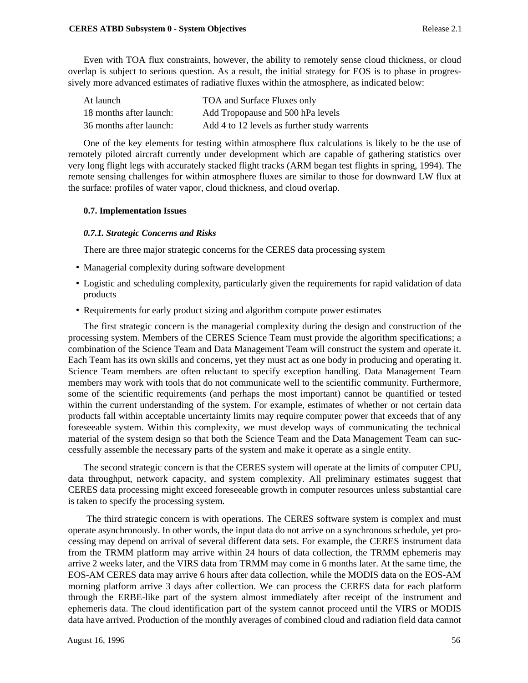Even with TOA flux constraints, however, the ability to remotely sense cloud thickness, or cloud overlap is subject to serious question. As a result, the initial strategy for EOS is to phase in progressively more advanced estimates of radiative fluxes within the atmosphere, as indicated below:

| At launch               | TOA and Surface Fluxes only                  |
|-------------------------|----------------------------------------------|
| 18 months after launch: | Add Tropopause and 500 hPa levels            |
| 36 months after launch: | Add 4 to 12 levels as further study warrents |

One of the key elements for testing within atmosphere flux calculations is likely to be the use of remotely piloted aircraft currently under development which are capable of gathering statistics over very long flight legs with accurately stacked flight tracks (ARM began test flights in spring, 1994). The remote sensing challenges for within atmosphere fluxes are similar to those for downward LW flux at the surface: profiles of water vapor, cloud thickness, and cloud overlap.

### **0.7. Implementation Issues**

### *0.7.1. Strategic Concerns and Risks*

There are three major strategic concerns for the CERES data processing system

- Managerial complexity during software development
- Logistic and scheduling complexity, particularly given the requirements for rapid validation of data products
- Requirements for early product sizing and algorithm compute power estimates

The first strategic concern is the managerial complexity during the design and construction of the processing system. Members of the CERES Science Team must provide the algorithm specifications; a combination of the Science Team and Data Management Team will construct the system and operate it. Each Team has its own skills and concerns, yet they must act as one body in producing and operating it. Science Team members are often reluctant to specify exception handling. Data Management Team members may work with tools that do not communicate well to the scientific community. Furthermore, some of the scientific requirements (and perhaps the most important) cannot be quantified or tested within the current understanding of the system. For example, estimates of whether or not certain data products fall within acceptable uncertainty limits may require computer power that exceeds that of any foreseeable system. Within this complexity, we must develop ways of communicating the technical material of the system design so that both the Science Team and the Data Management Team can successfully assemble the necessary parts of the system and make it operate as a single entity.

The second strategic concern is that the CERES system will operate at the limits of computer CPU, data throughput, network capacity, and system complexity. All preliminary estimates suggest that CERES data processing might exceed foreseeable growth in computer resources unless substantial care is taken to specify the processing system.

 The third strategic concern is with operations. The CERES software system is complex and must operate asynchronously. In other words, the input data do not arrive on a synchronous schedule, yet processing may depend on arrival of several different data sets. For example, the CERES instrument data from the TRMM platform may arrive within 24 hours of data collection, the TRMM ephemeris may arrive 2 weeks later, and the VIRS data from TRMM may come in 6 months later. At the same time, the EOS-AM CERES data may arrive 6 hours after data collection, while the MODIS data on the EOS-AM morning platform arrive 3 days after collection. We can process the CERES data for each platform through the ERBE-like part of the system almost immediately after receipt of the instrument and ephemeris data. The cloud identification part of the system cannot proceed until the VIRS or MODIS data have arrived. Production of the monthly averages of combined cloud and radiation field data cannot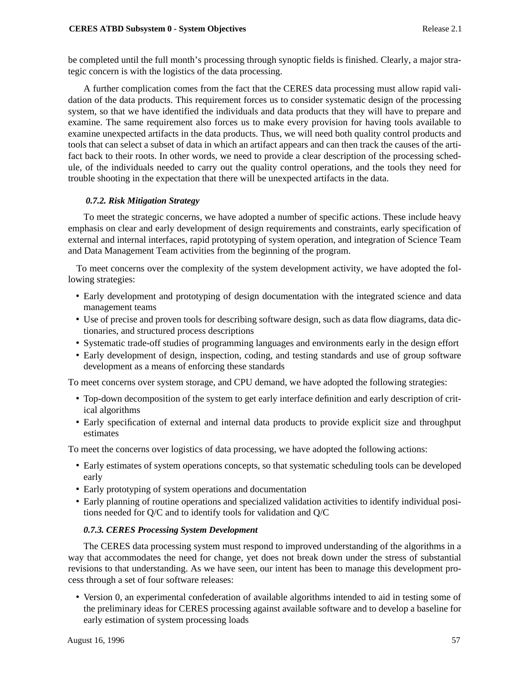be completed until the full month's processing through synoptic fields is finished. Clearly, a major strategic concern is with the logistics of the data processing.

A further complication comes from the fact that the CERES data processing must allow rapid validation of the data products. This requirement forces us to consider systematic design of the processing system, so that we have identified the individuals and data products that they will have to prepare and examine. The same requirement also forces us to make every provision for having tools available to examine unexpected artifacts in the data products. Thus, we will need both quality control products and tools that can select a subset of data in which an artifact appears and can then track the causes of the artifact back to their roots. In other words, we need to provide a clear description of the processing schedule, of the individuals needed to carry out the quality control operations, and the tools they need for trouble shooting in the expectation that there will be unexpected artifacts in the data.

# *0.7.2. Risk Mitigation Strategy*

To meet the strategic concerns, we have adopted a number of specific actions. These include heavy emphasis on clear and early development of design requirements and constraints, early specification of external and internal interfaces, rapid prototyping of system operation, and integration of Science Team and Data Management Team activities from the beginning of the program.

 To meet concerns over the complexity of the system development activity, we have adopted the following strategies:

- Early development and prototyping of design documentation with the integrated science and data management teams
- Use of precise and proven tools for describing software design, such as data flow diagrams, data dictionaries, and structured process descriptions
- Systematic trade-off studies of programming languages and environments early in the design effort
- Early development of design, inspection, coding, and testing standards and use of group software development as a means of enforcing these standards

To meet concerns over system storage, and CPU demand, we have adopted the following strategies:

- Top-down decomposition of the system to get early interface definition and early description of critical algorithms
- Early specification of external and internal data products to provide explicit size and throughput estimates

To meet the concerns over logistics of data processing, we have adopted the following actions:

- Early estimates of system operations concepts, so that systematic scheduling tools can be developed early
- Early prototyping of system operations and documentation
- Early planning of routine operations and specialized validation activities to identify individual positions needed for Q/C and to identify tools for validation and Q/C

# *0.7.3. CERES Processing System Development*

The CERES data processing system must respond to improved understanding of the algorithms in a way that accommodates the need for change, yet does not break down under the stress of substantial revisions to that understanding. As we have seen, our intent has been to manage this development process through a set of four software releases:

• Version 0, an experimental confederation of available algorithms intended to aid in testing some of the preliminary ideas for CERES processing against available software and to develop a baseline for early estimation of system processing loads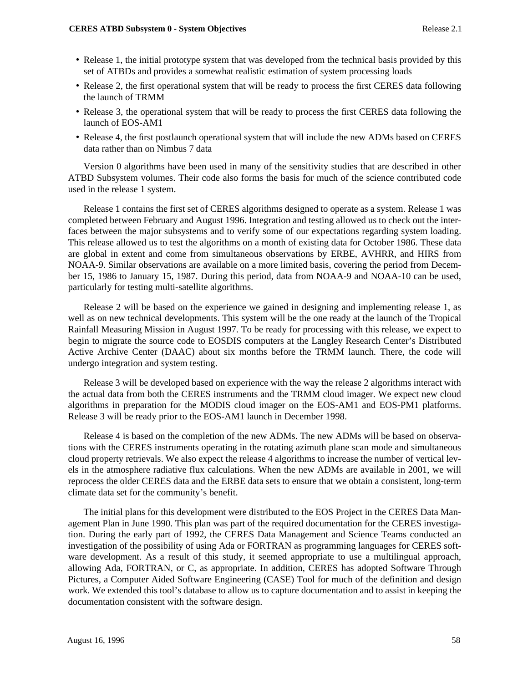- Release 1, the initial prototype system that was developed from the technical basis provided by this set of ATBDs and provides a somewhat realistic estimation of system processing loads
- Release 2, the first operational system that will be ready to process the first CERES data following the launch of TRMM
- Release 3, the operational system that will be ready to process the first CERES data following the launch of EOS-AM1
- Release 4, the first postlaunch operational system that will include the new ADMs based on CERES data rather than on Nimbus 7 data

Version 0 algorithms have been used in many of the sensitivity studies that are described in other ATBD Subsystem volumes. Their code also forms the basis for much of the science contributed code used in the release 1 system.

Release 1 contains the first set of CERES algorithms designed to operate as a system. Release 1 was completed between February and August 1996. Integration and testing allowed us to check out the interfaces between the major subsystems and to verify some of our expectations regarding system loading. This release allowed us to test the algorithms on a month of existing data for October 1986. These data are global in extent and come from simultaneous observations by ERBE, AVHRR, and HIRS from NOAA-9. Similar observations are available on a more limited basis, covering the period from December 15, 1986 to January 15, 1987. During this period, data from NOAA-9 and NOAA-10 can be used, particularly for testing multi-satellite algorithms.

Release 2 will be based on the experience we gained in designing and implementing release 1, as well as on new technical developments. This system will be the one ready at the launch of the Tropical Rainfall Measuring Mission in August 1997. To be ready for processing with this release, we expect to begin to migrate the source code to EOSDIS computers at the Langley Research Center's Distributed Active Archive Center (DAAC) about six months before the TRMM launch. There, the code will undergo integration and system testing.

Release 3 will be developed based on experience with the way the release 2 algorithms interact with the actual data from both the CERES instruments and the TRMM cloud imager. We expect new cloud algorithms in preparation for the MODIS cloud imager on the EOS-AM1 and EOS-PM1 platforms. Release 3 will be ready prior to the EOS-AM1 launch in December 1998.

Release 4 is based on the completion of the new ADMs. The new ADMs will be based on observations with the CERES instruments operating in the rotating azimuth plane scan mode and simultaneous cloud property retrievals. We also expect the release 4 algorithms to increase the number of vertical levels in the atmosphere radiative flux calculations. When the new ADMs are available in 2001, we will reprocess the older CERES data and the ERBE data sets to ensure that we obtain a consistent, long-term climate data set for the community's benefit.

The initial plans for this development were distributed to the EOS Project in the CERES Data Management Plan in June 1990. This plan was part of the required documentation for the CERES investigation. During the early part of 1992, the CERES Data Management and Science Teams conducted an investigation of the possibility of using Ada or FORTRAN as programming languages for CERES software development. As a result of this study, it seemed appropriate to use a multilingual approach, allowing Ada, FORTRAN, or C, as appropriate. In addition, CERES has adopted Software Through Pictures, a Computer Aided Software Engineering (CASE) Tool for much of the definition and design work. We extended this tool's database to allow us to capture documentation and to assist in keeping the documentation consistent with the software design.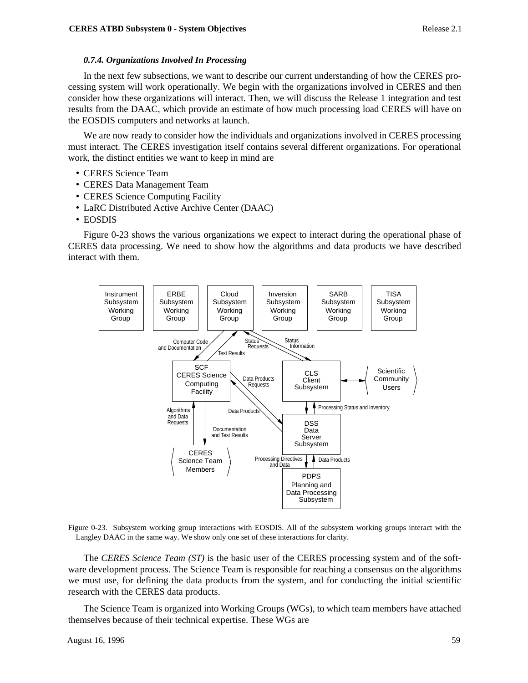### *0.7.4. Organizations Involved In Processing*

In the next few subsections, we want to describe our current understanding of how the CERES processing system will work operationally. We begin with the organizations involved in CERES and then consider how these organizations will interact. Then, we will discuss the Release 1 integration and test results from the DAAC, which provide an estimate of how much processing load CERES will have on the EOSDIS computers and networks at launch.

We are now ready to consider how the individuals and organizations involved in CERES processing must interact. The CERES investigation itself contains several different organizations. For operational work, the distinct entities we want to keep in mind are

- CERES Science Team
- CERES Data Management Team
- CERES Science Computing Facility
- LaRC Distributed Active Archive Center (DAAC)
- EOSDIS

Figure 0-23 shows the various organizations we expect to interact during the operational phase of CERES data processing. We need to show how the algorithms and data products we have described interact with them.



Figure 0-23. Subsystem working group interactions with EOSDIS. All of the subsystem working groups interact with the Langley DAAC in the same way. We show only one set of these interactions for clarity.

The *CERES Science Team (ST)* is the basic user of the CERES processing system and of the software development process. The Science Team is responsible for reaching a consensus on the algorithms we must use, for defining the data products from the system, and for conducting the initial scientific research with the CERES data products.

The Science Team is organized into Working Groups (WGs), to which team members have attached themselves because of their technical expertise. These WGs are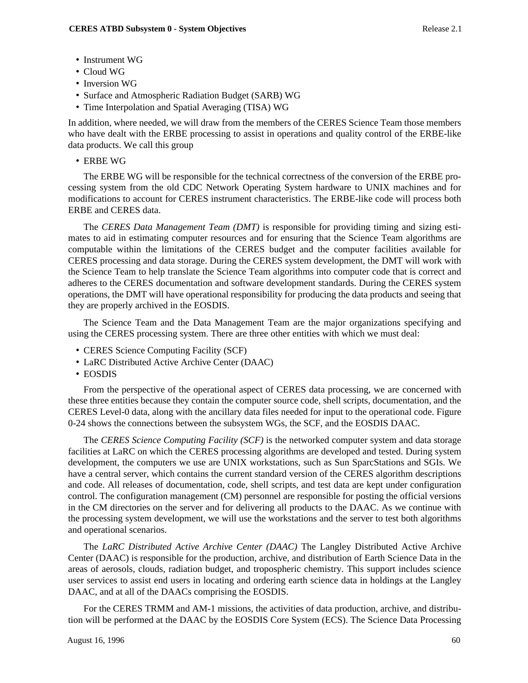- Instrument WG
- Cloud WG
- Inversion WG
- Surface and Atmospheric Radiation Budget (SARB) WG
- Time Interpolation and Spatial Averaging (TISA) WG

In addition, where needed, we will draw from the members of the CERES Science Team those members who have dealt with the ERBE processing to assist in operations and quality control of the ERBE-like data products. We call this group

• ERBE WG

The ERBE WG will be responsible for the technical correctness of the conversion of the ERBE processing system from the old CDC Network Operating System hardware to UNIX machines and for modifications to account for CERES instrument characteristics. The ERBE-like code will process both ERBE and CERES data.

The *CERES Data Management Team (DMT)* is responsible for providing timing and sizing estimates to aid in estimating computer resources and for ensuring that the Science Team algorithms are computable within the limitations of the CERES budget and the computer facilities available for CERES processing and data storage. During the CERES system development, the DMT will work with the Science Team to help translate the Science Team algorithms into computer code that is correct and adheres to the CERES documentation and software development standards. During the CERES system operations, the DMT will have operational responsibility for producing the data products and seeing that they are properly archived in the EOSDIS.

The Science Team and the Data Management Team are the major organizations specifying and using the CERES processing system. There are three other entities with which we must deal:

- CERES Science Computing Facility (SCF)
- LaRC Distributed Active Archive Center (DAAC)
- EOSDIS

From the perspective of the operational aspect of CERES data processing, we are concerned with these three entities because they contain the computer source code, shell scripts, documentation, and the CERES Level-0 data, along with the ancillary data files needed for input to the operational code. Figure 0-24 shows the connections between the subsystem WGs, the SCF, and the EOSDIS DAAC.

The *CERES Science Computing Facility (SCF)* is the networked computer system and data storage facilities at LaRC on which the CERES processing algorithms are developed and tested. During system development, the computers we use are UNIX workstations, such as Sun SparcStations and SGIs. We have a central server, which contains the current standard version of the CERES algorithm descriptions and code. All releases of documentation, code, shell scripts, and test data are kept under configuration control. The configuration management (CM) personnel are responsible for posting the official versions in the CM directories on the server and for delivering all products to the DAAC. As we continue with the processing system development, we will use the workstations and the server to test both algorithms and operational scenarios.

The *LaRC Distributed Active Archive Center (DAAC)* The Langley Distributed Active Archive Center (DAAC) is responsible for the production, archive, and distribution of Earth Science Data in the areas of aerosols, clouds, radiation budget, and tropospheric chemistry. This support includes science user services to assist end users in locating and ordering earth science data in holdings at the Langley DAAC, and at all of the DAACs comprising the EOSDIS.

For the CERES TRMM and AM-1 missions, the activities of data production, archive, and distribution will be performed at the DAAC by the EOSDIS Core System (ECS). The Science Data Processing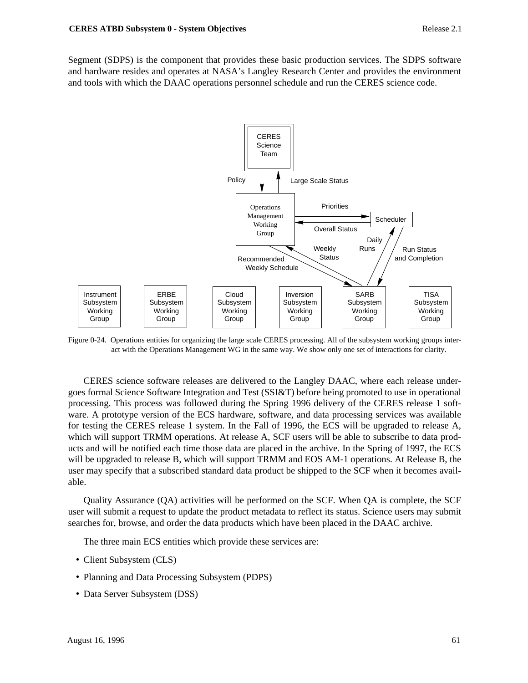Segment (SDPS) is the component that provides these basic production services. The SDPS software and hardware resides and operates at NASA's Langley Research Center and provides the environment and tools with which the DAAC operations personnel schedule and run the CERES science code.



Figure 0-24. Operations entities for organizing the large scale CERES processing. All of the subsystem working groups interact with the Operations Management WG in the same way. We show only one set of interactions for clarity.

CERES science software releases are delivered to the Langley DAAC, where each release undergoes formal Science Software Integration and Test (SSI&T) before being promoted to use in operational processing. This process was followed during the Spring 1996 delivery of the CERES release 1 software. A prototype version of the ECS hardware, software, and data processing services was available for testing the CERES release 1 system. In the Fall of 1996, the ECS will be upgraded to release A, which will support TRMM operations. At release A, SCF users will be able to subscribe to data products and will be notified each time those data are placed in the archive. In the Spring of 1997, the ECS will be upgraded to release B, which will support TRMM and EOS AM-1 operations. At Release B, the user may specify that a subscribed standard data product be shipped to the SCF when it becomes available.

Quality Assurance (QA) activities will be performed on the SCF. When QA is complete, the SCF user will submit a request to update the product metadata to reflect its status. Science users may submit searches for, browse, and order the data products which have been placed in the DAAC archive.

The three main ECS entities which provide these services are:

- Client Subsystem (CLS)
- Planning and Data Processing Subsystem (PDPS)
- Data Server Subsystem (DSS)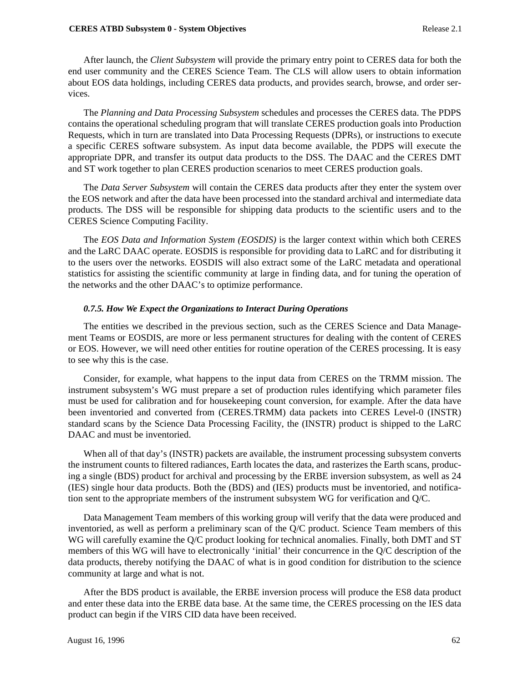#### **CERES ATBD Subsystem 0 - System Objectives** Release 2.1

After launch, the *Client Subsystem* will provide the primary entry point to CERES data for both the end user community and the CERES Science Team. The CLS will allow users to obtain information about EOS data holdings, including CERES data products, and provides search, browse, and order services.

The *Planning and Data Processing Subsystem* schedules and processes the CERES data. The PDPS contains the operational scheduling program that will translate CERES production goals into Production Requests, which in turn are translated into Data Processing Requests (DPRs), or instructions to execute a specific CERES software subsystem. As input data become available, the PDPS will execute the appropriate DPR, and transfer its output data products to the DSS. The DAAC and the CERES DMT and ST work together to plan CERES production scenarios to meet CERES production goals.

The *Data Server Subsystem* will contain the CERES data products after they enter the system over the EOS network and after the data have been processed into the standard archival and intermediate data products. The DSS will be responsible for shipping data products to the scientific users and to the CERES Science Computing Facility.

The *EOS Data and Information System (EOSDIS)* is the larger context within which both CERES and the LaRC DAAC operate. EOSDIS is responsible for providing data to LaRC and for distributing it to the users over the networks. EOSDIS will also extract some of the LaRC metadata and operational statistics for assisting the scientific community at large in finding data, and for tuning the operation of the networks and the other DAAC's to optimize performance.

### *0.7.5. How We Expect the Organizations to Interact During Operations*

The entities we described in the previous section, such as the CERES Science and Data Management Teams or EOSDIS, are more or less permanent structures for dealing with the content of CERES or EOS. However, we will need other entities for routine operation of the CERES processing. It is easy to see why this is the case.

Consider, for example, what happens to the input data from CERES on the TRMM mission. The instrument subsystem's WG must prepare a set of production rules identifying which parameter files must be used for calibration and for housekeeping count conversion, for example. After the data have been inventoried and converted from (CERES.TRMM) data packets into CERES Level-0 (INSTR) standard scans by the Science Data Processing Facility, the (INSTR) product is shipped to the LaRC DAAC and must be inventoried.

When all of that day's (INSTR) packets are available, the instrument processing subsystem converts the instrument counts to filtered radiances, Earth locates the data, and rasterizes the Earth scans, producing a single (BDS) product for archival and processing by the ERBE inversion subsystem, as well as 24 (IES) single hour data products. Both the (BDS) and (IES) products must be inventoried, and notification sent to the appropriate members of the instrument subsystem WG for verification and Q/C.

Data Management Team members of this working group will verify that the data were produced and inventoried, as well as perform a preliminary scan of the Q/C product. Science Team members of this WG will carefully examine the Q/C product looking for technical anomalies. Finally, both DMT and ST members of this WG will have to electronically 'initial' their concurrence in the Q/C description of the data products, thereby notifying the DAAC of what is in good condition for distribution to the science community at large and what is not.

After the BDS product is available, the ERBE inversion process will produce the ES8 data product and enter these data into the ERBE data base. At the same time, the CERES processing on the IES data product can begin if the VIRS CID data have been received.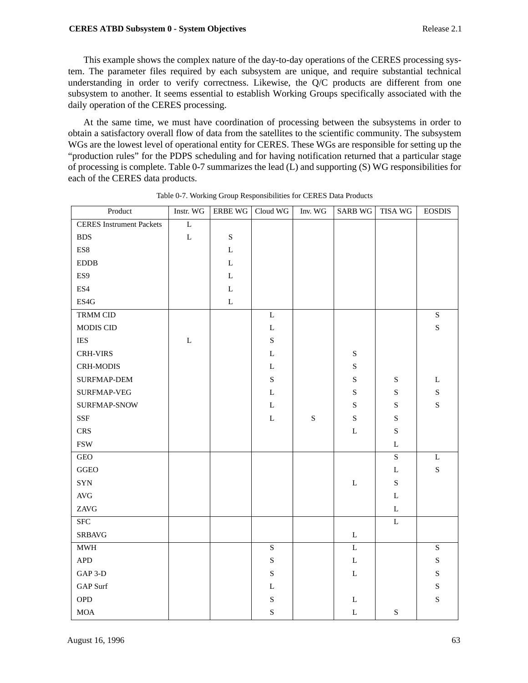### **CERES ATBD Subsystem 0 - System Objectives** Release 2.1

This example shows the complex nature of the day-to-day operations of the CERES processing system. The parameter files required by each subsystem are unique, and require substantial technical understanding in order to verify correctness. Likewise, the Q/C products are different from one subsystem to another. It seems essential to establish Working Groups specifically associated with the daily operation of the CERES processing.

At the same time, we must have coordination of processing between the subsystems in order to obtain a satisfactory overall flow of data from the satellites to the scientific community. The subsystem WGs are the lowest level of operational entity for CERES. These WGs are responsible for setting up the "production rules" for the PDPS scheduling and for having notification returned that a particular stage of processing is complete. Table 0-7 summarizes the lead (L) and supporting (S) WG responsibilities for each of the CERES data products.

| Product                         | Instr. WG   | ERBE WG     | Cloud WG    | Inv. WG   | <b>SARB WG</b> | TISA WG     | <b>EOSDIS</b> |
|---------------------------------|-------------|-------------|-------------|-----------|----------------|-------------|---------------|
| <b>CERES</b> Instrument Packets | L           |             |             |           |                |             |               |
| <b>BDS</b>                      | $\mathbf L$ | ${\bf S}$   |             |           |                |             |               |
| ES8                             |             | L           |             |           |                |             |               |
| $\rm EDDB$                      |             | L           |             |           |                |             |               |
| ES9                             |             | $\mathbf L$ |             |           |                |             |               |
| ES4                             |             | L           |             |           |                |             |               |
| ES4G                            |             | $\mathbf L$ |             |           |                |             |               |
| TRMM CID                        |             |             | $\mathbf L$ |           |                |             | ${\bf S}$     |
| MODIS CID                       |             |             | $\mathbf L$ |           |                |             | ${\bf S}$     |
| <b>IES</b>                      | L           |             | ${\bf S}$   |           |                |             |               |
| <b>CRH-VIRS</b>                 |             |             | $\mathbf L$ |           | ${\bf S}$      |             |               |
| <b>CRH-MODIS</b>                |             |             | L           |           | ${\bf S}$      |             |               |
| SURFMAP-DEM                     |             |             | ${\bf S}$   |           | ${\bf S}$      | ${\bf S}$   | L             |
| SURFMAP-VEG                     |             |             | $\mathbf L$ |           | ${\bf S}$      | $\mathbf S$ | ${\bf S}$     |
| SURFMAP-SNOW                    |             |             | $\mathbf L$ |           | ${\bf S}$      | ${\bf S}$   | ${\bf S}$     |
| <b>SSF</b>                      |             |             | L           | ${\bf S}$ | ${\bf S}$      | ${\bf S}$   |               |
| <b>CRS</b>                      |             |             |             |           | L              | ${\bf S}$   |               |
| $\ensuremath{\mathsf{FSW}}$     |             |             |             |           |                | $\mathbf L$ |               |
| $\rm{GEO}$                      |             |             |             |           |                | S           | L             |
| GGEO                            |             |             |             |           |                | L           | ${\bf S}$     |
| <b>SYN</b>                      |             |             |             |           | $\mathbf L$    | ${\bf S}$   |               |
| $\operatorname{AVG}$            |             |             |             |           |                | $\mathbf L$ |               |
| ZAVG                            |             |             |             |           |                | L           |               |
| <b>SFC</b>                      |             |             |             |           |                | $\mathbf L$ |               |
| <b>SRBAVG</b>                   |             |             |             |           | L              |             |               |
| $\mathbf{MWH}$                  |             |             | $\mathbf S$ |           | $\mathbf L$    |             | ${\bf S}$     |
| ${\sf APD}$                     |             |             | ${\bf S}$   |           | $\mathbf L$    |             | ${\bf S}$     |
| GAP 3-D                         |             |             | ${\bf S}$   |           | $\mathbf L$    |             | ${\bf S}$     |
| <b>GAP</b> Surf                 |             |             | L           |           |                |             | ${\bf S}$     |
| ${\rm OPD}$                     |             |             | ${\bf S}$   |           | L              |             | ${\bf S}$     |
| <b>MOA</b>                      |             |             | S           |           | $\mathbf L$    | ${\bf S}$   |               |

Table 0-7. Working Group Responsibilities for CERES Data Products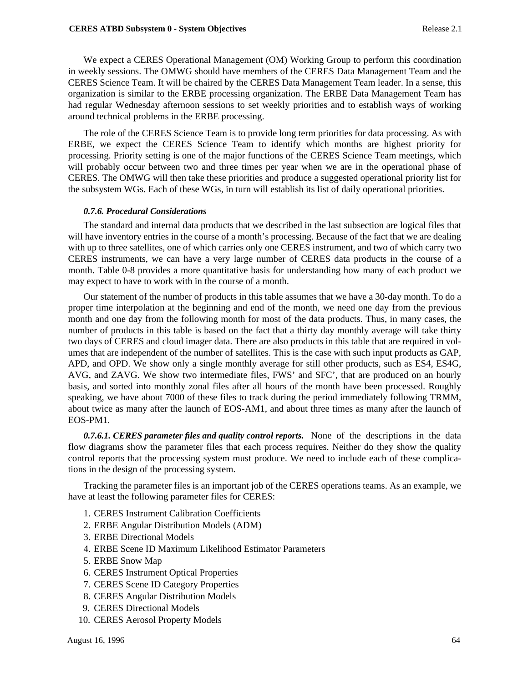We expect a CERES Operational Management (OM) Working Group to perform this coordination in weekly sessions. The OMWG should have members of the CERES Data Management Team and the CERES Science Team. It will be chaired by the CERES Data Management Team leader. In a sense, this organization is similar to the ERBE processing organization. The ERBE Data Management Team has had regular Wednesday afternoon sessions to set weekly priorities and to establish ways of working around technical problems in the ERBE processing.

The role of the CERES Science Team is to provide long term priorities for data processing. As with ERBE, we expect the CERES Science Team to identify which months are highest priority for processing. Priority setting is one of the major functions of the CERES Science Team meetings, which will probably occur between two and three times per year when we are in the operational phase of CERES. The OMWG will then take these priorities and produce a suggested operational priority list for the subsystem WGs. Each of these WGs, in turn will establish its list of daily operational priorities.

## *0.7.6. Procedural Considerations*

The standard and internal data products that we described in the last subsection are logical files that will have inventory entries in the course of a month's processing. Because of the fact that we are dealing with up to three satellites, one of which carries only one CERES instrument, and two of which carry two CERES instruments, we can have a very large number of CERES data products in the course of a month. Table 0-8 provides a more quantitative basis for understanding how many of each product we may expect to have to work with in the course of a month.

Our statement of the number of products in this table assumes that we have a 30-day month. To do a proper time interpolation at the beginning and end of the month, we need one day from the previous month and one day from the following month for most of the data products. Thus, in many cases, the number of products in this table is based on the fact that a thirty day monthly average will take thirty two days of CERES and cloud imager data. There are also products in this table that are required in volumes that are independent of the number of satellites. This is the case with such input products as GAP, APD, and OPD. We show only a single monthly average for still other products, such as ES4, ES4G, AVG, and ZAVG. We show two intermediate files, FWS' and SFC', that are produced on an hourly basis, and sorted into monthly zonal files after all hours of the month have been processed. Roughly speaking, we have about 7000 of these files to track during the period immediately following TRMM, about twice as many after the launch of EOS-AM1, and about three times as many after the launch of EOS-PM1.

*0.7.6.1. CERES parameter files and quality control reports.* None of the descriptions in the data flow diagrams show the parameter files that each process requires. Neither do they show the quality control reports that the processing system must produce. We need to include each of these complications in the design of the processing system.

Tracking the parameter files is an important job of the CERES operations teams. As an example, we have at least the following parameter files for CERES:

- 1. CERES Instrument Calibration Coefficients
- 2. ERBE Angular Distribution Models (ADM)
- 3. ERBE Directional Models
- 4. ERBE Scene ID Maximum Likelihood Estimator Parameters
- 5. ERBE Snow Map
- 6. CERES Instrument Optical Properties
- 7. CERES Scene ID Category Properties
- 8. CERES Angular Distribution Models
- 9. CERES Directional Models
- 10. CERES Aerosol Property Models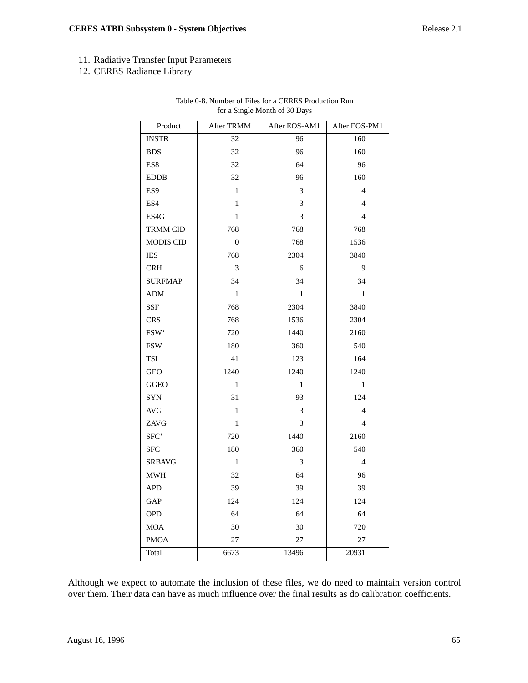# 11. Radiative Transfer Input Parameters

12. CERES Radiance Library

| Product                     | After TRMM       | After EOS-AM1  | After EOS-PM1  |
|-----------------------------|------------------|----------------|----------------|
| <b>INSTR</b>                | 32               | 96             | 160            |
| <b>BDS</b>                  | 32               | 96             | 160            |
| ES8                         | 32               | 64             | 96             |
| <b>EDDB</b>                 | 32               | 96             | 160            |
| ES <sub>9</sub>             | $\mathbf{1}$     | 3              | $\overline{4}$ |
| ES4                         | $\mathbf{1}$     | $\mathfrak{Z}$ | $\overline{4}$ |
| ES4G                        | $\mathbf{1}$     | 3              | $\overline{4}$ |
| <b>TRMM CID</b>             | 768              | 768            | 768            |
| <b>MODIS CID</b>            | $\boldsymbol{0}$ | 768            | 1536           |
| IES                         | 768              | 2304           | 3840           |
| <b>CRH</b>                  | 3                | 6              | 9              |
| <b>SURFMAP</b>              | 34               | 34             | 34             |
| <b>ADM</b>                  | $\mathbf{1}$     | $\mathbf{1}$   | $\mathbf{1}$   |
| SSF                         | 768              | 2304           | 3840           |
| <b>CRS</b>                  | 768              | 1536           | 2304           |
| FSW <sup>*</sup>            | 720              | 1440           | 2160           |
| <b>FSW</b>                  | 180              | 360            | 540            |
| <b>TSI</b>                  | 41               | 123            | 164            |
| <b>GEO</b>                  | 1240             | 1240           | 1240           |
| <b>GGEO</b>                 | $\mathbf{1}$     | $\mathbf{1}$   | $\mathbf{1}$   |
| SYN                         | 31               | 93             | 124            |
| $\operatorname{AVG}$        | $\,1$            | 3              | $\overline{4}$ |
| ZAVG                        | $\mathbf{1}$     | 3              | $\overline{4}$ |
| SFC'                        | 720              | 1440           | 2160           |
| <b>SFC</b>                  | 180              | 360            | 540            |
| <b>SRBAVG</b>               | $\mathbf{1}$     | 3              | 4              |
| $\mathop{\rm MWH}\nolimits$ | 32               | 64             | 96             |
| <b>APD</b>                  | 39               | 39             | 39             |
| GAP                         | 124              | 124            | 124            |
| <b>OPD</b>                  | 64               | 64             | 64             |
| <b>MOA</b>                  | 30               | 30             | 720            |
| <b>PMOA</b>                 | $27\,$           | 27             | 27             |
| Total                       | 6673             | 13496          | 20931          |

## Table 0-8. Number of Files for a CERES Production Run for a Single Month of 30 Days

Although we expect to automate the inclusion of these files, we do need to maintain version control over them. Their data can have as much influence over the final results as do calibration coefficients.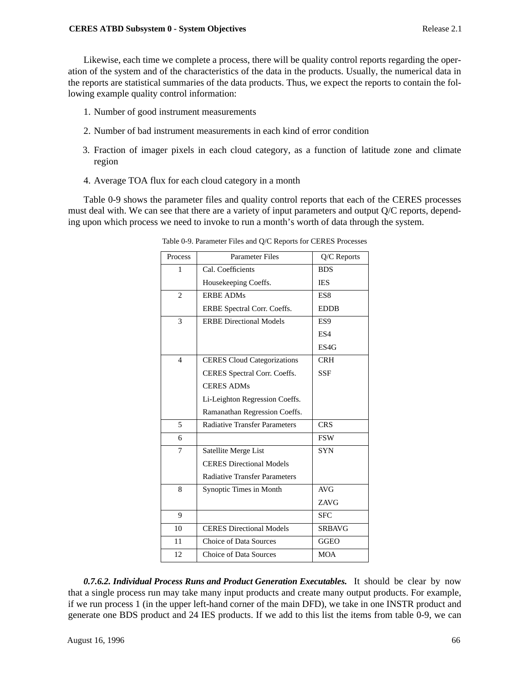Likewise, each time we complete a process, there will be quality control reports regarding the operation of the system and of the characteristics of the data in the products. Usually, the numerical data in the reports are statistical summaries of the data products. Thus, we expect the reports to contain the following example quality control information:

- 1. Number of good instrument measurements
- 2. Number of bad instrument measurements in each kind of error condition
- 3. Fraction of imager pixels in each cloud category, as a function of latitude zone and climate region
- 4. Average TOA flux for each cloud category in a month

Table 0-9 shows the parameter files and quality control reports that each of the CERES processes must deal with. We can see that there are a variety of input parameters and output Q/C reports, depending upon which process we need to invoke to run a month's worth of data through the system.

| Process        | <b>Parameter Files</b>               | Q/C Reports     |
|----------------|--------------------------------------|-----------------|
| 1              | Cal. Coefficients                    | <b>BDS</b>      |
|                | Housekeeping Coeffs.                 | <b>IES</b>      |
| $\overline{2}$ | <b>ERBE ADMs</b>                     | ES8             |
|                | ERBE Spectral Corr. Coeffs.          | <b>EDDB</b>     |
| 3              | <b>ERBE Directional Models</b>       | ES <sub>9</sub> |
|                |                                      | ES4             |
|                |                                      | ES4G            |
| $\overline{4}$ | <b>CERES</b> Cloud Categorizations   | <b>CRH</b>      |
|                | CERES Spectral Corr. Coeffs.         | <b>SSF</b>      |
|                | <b>CERES ADMs</b>                    |                 |
|                | Li-Leighton Regression Coeffs.       |                 |
|                | Ramanathan Regression Coeffs.        |                 |
| 5              | <b>Radiative Transfer Parameters</b> | <b>CRS</b>      |
| 6              |                                      | <b>FSW</b>      |
| 7              | Satellite Merge List                 | <b>SYN</b>      |
|                | <b>CERES Directional Models</b>      |                 |
|                | <b>Radiative Transfer Parameters</b> |                 |
| 8              | Synoptic Times in Month              | AVG             |
|                |                                      | <b>ZAVG</b>     |
| 9              |                                      | <b>SFC</b>      |
| 10             | <b>CERES Directional Models</b>      | <b>SRBAVG</b>   |
| 11             | Choice of Data Sources               | <b>GGEO</b>     |
| 12             | <b>Choice of Data Sources</b>        | <b>MOA</b>      |

Table 0-9. Parameter Files and Q/C Reports for CERES Processes

*0.7.6.2. Individual Process Runs and Product Generation Executables.* It should be clear by now that a single process run may take many input products and create many output products. For example, if we run process 1 (in the upper left-hand corner of the main DFD), we take in one INSTR product and generate one BDS product and 24 IES products. If we add to this list the items from table 0-9, we can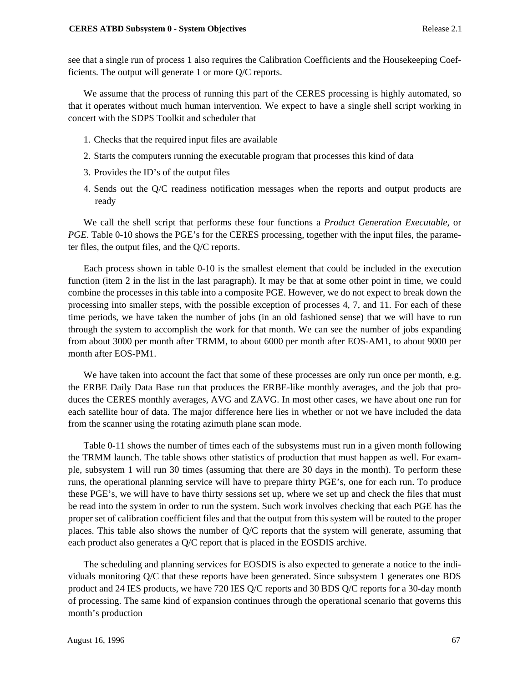see that a single run of process 1 also requires the Calibration Coefficients and the Housekeeping Coefficients. The output will generate 1 or more Q/C reports.

We assume that the process of running this part of the CERES processing is highly automated, so that it operates without much human intervention. We expect to have a single shell script working in concert with the SDPS Toolkit and scheduler that

- 1. Checks that the required input files are available
- 2. Starts the computers running the executable program that processes this kind of data
- 3. Provides the ID's of the output files
- 4. Sends out the Q/C readiness notification messages when the reports and output products are ready

We call the shell script that performs these four functions a *Product Generation Executable*, or *PGE*. Table 0-10 shows the PGE's for the CERES processing, together with the input files, the parameter files, the output files, and the Q/C reports.

Each process shown in table 0-10 is the smallest element that could be included in the execution function (item 2 in the list in the last paragraph). It may be that at some other point in time, we could combine the processes in this table into a composite PGE. However, we do not expect to break down the processing into smaller steps, with the possible exception of processes 4, 7, and 11. For each of these time periods, we have taken the number of jobs (in an old fashioned sense) that we will have to run through the system to accomplish the work for that month. We can see the number of jobs expanding from about 3000 per month after TRMM, to about 6000 per month after EOS-AM1, to about 9000 per month after EOS-PM1.

We have taken into account the fact that some of these processes are only run once per month, e.g. the ERBE Daily Data Base run that produces the ERBE-like monthly averages, and the job that produces the CERES monthly averages, AVG and ZAVG. In most other cases, we have about one run for each satellite hour of data. The major difference here lies in whether or not we have included the data from the scanner using the rotating azimuth plane scan mode.

Table 0-11 shows the number of times each of the subsystems must run in a given month following the TRMM launch. The table shows other statistics of production that must happen as well. For example, subsystem 1 will run 30 times (assuming that there are 30 days in the month). To perform these runs, the operational planning service will have to prepare thirty PGE's, one for each run. To produce these PGE's, we will have to have thirty sessions set up, where we set up and check the files that must be read into the system in order to run the system. Such work involves checking that each PGE has the proper set of calibration coefficient files and that the output from this system will be routed to the proper places. This table also shows the number of Q/C reports that the system will generate, assuming that each product also generates a Q/C report that is placed in the EOSDIS archive.

The scheduling and planning services for EOSDIS is also expected to generate a notice to the individuals monitoring Q/C that these reports have been generated. Since subsystem 1 generates one BDS product and 24 IES products, we have 720 IES Q/C reports and 30 BDS Q/C reports for a 30-day month of processing. The same kind of expansion continues through the operational scenario that governs this month's production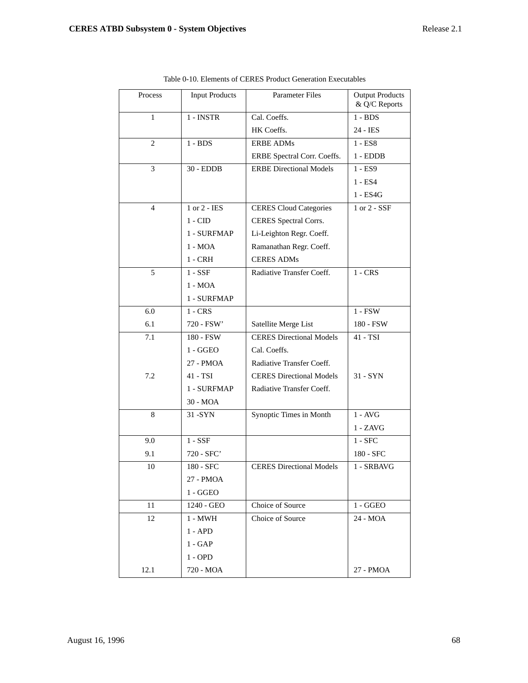| Process | <b>Input Products</b> | <b>Parameter Files</b>          | <b>Output Products</b><br>& Q/C Reports |
|---------|-----------------------|---------------------------------|-----------------------------------------|
| 1       | 1 - INSTR             | Cal. Coeffs.                    | $1 - BDS$                               |
|         |                       | HK Coeffs.                      | 24 - IES                                |
| 2       | $1 - BDS$             | <b>ERBE ADMs</b>                | $1 - ES8$                               |
|         |                       | ERBE Spectral Corr. Coeffs.     | $1 - EDDB$                              |
| 3       | $30 - EDDB$           | <b>ERBE Directional Models</b>  | 1 - ES9                                 |
|         |                       |                                 | $1 - ES4$                               |
|         |                       |                                 | $1 - ES4G$                              |
| 4       | $1$ or $2$ - IES      | <b>CERES Cloud Categories</b>   | 1 or 2 - SSF                            |
|         | $1 - CID$             | CERES Spectral Corrs.           |                                         |
|         | 1 - SURFMAP           | Li-Leighton Regr. Coeff.        |                                         |
|         | $1 - MOA$             | Ramanathan Regr. Coeff.         |                                         |
|         | $1 - CRH$             | <b>CERES ADMs</b>               |                                         |
| 5       | $1 - SSE$             | Radiative Transfer Coeff.       | $1 - CRS$                               |
|         | 1 - MOA               |                                 |                                         |
|         | 1 - SURFMAP           |                                 |                                         |
| 6.0     | $1 - CRS$             |                                 | $1 - FSW$                               |
| 6.1     | 720 - FSW'            | Satellite Merge List            | 180 - FSW                               |
| 7.1     | 180 - FSW             | <b>CERES Directional Models</b> | 41 - TSI                                |
|         | $1 - GGEO$            | Cal. Coeffs.                    |                                         |
|         | 27 - PMOA             | Radiative Transfer Coeff.       |                                         |
| 7.2     | 41 - TSI              | <b>CERES Directional Models</b> | $31 - SYN$                              |
|         | 1 - SURFMAP           | Radiative Transfer Coeff.       |                                         |
|         | 30 - MOA              |                                 |                                         |
| 8       | $31 - SYN$            | Synoptic Times in Month         | $1 - \text{AVG}$                        |
|         |                       |                                 | 1 - ZAVG                                |
| 9.0     | $1 - SSE$             |                                 | $1 - SFC$                               |
| 9.1     | 720 - SFC'            |                                 | 180 - SFC                               |
| 10      | 180 - SFC             | <b>CERES Directional Models</b> | 1 - SRBAVG                              |
|         | 27 - PMOA             |                                 |                                         |
|         | $1 - GGEO$            |                                 |                                         |
| 11      | 1240 - GEO            | Choice of Source                | $1 - GGEO$                              |
| 12      | 1 - MWH               | Choice of Source                | 24 - MOA                                |
|         | $1 - APD$             |                                 |                                         |
|         | $1 - GAP$             |                                 |                                         |
|         | $1 - OPD$             |                                 |                                         |
| 12.1    | 720 - MOA             |                                 | 27 - PMOA                               |

| Table 0-10. Elements of CERES Product Generation Executables |
|--------------------------------------------------------------|
|--------------------------------------------------------------|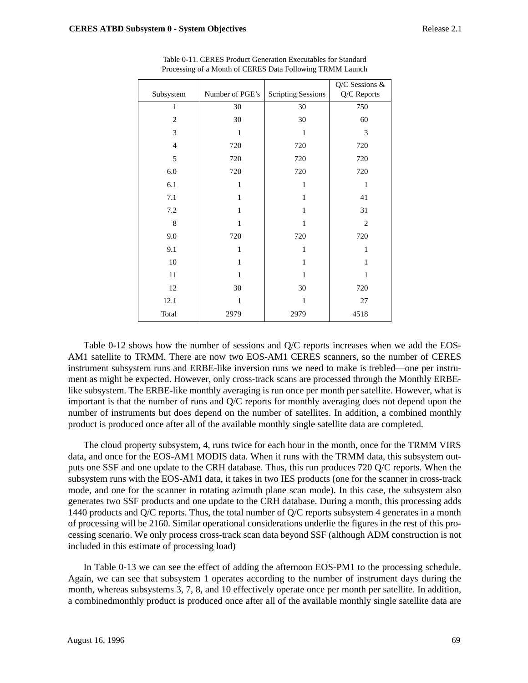| Subsystem      | Number of PGE's | <b>Scripting Sessions</b> | Q/C Sessions &<br>Q/C Reports |
|----------------|-----------------|---------------------------|-------------------------------|
| 1              | 30              | 30                        | 750                           |
| $\mathbf{2}$   | 30              | 30                        | 60                            |
| 3              | 1               | 1                         | 3                             |
| $\overline{4}$ | 720             | 720                       | 720                           |
| 5              | 720             | 720                       | 720                           |
| 6.0            | 720             | 720                       | 720                           |
| 6.1            | $\mathbf{1}$    | $\mathbf{1}$              | 1                             |
| 7.1            | 1               | 1                         | 41                            |
| 7.2            | 1               | 1                         | 31                            |
| 8              | 1               | 1                         | $\overline{2}$                |
| 9.0            | 720             | 720                       | 720                           |
| 9.1            | 1               | $\mathbf{1}$              | $\mathbf{1}$                  |
| 10             | 1               | 1                         | 1                             |
| 11             | 1               | 1                         | 1                             |
| 12             | 30              | 30                        | 720                           |
| 12.1           | 1               | 1                         | 27                            |
| Total          | 2979            | 2979                      | 4518                          |

Table 0-11. CERES Product Generation Executables for Standard Processing of a Month of CERES Data Following TRMM Launch

Table 0-12 shows how the number of sessions and Q/C reports increases when we add the EOS-AM1 satellite to TRMM. There are now two EOS-AM1 CERES scanners, so the number of CERES instrument subsystem runs and ERBE-like inversion runs we need to make is trebled—one per instrument as might be expected. However, only cross-track scans are processed through the Monthly ERBElike subsystem. The ERBE-like monthly averaging is run once per month per satellite. However, what is important is that the number of runs and Q/C reports for monthly averaging does not depend upon the number of instruments but does depend on the number of satellites. In addition, a combined monthly product is produced once after all of the available monthly single satellite data are completed.

The cloud property subsystem, 4, runs twice for each hour in the month, once for the TRMM VIRS data, and once for the EOS-AM1 MODIS data. When it runs with the TRMM data, this subsystem outputs one SSF and one update to the CRH database. Thus, this run produces 720 Q/C reports. When the subsystem runs with the EOS-AM1 data, it takes in two IES products (one for the scanner in cross-track mode, and one for the scanner in rotating azimuth plane scan mode). In this case, the subsystem also generates two SSF products and one update to the CRH database. During a month, this processing adds 1440 products and Q/C reports. Thus, the total number of Q/C reports subsystem 4 generates in a month of processing will be 2160. Similar operational considerations underlie the figures in the rest of this processing scenario. We only process cross-track scan data beyond SSF (although ADM construction is not included in this estimate of processing load)

In Table 0-13 we can see the effect of adding the afternoon EOS-PM1 to the processing schedule. Again, we can see that subsystem 1 operates according to the number of instrument days during the month, whereas subsystems 3, 7, 8, and 10 effectively operate once per month per satellite. In addition, a combinedmonthly product is produced once after all of the available monthly single satellite data are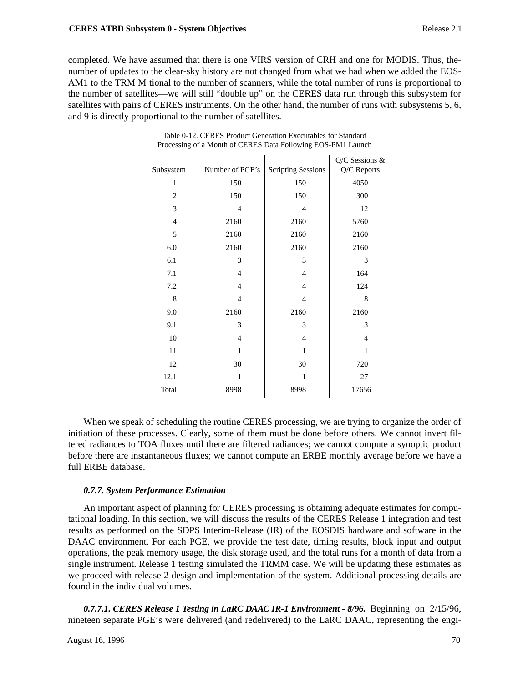completed. We have assumed that there is one VIRS version of CRH and one for MODIS. Thus, thenumber of updates to the clear-sky history are not changed from what we had when we added the EOS-AM1 to the TRM M tional to the number of scanners, while the total number of runs is proportional to the number of satellites—we will still "double up" on the CERES data run through this subsystem for satellites with pairs of CERES instruments. On the other hand, the number of runs with subsystems 5, 6, and 9 is directly proportional to the number of satellites.

| Subsystem      | Number of PGE's | <b>Scripting Sessions</b> | Q/C Sessions &<br>Q/C Reports |
|----------------|-----------------|---------------------------|-------------------------------|
| 1              | 150             | 150                       | 4050                          |
| $\overline{2}$ | 150             | 150                       | 300                           |
| 3              | 4               | $\overline{4}$            | 12                            |
| $\overline{4}$ | 2160            | 2160                      | 5760                          |
| 5              | 2160            | 2160                      | 2160                          |
| $6.0\,$        | 2160            | 2160                      | 2160                          |
| 6.1            | 3               | 3                         | 3                             |
| 7.1            | $\overline{4}$  | $\overline{4}$            | 164                           |
| 7.2            | $\overline{4}$  | $\overline{4}$            | 124                           |
| 8              | 4               | $\overline{4}$            | 8                             |
| 9.0            | 2160            | 2160                      | 2160                          |
| 9.1            | 3               | 3                         | 3                             |
| 10             | $\overline{4}$  | $\overline{4}$            | $\overline{4}$                |
| 11             | 1               | 1                         | $\mathbf{1}$                  |
| 12             | 30              | 30                        | 720                           |
| 12.1           | 1               | $\mathbf{1}$              | 27                            |
| Total          | 8998            | 8998                      | 17656                         |

| Table 0-12. CERES Product Generation Executables for Standard |
|---------------------------------------------------------------|
| Processing of a Month of CERES Data Following EOS-PM1 Launch  |

When we speak of scheduling the routine CERES processing, we are trying to organize the order of initiation of these processes. Clearly, some of them must be done before others. We cannot invert filtered radiances to TOA fluxes until there are filtered radiances; we cannot compute a synoptic product before there are instantaneous fluxes; we cannot compute an ERBE monthly average before we have a full ERBE database.

# *0.7.7. System Performance Estimation*

An important aspect of planning for CERES processing is obtaining adequate estimates for computational loading. In this section, we will discuss the results of the CERES Release 1 integration and test results as performed on the SDPS Interim-Release (IR) of the EOSDIS hardware and software in the DAAC environment. For each PGE, we provide the test date, timing results, block input and output operations, the peak memory usage, the disk storage used, and the total runs for a month of data from a single instrument. Release 1 testing simulated the TRMM case. We will be updating these estimates as we proceed with release 2 design and implementation of the system. Additional processing details are found in the individual volumes.

*0.7.7.1. CERES Release 1 Testing in LaRC DAAC IR-1 Environment - 8/96.* Beginning on 2/15/96, nineteen separate PGE's were delivered (and redelivered) to the LaRC DAAC, representing the engi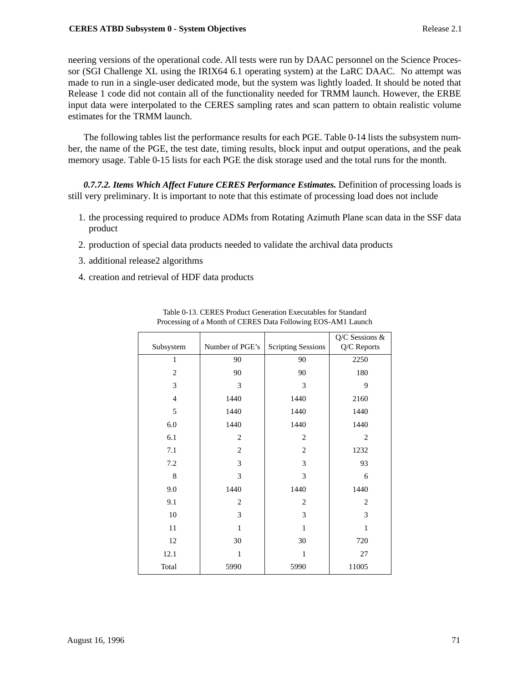neering versions of the operational code. All tests were run by DAAC personnel on the Science Processor (SGI Challenge XL using the IRIX64 6.1 operating system) at the LaRC DAAC. No attempt was made to run in a single-user dedicated mode, but the system was lightly loaded. It should be noted that Release 1 code did not contain all of the functionality needed for TRMM launch. However, the ERBE input data were interpolated to the CERES sampling rates and scan pattern to obtain realistic volume estimates for the TRMM launch.

The following tables list the performance results for each PGE. Table 0-14 lists the subsystem number, the name of the PGE, the test date, timing results, block input and output operations, and the peak memory usage. Table 0-15 lists for each PGE the disk storage used and the total runs for the month.

*0.7.7.2. Items Which Affect Future CERES Performance Estimates.* Definition of processing loads is still very preliminary. It is important to note that this estimate of processing load does not include

- 1. the processing required to produce ADMs from Rotating Azimuth Plane scan data in the SSF data product
- 2. production of special data products needed to validate the archival data products
- 3. additional release2 algorithms
- 4. creation and retrieval of HDF data products

| Subsystem      | Number of PGE's | <b>Scripting Sessions</b> | Q/C Sessions &<br>Q/C Reports |  |
|----------------|-----------------|---------------------------|-------------------------------|--|
|                |                 |                           |                               |  |
| 1              | 90              | 90                        | 2250                          |  |
| $\overline{2}$ | 90              | 90                        | 180                           |  |
| 3              | 3               | 3                         | 9                             |  |
| $\overline{4}$ | 1440            | 1440                      | 2160                          |  |
| 5              | 1440            | 1440                      | 1440                          |  |
| 6.0            | 1440            | 1440                      | 1440                          |  |
| 6.1            | $\overline{2}$  | $\overline{2}$            | $\overline{2}$                |  |
| 7.1            | $\overline{2}$  | $\overline{2}$            | 1232                          |  |
| 7.2            | 3               | 3                         | 93                            |  |
| 8              | 3               | 3                         | 6                             |  |
| 9.0            | 1440            | 1440                      | 1440                          |  |
| 9.1            | $\overline{2}$  | 2                         | 2                             |  |
| 10             | 3               | 3                         | 3                             |  |
| 11             | $\mathbf{1}$    | 1                         | $\mathbf{1}$                  |  |
| 12             | 30              | 30                        | 720                           |  |
| 12.1           | $\mathbf{1}$    | 1                         | 27                            |  |
| Total          | 5990            | 5990                      | 11005                         |  |

Table 0-13. CERES Product Generation Executables for Standard Processing of a Month of CERES Data Following EOS-AM1 Launch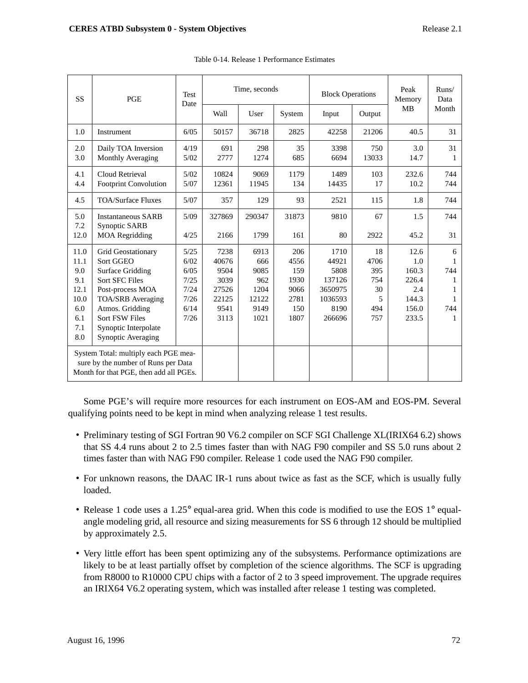| SS                                                                                                                    | <b>PGE</b>                                                                                                                                                                                                                           | <b>Test</b><br>Date                                          | Time, seconds                                                   |                                                             | <b>Block Operations</b>                                   |                                                                         | Peak<br>Memory                                    | Runs/<br>Data                                                   |                                          |
|-----------------------------------------------------------------------------------------------------------------------|--------------------------------------------------------------------------------------------------------------------------------------------------------------------------------------------------------------------------------------|--------------------------------------------------------------|-----------------------------------------------------------------|-------------------------------------------------------------|-----------------------------------------------------------|-------------------------------------------------------------------------|---------------------------------------------------|-----------------------------------------------------------------|------------------------------------------|
|                                                                                                                       |                                                                                                                                                                                                                                      | Wall                                                         | User                                                            | System                                                      | Input                                                     | Output                                                                  | <b>MB</b>                                         | Month                                                           |                                          |
| 1.0                                                                                                                   | Instrument                                                                                                                                                                                                                           | 6/05                                                         | 50157                                                           | 36718                                                       | 2825                                                      | 42258                                                                   | 21206                                             | 40.5                                                            | 31                                       |
| 2.0<br>3.0                                                                                                            | Daily TOA Inversion<br>Monthly Averaging                                                                                                                                                                                             | 4/19<br>5/02                                                 | 691<br>2777                                                     | 298<br>1274                                                 | 35<br>685                                                 | 3398<br>6694                                                            | 750<br>13033                                      | 3.0<br>14.7                                                     | 31<br>1                                  |
| 4.1<br>4.4                                                                                                            | Cloud Retrieval<br><b>Footprint Convolution</b>                                                                                                                                                                                      | 5/02<br>5/07                                                 | 10824<br>12361                                                  | 9069<br>11945                                               | 1179<br>134                                               | 1489<br>14435                                                           | 103<br>17                                         | 232.6<br>10.2                                                   | 744<br>744                               |
| 4.5                                                                                                                   | <b>TOA/Surface Fluxes</b>                                                                                                                                                                                                            | 5/07                                                         | 357                                                             | 129                                                         | 93                                                        | 2521                                                                    | 115                                               | 1.8                                                             | 744                                      |
| 5.0<br>7.2                                                                                                            | <b>Instantaneous SARB</b><br><b>Synoptic SARB</b>                                                                                                                                                                                    | 5/09                                                         | 327869                                                          | 290347                                                      | 31873                                                     | 9810                                                                    | 67                                                | 1.5                                                             | 744                                      |
| 12.0                                                                                                                  | <b>MOA Regridding</b>                                                                                                                                                                                                                | 4/25                                                         | 2166                                                            | 1799                                                        | 161                                                       | 80                                                                      | 2922                                              | 45.2                                                            | 31                                       |
| 11.0<br>11.1<br>9.0<br>9.1<br>12.1<br>10.0<br>6.0<br>6.1<br>7.1<br>8.0                                                | <b>Grid Geostationary</b><br>Sort GGEO<br><b>Surface Gridding</b><br><b>Sort SFC Files</b><br>Post-process MOA<br><b>TOA/SRB</b> Averaging<br>Atmos. Gridding<br><b>Sort FSW Files</b><br>Synoptic Interpolate<br>Synoptic Averaging | 5/25<br>6/02<br>6/05<br>7/25<br>7/24<br>7/26<br>6/14<br>7/26 | 7238<br>40676<br>9504<br>3039<br>27526<br>22125<br>9541<br>3113 | 6913<br>666<br>9085<br>962<br>1204<br>12122<br>9149<br>1021 | 206<br>4556<br>159<br>1930<br>9066<br>2781<br>150<br>1807 | 1710<br>44921<br>5808<br>137126<br>3650975<br>1036593<br>8190<br>266696 | 18<br>4706<br>395<br>754<br>30<br>5<br>494<br>757 | 12.6<br>1.0<br>160.3<br>226.4<br>2.4<br>144.3<br>156.0<br>233.5 | 6<br>1<br>744<br>1<br>1<br>1<br>744<br>1 |
| System Total: multiply each PGE mea-<br>sure by the number of Runs per Data<br>Month for that PGE, then add all PGEs. |                                                                                                                                                                                                                                      |                                                              |                                                                 |                                                             |                                                           |                                                                         |                                                   |                                                                 |                                          |

Table 0-14. Release 1 Performance Estimates

Some PGE's will require more resources for each instrument on EOS-AM and EOS-PM. Several qualifying points need to be kept in mind when analyzing release 1 test results.

- Preliminary testing of SGI Fortran 90 V6.2 compiler on SCF SGI Challenge XL(IRIX64 6.2) shows that SS 4.4 runs about 2 to 2.5 times faster than with NAG F90 compiler and SS 5.0 runs about 2 times faster than with NAG F90 compiler. Release 1 code used the NAG F90 compiler.
- For unknown reasons, the DAAC IR-1 runs about twice as fast as the SCF, which is usually fully loaded.
- Release 1 code uses a 1.25° equal-area grid. When this code is modified to use the EOS 1° equalangle modeling grid, all resource and sizing measurements for SS 6 through 12 should be multiplied by approximately 2.5.
- Very little effort has been spent optimizing any of the subsystems. Performance optimizations are likely to be at least partially offset by completion of the science algorithms. The SCF is upgrading from R8000 to R10000 CPU chips with a factor of 2 to 3 speed improvement. The upgrade requires an IRIX64 V6.2 operating system, which was installed after release 1 testing was completed.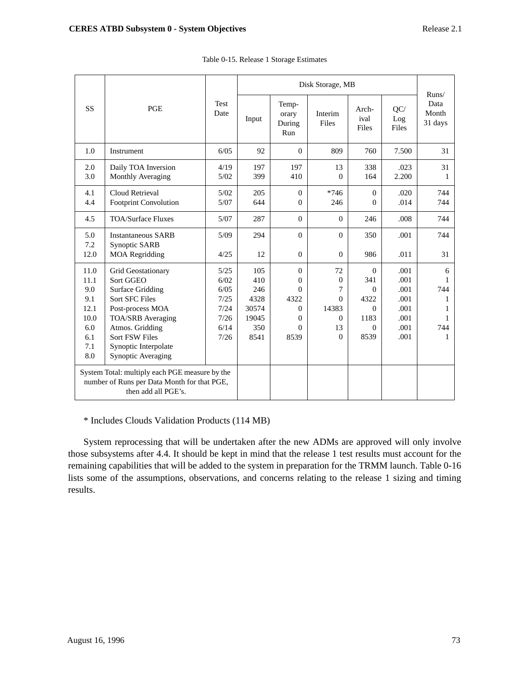|                                                                                                                      |                                                                                                                                                                                                                        |                                                              | Disk Storage, MB                                           |                                                                                      |                                                          |                                                                             |                                                              | Runs/                               |  |
|----------------------------------------------------------------------------------------------------------------------|------------------------------------------------------------------------------------------------------------------------------------------------------------------------------------------------------------------------|--------------------------------------------------------------|------------------------------------------------------------|--------------------------------------------------------------------------------------|----------------------------------------------------------|-----------------------------------------------------------------------------|--------------------------------------------------------------|-------------------------------------|--|
| <b>SS</b>                                                                                                            | <b>PGE</b>                                                                                                                                                                                                             | <b>Test</b><br>Date                                          | Input                                                      | Temp-<br>orary<br>During<br>Run                                                      | Interim<br>Files                                         | Arch-<br>ival<br>Files                                                      | QC/<br>Log<br>Files                                          | Data<br>Month<br>31 days            |  |
| 1.0                                                                                                                  | Instrument                                                                                                                                                                                                             | 6/05                                                         | 92                                                         | $\Omega$                                                                             | 809                                                      | 760                                                                         | 7.500                                                        | 31                                  |  |
| 2.0<br>3.0                                                                                                           | Daily TOA Inversion<br>Monthly Averaging                                                                                                                                                                               | 4/19<br>5/02                                                 | 197<br>399                                                 | 197<br>410                                                                           | 13<br>$\Omega$                                           | 338<br>164                                                                  | .023<br>2.200                                                | 31<br>1                             |  |
| 4.1<br>4.4                                                                                                           | Cloud Retrieval<br><b>Footprint Convolution</b>                                                                                                                                                                        | 5/02<br>5/07                                                 | 205<br>644                                                 | $\mathbf{0}$<br>$\Omega$                                                             | $*746$<br>246                                            | $\Omega$<br>$\Omega$                                                        | .020<br>.014                                                 | 744<br>744                          |  |
| 4.5                                                                                                                  | <b>TOA/Surface Fluxes</b>                                                                                                                                                                                              | 5/07                                                         | 287                                                        | $\Omega$                                                                             | $\Omega$                                                 | 246                                                                         | .008                                                         | 744                                 |  |
| 5.0<br>7.2<br>12.0                                                                                                   | <b>Instantaneous SARB</b><br>Synoptic SARB<br><b>MOA Regridding</b>                                                                                                                                                    | 5/09<br>4/25                                                 | 294<br>12                                                  | $\Omega$<br>$\theta$                                                                 | $\Omega$<br>$\Omega$                                     | 350<br>986                                                                  | .001<br>.011                                                 | 744<br>31                           |  |
| 11.0<br>11.1<br>9.0<br>9.1<br>12.1<br>10.0<br>6.0<br>6.1<br>7.1<br>8.0                                               | Grid Geostationary<br>Sort GGEO<br><b>Surface Gridding</b><br><b>Sort SFC Files</b><br>Post-process MOA<br>TOA/SRB Averaging<br>Atmos. Gridding<br><b>Sort FSW Files</b><br>Synoptic Interpolate<br>Synoptic Averaging | 5/25<br>6/02<br>6/05<br>7/25<br>7/24<br>7/26<br>6/14<br>7/26 | 105<br>410<br>246<br>4328<br>30574<br>19045<br>350<br>8541 | $\Omega$<br>$\theta$<br>$\Omega$<br>4322<br>$\Omega$<br>$\theta$<br>$\Omega$<br>8539 | 72<br>0<br>7<br>$\Omega$<br>14383<br>0<br>13<br>$\Omega$ | $\Omega$<br>341<br>$\Omega$<br>4322<br>$\Omega$<br>1183<br>$\Omega$<br>8539 | .001<br>.001<br>.001<br>.001<br>.001<br>.001<br>.001<br>.001 | 6<br>1<br>744<br>1<br>1<br>744<br>1 |  |
| System Total: multiply each PGE measure by the<br>number of Runs per Data Month for that PGE,<br>then add all PGE's. |                                                                                                                                                                                                                        |                                                              |                                                            |                                                                                      |                                                          |                                                                             |                                                              |                                     |  |

Table 0-15. Release 1 Storage Estimates

\* Includes Clouds Validation Products (114 MB)

System reprocessing that will be undertaken after the new ADMs are approved will only involve those subsystems after 4.4. It should be kept in mind that the release 1 test results must account for the remaining capabilities that will be added to the system in preparation for the TRMM launch. Table 0-16 lists some of the assumptions, observations, and concerns relating to the release 1 sizing and timing results.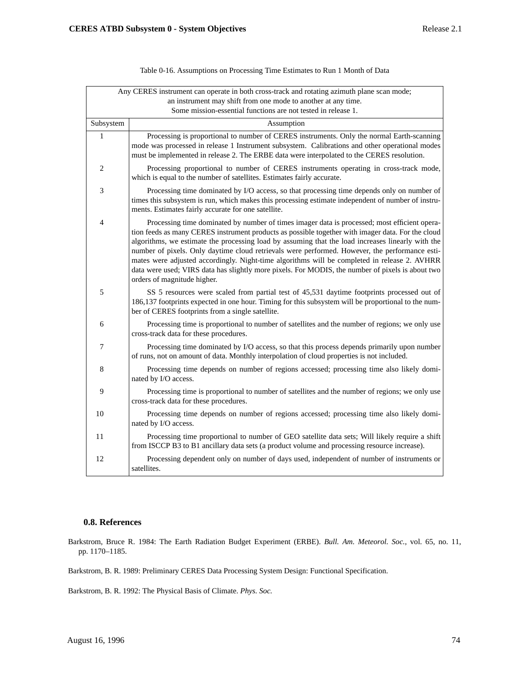|                | Any CERES instrument can operate in both cross-track and rotating azimuth plane scan mode;<br>an instrument may shift from one mode to another at any time.                                                                                                                                                                                                                                                                                                                                                                                                                                                                                 |
|----------------|---------------------------------------------------------------------------------------------------------------------------------------------------------------------------------------------------------------------------------------------------------------------------------------------------------------------------------------------------------------------------------------------------------------------------------------------------------------------------------------------------------------------------------------------------------------------------------------------------------------------------------------------|
|                | Some mission-essential functions are not tested in release 1.                                                                                                                                                                                                                                                                                                                                                                                                                                                                                                                                                                               |
| Subsystem      | Assumption                                                                                                                                                                                                                                                                                                                                                                                                                                                                                                                                                                                                                                  |
| 1              | Processing is proportional to number of CERES instruments. Only the normal Earth-scanning<br>mode was processed in release 1 Instrument subsystem. Calibrations and other operational modes<br>must be implemented in release 2. The ERBE data were interpolated to the CERES resolution.                                                                                                                                                                                                                                                                                                                                                   |
| $\overline{2}$ | Processing proportional to number of CERES instruments operating in cross-track mode,<br>which is equal to the number of satellites. Estimates fairly accurate.                                                                                                                                                                                                                                                                                                                                                                                                                                                                             |
| $\mathfrak{Z}$ | Processing time dominated by I/O access, so that processing time depends only on number of<br>times this subsystem is run, which makes this processing estimate independent of number of instru-<br>ments. Estimates fairly accurate for one satellite.                                                                                                                                                                                                                                                                                                                                                                                     |
| $\overline{4}$ | Processing time dominated by number of times imager data is processed; most efficient opera-<br>tion feeds as many CERES instrument products as possible together with imager data. For the cloud<br>algorithms, we estimate the processing load by assuming that the load increases linearly with the<br>number of pixels. Only daytime cloud retrievals were performed. However, the performance esti-<br>mates were adjusted accordingly. Night-time algorithms will be completed in release 2. AVHRR<br>data were used; VIRS data has slightly more pixels. For MODIS, the number of pixels is about two<br>orders of magnitude higher. |
| 5              | SS 5 resources were scaled from partial test of 45,531 daytime footprints processed out of<br>186,137 footprints expected in one hour. Timing for this subsystem will be proportional to the num-<br>ber of CERES footprints from a single satellite.                                                                                                                                                                                                                                                                                                                                                                                       |
| 6              | Processing time is proportional to number of satellites and the number of regions; we only use<br>cross-track data for these procedures.                                                                                                                                                                                                                                                                                                                                                                                                                                                                                                    |
| $\overline{7}$ | Processing time dominated by I/O access, so that this process depends primarily upon number<br>of runs, not on amount of data. Monthly interpolation of cloud properties is not included.                                                                                                                                                                                                                                                                                                                                                                                                                                                   |
| $\,8\,$        | Processing time depends on number of regions accessed; processing time also likely domi-<br>nated by I/O access.                                                                                                                                                                                                                                                                                                                                                                                                                                                                                                                            |
| 9              | Processing time is proportional to number of satellites and the number of regions; we only use<br>cross-track data for these procedures.                                                                                                                                                                                                                                                                                                                                                                                                                                                                                                    |
| 10             | Processing time depends on number of regions accessed; processing time also likely domi-<br>nated by I/O access.                                                                                                                                                                                                                                                                                                                                                                                                                                                                                                                            |
| 11             | Processing time proportional to number of GEO satellite data sets; Will likely require a shift<br>from ISCCP B3 to B1 ancillary data sets (a product volume and processing resource increase).                                                                                                                                                                                                                                                                                                                                                                                                                                              |
| 12             | Processing dependent only on number of days used, independent of number of instruments or<br>satellites.                                                                                                                                                                                                                                                                                                                                                                                                                                                                                                                                    |

#### Table 0-16. Assumptions on Processing Time Estimates to Run 1 Month of Data

#### **0.8. References**

Barkstrom, Bruce R. 1984: The Earth Radiation Budget Experiment (ERBE). *Bull. Am. Meteorol. Soc.*, vol. 65, no. 11, pp. 1170–1185.

Barkstrom, B. R. 1989: Preliminary CERES Data Processing System Design: Functional Specification.

Barkstrom, B. R. 1992: The Physical Basis of Climate. *Phys. Soc.*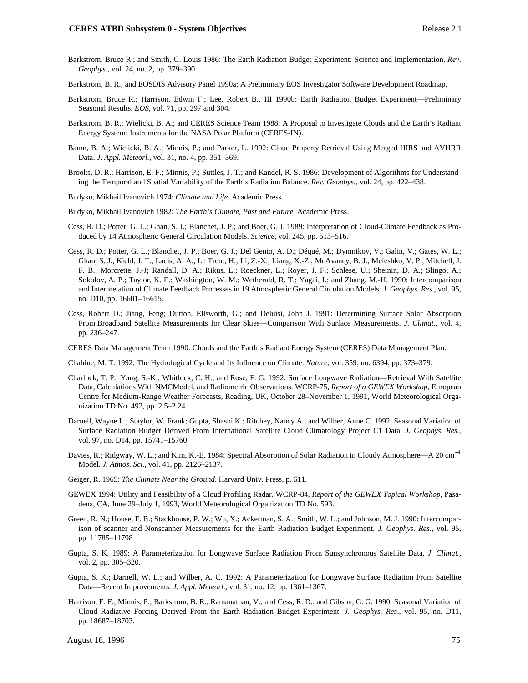- Barkstrom, Bruce R.; and Smith, G. Louis 1986: The Earth Radiation Budget Experiment: Science and Implementation. *Rev. Geophys*., vol. 24, no. 2, pp. 379–390.
- Barkstrom, B. R.; and EOSDIS Advisory Panel 1990a: A Preliminary EOS Investigator Software Development Roadmap.
- Barkstrom, Bruce R.; Harrison, Edwin F.; Lee, Robert B., III 1990b: Earth Radiation Budget Experiment—Preliminary Seasonal Results. *EOS*, vol. 71, pp. 297 and 304.
- Barkstrom, B. R.; Wielicki, B. A.; and CERES Science Team 1988: A Proposal to Investigate Clouds and the Earth's Radiant Energy System: Instruments for the NASA Polar Platform (CERES-IN).
- Baum, B. A.; Wielicki, B. A.; Minnis, P.; and Parker, L. 1992: Cloud Property Retrieval Using Merged HIRS and AVHRR Data. *J. Appl. Meteorl.*, vol. 31, no. 4, pp. 351–369.
- Brooks, D. R.; Harrison, E. F.; Minnis, P.; Suttles, J. T.; and Kandel, R. S. 1986: Development of Algorithms for Understanding the Temporal and Spatial Variability of the Earth's Radiation Balance. *Rev. Geophys.,* vol. 24, pp. 422–438.
- Budyko, Mikhail Ivanovich 1974: *Climate and Life*. Academic Press.
- Budyko, Mikhail Ivanovich 1982: *The Earth's Climate, Past and Future.* Academic Press.
- Cess, R. D.; Potter, G. L.; Ghan, S. J.; Blanchet, J. P.; and Boer, G. J. 1989: Interpretation of Cloud-Climate Feedback as Produced by 14 Atmospheric General Circulation Models. *Science*, vol. 245, pp. 513–516.
- Cess, R. D.; Potter, G. L.; Blanchet, J. P.; Boer, G. J.; Del Genio, A. D.; Déqué, M.; Dymnikov, V.; Galin, V.; Gates, W. L.; Ghan, S. J.; Kiehl, J. T.; Lacis, A. A.; Le Treut, H.; Li, Z.-X.; Liang, X.-Z.; McAvaney, B. J.; Meleshko, V. P.; Mitchell, J. F. B.; Morcrette, J.-J; Randall, D. A.; Rikus, L.; Roeckner, E.; Royer, J. F.; Schlese, U.; Sheinin, D. A.; Slingo, A.; Sokolov, A. P.; Taylor, K. E.; Washington, W. M.; Wetherald, R. T.; Yagai, I.; and Zhang, M.-H. 1990: Intercomparison and Interpretation of Climate Feedback Processes in 19 Atmospheric General Circulation Models. *J. Geophys. Res.*, vol. 95, no. D10, pp. 16601–16615.
- Cess, Robert D.; Jiang, Feng; Dutton, Ellsworth, G.; and Deluisi, John J. 1991: Determining Surface Solar Absorption From Broadband Satellite Measurements for Clear Skies—Comparison With Surface Measurements. *J. Climat.*, vol. 4, pp. 236–247.

CERES Data Management Team 1990: Clouds and the Earth's Radiant Energy System (CERES) Data Management Plan.

Chahine, M. T. 1992: The Hydrological Cycle and Its Influence on Climate. *Nature,* vol. 359, no. 6394, pp. 373–379.

- Charlock, T. P.; Yang, S.-K.; Whitlock, C. H.; and Rose, F. G. 1992: Surface Longwave Radiation—Retrieval With Satellite Data, Calculations With NMCModel, and Radiometric Observations. WCRP-75, *Report of a GEWEX Workshop*, European Centre for Medium-Range Weather Forecasts, Reading, UK, October 28–November 1, 1991, World Meteorological Organization TD No. 492, pp. 2.5–2.24.
- Darnell, Wayne L.; Staylor, W. Frank; Gupta, Shashi K.; Ritchey, Nancy A.; and Wilber, Anne C. 1992: Seasonal Variation of Surface Radiation Budget Derived From International Satellite Cloud Climatology Project C1 Data. *J. Geophys. Res.*, vol. 97, no. D14, pp. 15741–15760.
- Davies, R.; Ridgway, W. L.; and Kim, K.-E. 1984: Spectral Absorption of Solar Radiation in Cloudy Atmosphere—A 20 cm−<sup>1</sup> Model. *J. Atmos. Sci.,* vol. 41, pp. 2126–2137.
- Geiger, R. 1965: *The Climate Near the Ground*. Harvard Univ. Press, p. 611.
- GEWEX 1994: Utility and Feasibility of a Cloud Profiling Radar. WCRP-84, *Report of the GEWEX Topical Workshop*, Pasadena, CA, June 29–July 1, 1993, World Meteorological Organization TD No. 593.
- Green, R. N.; House, F. B.; Stackhouse, P. W.; Wu, X.; Ackerman, S. A.; Smith, W. L.; and Johnson, M. J. 1990: Intercomparison of scanner and Nonscanner Measurements for the Earth Radiation Budget Experiment. *J. Geophys. Res*., vol. 95, pp. 11785–11798.
- Gupta, S. K. 1989: A Parameterization for Longwave Surface Radiation From Sunsynchronous Satellite Data. *J. Climat.*, vol. 2, pp. 305–320.
- Gupta, S. K.; Darnell, W. L.; and Wilber, A. C. 1992: A Parameterization for Longwave Surface Radiation From Satellite Data—Recent Improvements. *J. Appl. Meteorl*., vol. 31, no. 12, pp. 1361–1367.
- Harrison, E. F.; Minnis, P.; Barkstrom, B. R.; Ramanathan, V.; and Cess, R. D.; and Gibson, G. G. 1990: Seasonal Variation of Cloud Radiative Forcing Derived From the Earth Radiation Budget Experiment. *J. Geophys. Res*., vol. 95, no. D11, pp. 18687–18703.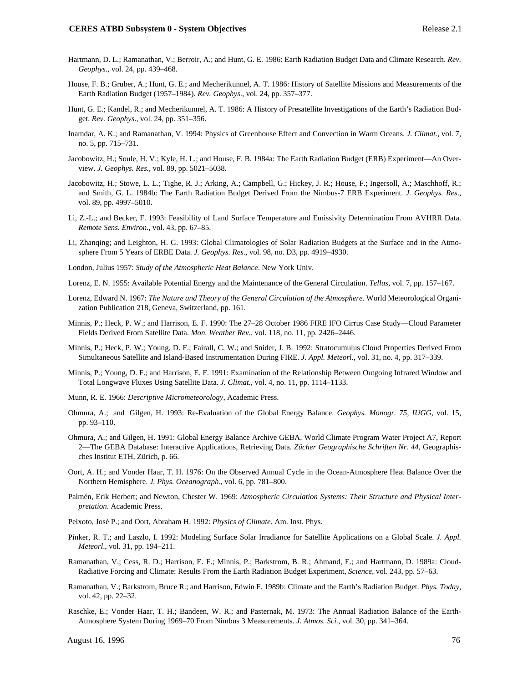- Hartmann, D. L.; Ramanathan, V.; Berroir, A.; and Hunt, G. E. 1986: Earth Radiation Budget Data and Climate Research. *Rev. Geophys*., vol. 24, pp. 439–468.
- House, F. B.; Gruber, A.; Hunt, G. E.; and Mecherikunnel, A. T. 1986: History of Satellite Missions and Measurements of the Earth Radiation Budget (1957–1984). *Rev. Geophys*., vol. 24, pp. 357–377.
- Hunt, G. E.; Kandel, R.; and Mecherikunnel, A. T. 1986: A History of Presatellite Investigations of the Earth's Radiation Budget. *Rev. Geophys*., vol. 24, pp. 351–356.
- Inamdar, A. K.; and Ramanathan, V. 1994: Physics of Greenhouse Effect and Convection in Warm Oceans. *J. Climat.*, vol. 7, no. 5, pp. 715–731.
- Jacobowitz, H.; Soule, H. V.; Kyle, H. L.; and House, F. B. 1984a: The Earth Radiation Budget (ERB) Experiment—An Overview. *J. Geophys. Res.,* vol. 89, pp. 5021–5038.
- Jacobowitz, H.; Stowe, L. L.; Tighe, R. J.; Arking, A.; Campbell, G.; Hickey, J. R.; House, F.; Ingersoll, A.; Maschhoff, R.; and Smith, G. L. 1984b: The Earth Radiation Budget Derived From the Nimbus-7 ERB Experiment. *J. Geophys. Res*., vol. 89, pp. 4997–5010.
- Li, Z.-L.; and Becker, F. 1993: Feasibility of Land Surface Temperature and Emissivity Determination From AVHRR Data. *Remote Sens. Environ.*, vol. 43, pp. 67–85.
- Li, Zhanqing; and Leighton, H. G. 1993: Global Climatologies of Solar Radiation Budgets at the Surface and in the Atmosphere From 5 Years of ERBE Data. *J. Geophys. Res*., vol. 98, no. D3, pp. 4919–4930.
- London, Julius 1957: *Study of the Atmospheric Heat Balance*. New York Univ.
- Lorenz, E. N. 1955: Available Potential Energy and the Maintenance of the General Circulation. *Tellus*, vol. 7, pp. 157–167.
- Lorenz, Edward N. 1967: *The Nature and Theory of the General Circulation of the Atmosphere*. World Meteorological Organization Publication 218, Geneva, Switzerland, pp. 161.
- Minnis, P.; Heck, P. W.; and Harrison, E. F. 1990: The 27–28 October 1986 FIRE IFO Cirrus Case Study—Cloud Parameter Fields Derived From Satellite Data. *Mon. Weather Rev.,* vol. 118, no. 11, pp. 2426–2446.
- Minnis, P.; Heck, P. W.; Young, D. F.; Fairall, C. W.; and Snider, J. B. 1992: Stratocumulus Cloud Properties Derived From Simultaneous Satellite and Island-Based Instrumentation During FIRE. *J. Appl. Meteorl*., vol. 31, no. 4, pp. 317–339.
- Minnis, P.; Young, D. F.; and Harrison, E. F. 1991: Examination of the Relationship Between Outgoing Infrared Window and Total Longwave Fluxes Using Satellite Data. *J. Climat.,* vol. 4, no. 11, pp. 1114–1133.
- Munn, R. E. 1966: *Descriptive Micrometeorology*, Academic Press.
- Ohmura, A.; and Gilgen, H. 1993: Re-Evaluation of the Global Energy Balance. *Geophys. Monogr. 75, IUGG*, vol. 15, pp. 93–110.
- Ohmura, A.; and Gilgen, H. 1991: Global Energy Balance Archive GEBA. World Climate Program Water Project A7, Report 2—The GEBA Database: Interactive Applications, Retrieving Data. *Zücher Geographische Schriften Nr. 44*, Geographisches Institut ETH, Zürich, p. 66.
- Oort, A. H.; and Vonder Haar, T. H. 1976: On the Observed Annual Cycle in the Ocean-Atmosphere Heat Balance Over the Northern Hemisphere. *J. Phys. Oceanograph*., vol. 6, pp. 781–800.
- Palmén, Erik Herbert; and Newton, Chester W. 1969: *Atmospheric Circulation Systems: Their Structure and Physical Interpretation*. Academic Press.
- Peixoto, José P.; and Oort, Abraham H. 1992: *Physics of Climate*. Am. Inst. Phys.
- Pinker, R. T.; and Laszlo, I. 1992: Modeling Surface Solar Irradiance for Satellite Applications on a Global Scale. *J. Appl. Meteorl*., vol. 31, pp. 194–211.
- Ramanathan, V.; Cess, R. D.; Harrison, E. F.; Minnis, P.; Barkstrom, B. R.; Ahmand, E.; and Hartmann, D. 1989a: Cloud-Radiative Forcing and Climate: Results From the Earth Radiation Budget Experiment, *Science*, vol. 243, pp. 57–63.
- Ramanathan, V.; Barkstrom, Bruce R.; and Harrison, Edwin F. 1989b: Climate and the Earth's Radiation Budget. *Phys. Today*, vol. 42, pp. 22–32.
- Raschke, E.; Vonder Haar, T. H.; Bandeen, W. R.; and Pasternak, M. 1973: The Annual Radiation Balance of the Earth-Atmosphere System During 1969–70 From Nimbus 3 Measurements. *J. Atmos. Sci.*, vol. 30, pp. 341–364.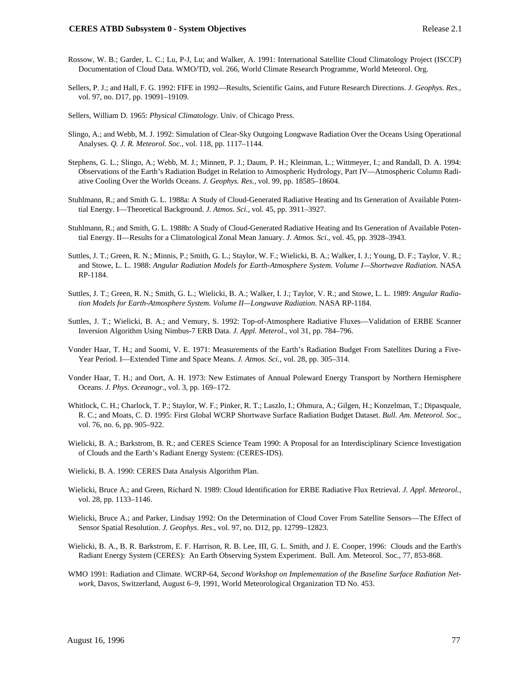- Rossow, W. B.; Garder, L. C.; Lu, P-J, Lu; and Walker, A. 1991: International Satellite Cloud Climatology Project (ISCCP) Documentation of Cloud Data. WMO/TD, vol. 266, World Climate Research Programme, World Meteorol. Org.
- Sellers, P. J.; and Hall, F. G. 1992: FIFE in 1992—Results, Scientific Gains, and Future Research Directions. *J. Geophys. Res.*, vol. 97, no. D17, pp. 19091–19109.
- Sellers, William D. 1965: *Physical Climatology*. Univ. of Chicago Press.
- Slingo, A.; and Webb, M. J. 1992: Simulation of Clear-Sky Outgoing Longwave Radiation Over the Oceans Using Operational Analyses. *Q. J. R. Meteorol. Soc.*, vol. 118, pp. 1117–1144.
- Stephens, G. L.; Slingo, A.; Webb, M. J.; Minnett, P. J.; Daum, P. H.; Kleinman, L.; Wittmeyer, I.; and Randall, D. A. 1994: Observations of the Earth's Radiation Budget in Relation to Atmospheric Hydrology, Part IV—Atmospheric Column Radiative Cooling Over the Worlds Oceans. *J. Geophys. Res.*, vol. 99, pp. 18585–18604.
- Stuhlmann, R.; and Smith G. L. 1988a: A Study of Cloud-Generated Radiative Heating and Its Generation of Available Potential Energy. I—Theoretical Background. *J. Atmos. Sci.*, vol. 45, pp. 3911–3927.
- Stuhlmann, R.; and Smith, G. L. 1988b: A Study of Cloud-Generated Radiative Heating and Its Generation of Available Potential Energy. II—Results for a Climatological Zonal Mean January. *J. Atmos. Sci*., vol. 45, pp. 3928–3943.
- Suttles, J. T.; Green, R. N.; Minnis, P.; Smith, G. L.; Staylor, W. F.; Wielicki, B. A.; Walker, I. J.; Young, D. F.; Taylor, V. R.; and Stowe, L. L. 1988: *Angular Radiation Models for Earth-Atmosphere System. Volume I—Shortwave Radiation.* NASA RP-1184.
- Suttles, J. T.; Green, R. N.; Smith, G. L.; Wielicki, B. A.; Walker, I. J.; Taylor, V. R.; and Stowe, L. L. 1989: *Angular Radiation Models for Earth-Atmosphere System. Volume II—Longwave Radiation.* NASA RP-1184.
- Suttles, J. T.; Wielicki, B. A.; and Vemury, S. 1992: Top-of-Atmosphere Radiative Fluxes—Validation of ERBE Scanner Inversion Algorithm Using Nimbus-7 ERB Data. *J. Appl. Meterol.*, vol 31, pp. 784–796.
- Vonder Haar, T. H.; and Suomi, V. E. 1971: Measurements of the Earth's Radiation Budget From Satellites During a Five-Year Period. I—Extended Time and Space Means. *J. Atmos. Sci.*, vol. 28, pp. 305–314.
- Vonder Haar, T. H.; and Oort, A. H. 1973: New Estimates of Annual Poleward Energy Transport by Northern Hemisphere Oceans. *J. Phys. Oceanogr*., vol. 3, pp. 169–172.
- Whitlock, C. H.; Charlock, T. P.; Staylor, W. F.; Pinker, R. T.; Laszlo, I.; Ohmura, A.; Gilgen, H.; Konzelman, T.; Dipasquale, R. C.; and Moats, C. D. 1995: First Global WCRP Shortwave Surface Radiation Budget Dataset. *Bull. Am. Meteorol. Soc*., vol. 76, no. 6, pp. 905–922.
- Wielicki, B. A.; Barkstrom, B. R.; and CERES Science Team 1990: A Proposal for an Interdisciplinary Science Investigation of Clouds and the Earth's Radiant Energy System: (CERES-IDS).
- Wielicki, B. A. 1990: CERES Data Analysis Algorithm Plan.
- Wielicki, Bruce A.; and Green, Richard N. 1989: Cloud Identification for ERBE Radiative Flux Retrieval. *J. Appl. Meteorol.*, vol. 28, pp. 1133–1146.
- Wielicki, Bruce A.; and Parker, Lindsay 1992: On the Determination of Cloud Cover From Satellite Sensors—The Effect of Sensor Spatial Resolution. *J. Geophys. Res*., vol. 97, no. D12, pp. 12799–12823.
- Wielicki, B. A., B. R. Barkstrom, E. F. Harrison, R. B. Lee, III, G. L. Smith, and J. E. Cooper, 1996: Clouds and the Earth's Radiant Energy System (CERES): An Earth Observing System Experiment. Bull. Am. Meteorol. Soc., 77, 853-868.
- WMO 1991: Radiation and Climate. WCRP-64, *Second Workshop on Implementation of the Baseline Surface Radiation Network,* Davos, Switzerland, August 6–9, 1991, World Meteorological Organization TD No. 453.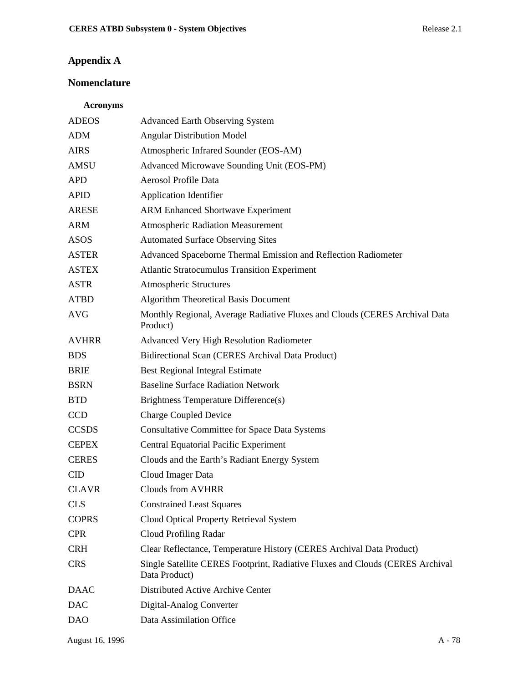# **Appendix A**

### **Nomenclature**

### **Acronyms**

| <b>ADEOS</b> | <b>Advanced Earth Observing System</b>                                                         |
|--------------|------------------------------------------------------------------------------------------------|
| <b>ADM</b>   | <b>Angular Distribution Model</b>                                                              |
| <b>AIRS</b>  | Atmospheric Infrared Sounder (EOS-AM)                                                          |
| <b>AMSU</b>  | Advanced Microwave Sounding Unit (EOS-PM)                                                      |
| <b>APD</b>   | Aerosol Profile Data                                                                           |
| <b>APID</b>  | <b>Application Identifier</b>                                                                  |
| <b>ARESE</b> | <b>ARM Enhanced Shortwave Experiment</b>                                                       |
| <b>ARM</b>   | <b>Atmospheric Radiation Measurement</b>                                                       |
| <b>ASOS</b>  | <b>Automated Surface Observing Sites</b>                                                       |
| <b>ASTER</b> | Advanced Spaceborne Thermal Emission and Reflection Radiometer                                 |
| <b>ASTEX</b> | <b>Atlantic Stratocumulus Transition Experiment</b>                                            |
| <b>ASTR</b>  | <b>Atmospheric Structures</b>                                                                  |
| <b>ATBD</b>  | <b>Algorithm Theoretical Basis Document</b>                                                    |
| <b>AVG</b>   | Monthly Regional, Average Radiative Fluxes and Clouds (CERES Archival Data<br>Product)         |
| <b>AVHRR</b> | <b>Advanced Very High Resolution Radiometer</b>                                                |
| <b>BDS</b>   | Bidirectional Scan (CERES Archival Data Product)                                               |
| <b>BRIE</b>  | <b>Best Regional Integral Estimate</b>                                                         |
| <b>BSRN</b>  | <b>Baseline Surface Radiation Network</b>                                                      |
| <b>BTD</b>   | Brightness Temperature Difference(s)                                                           |
| CCD          | <b>Charge Coupled Device</b>                                                                   |
| <b>CCSDS</b> | <b>Consultative Committee for Space Data Systems</b>                                           |
| <b>CEPEX</b> | <b>Central Equatorial Pacific Experiment</b>                                                   |
| <b>CERES</b> | Clouds and the Earth's Radiant Energy System                                                   |
| <b>CID</b>   | Cloud Imager Data                                                                              |
| <b>CLAVR</b> | <b>Clouds from AVHRR</b>                                                                       |
| <b>CLS</b>   | <b>Constrained Least Squares</b>                                                               |
| <b>COPRS</b> | Cloud Optical Property Retrieval System                                                        |
| <b>CPR</b>   | Cloud Profiling Radar                                                                          |
| <b>CRH</b>   | Clear Reflectance, Temperature History (CERES Archival Data Product)                           |
| <b>CRS</b>   | Single Satellite CERES Footprint, Radiative Fluxes and Clouds (CERES Archival<br>Data Product) |
| <b>DAAC</b>  | Distributed Active Archive Center                                                              |
| <b>DAC</b>   | Digital-Analog Converter                                                                       |
| <b>DAO</b>   | Data Assimilation Office                                                                       |
|              |                                                                                                |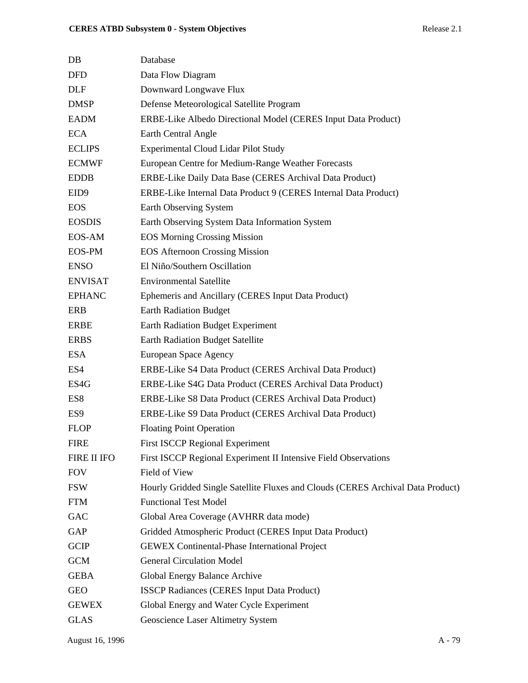| $DB$               | Database                                                                        |
|--------------------|---------------------------------------------------------------------------------|
| <b>DFD</b>         | Data Flow Diagram                                                               |
| <b>DLF</b>         | Downward Longwave Flux                                                          |
| <b>DMSP</b>        | Defense Meteorological Satellite Program                                        |
| <b>EADM</b>        | ERBE-Like Albedo Directional Model (CERES Input Data Product)                   |
| <b>ECA</b>         | Earth Central Angle                                                             |
| <b>ECLIPS</b>      | <b>Experimental Cloud Lidar Pilot Study</b>                                     |
| <b>ECMWF</b>       | European Centre for Medium-Range Weather Forecasts                              |
| <b>EDDB</b>        | ERBE-Like Daily Data Base (CERES Archival Data Product)                         |
| EID <sub>9</sub>   | ERBE-Like Internal Data Product 9 (CERES Internal Data Product)                 |
| <b>EOS</b>         | Earth Observing System                                                          |
| <b>EOSDIS</b>      | Earth Observing System Data Information System                                  |
| EOS-AM             | <b>EOS Morning Crossing Mission</b>                                             |
| <b>EOS-PM</b>      | <b>EOS Afternoon Crossing Mission</b>                                           |
| <b>ENSO</b>        | El Niño/Southern Oscillation                                                    |
| <b>ENVISAT</b>     | <b>Environmental Satellite</b>                                                  |
| <b>EPHANC</b>      | Ephemeris and Ancillary (CERES Input Data Product)                              |
| <b>ERB</b>         | <b>Earth Radiation Budget</b>                                                   |
| <b>ERBE</b>        | Earth Radiation Budget Experiment                                               |
| <b>ERBS</b>        | <b>Earth Radiation Budget Satellite</b>                                         |
| <b>ESA</b>         | European Space Agency                                                           |
| ES4                | ERBE-Like S4 Data Product (CERES Archival Data Product)                         |
| ES4G               | ERBE-Like S4G Data Product (CERES Archival Data Product)                        |
| ES <sub>8</sub>    | ERBE-Like S8 Data Product (CERES Archival Data Product)                         |
| ES <sub>9</sub>    | ERBE-Like S9 Data Product (CERES Archival Data Product)                         |
| <b>FLOP</b>        | <b>Floating Point Operation</b>                                                 |
| <b>FIRE</b>        | <b>First ISCCP Regional Experiment</b>                                          |
| <b>FIRE II IFO</b> | First ISCCP Regional Experiment II Intensive Field Observations                 |
| <b>FOV</b>         | Field of View                                                                   |
| <b>FSW</b>         | Hourly Gridded Single Satellite Fluxes and Clouds (CERES Archival Data Product) |
| <b>FTM</b>         | <b>Functional Test Model</b>                                                    |
| GAC                | Global Area Coverage (AVHRR data mode)                                          |
| GAP                | Gridded Atmospheric Product (CERES Input Data Product)                          |
| <b>GCIP</b>        | <b>GEWEX Continental-Phase International Project</b>                            |
| <b>GCM</b>         | <b>General Circulation Model</b>                                                |
| <b>GEBA</b>        | Global Energy Balance Archive                                                   |
| <b>GEO</b>         | <b>ISSCP Radiances (CERES Input Data Product)</b>                               |
| <b>GEWEX</b>       | Global Energy and Water Cycle Experiment                                        |
| <b>GLAS</b>        | Geoscience Laser Altimetry System                                               |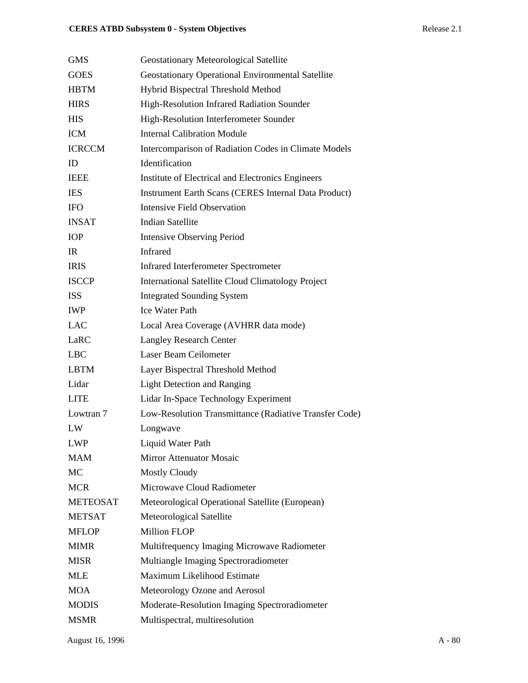| <b>GMS</b>      | <b>Geostationary Meteorological Satellite</b>               |
|-----------------|-------------------------------------------------------------|
| <b>GOES</b>     | <b>Geostationary Operational Environmental Satellite</b>    |
| <b>HBTM</b>     | Hybrid Bispectral Threshold Method                          |
| <b>HIRS</b>     | High-Resolution Infrared Radiation Sounder                  |
| <b>HIS</b>      | High-Resolution Interferometer Sounder                      |
| <b>ICM</b>      | <b>Internal Calibration Module</b>                          |
| <b>ICRCCM</b>   | Intercomparison of Radiation Codes in Climate Models        |
| ID              | Identification                                              |
| <b>IEEE</b>     | Institute of Electrical and Electronics Engineers           |
| <b>IES</b>      | <b>Instrument Earth Scans (CERES Internal Data Product)</b> |
| <b>IFO</b>      | <b>Intensive Field Observation</b>                          |
| <b>INSAT</b>    | <b>Indian Satellite</b>                                     |
| <b>IOP</b>      | <b>Intensive Observing Period</b>                           |
| IR              | <b>Infrared</b>                                             |
| <b>IRIS</b>     | <b>Infrared Interferometer Spectrometer</b>                 |
| <b>ISCCP</b>    | <b>International Satellite Cloud Climatology Project</b>    |
| <b>ISS</b>      | <b>Integrated Sounding System</b>                           |
| <b>IWP</b>      | <b>Ice Water Path</b>                                       |
| LAC             | Local Area Coverage (AVHRR data mode)                       |
| LaRC            | <b>Langley Research Center</b>                              |
| <b>LBC</b>      | Laser Beam Ceilometer                                       |
| <b>LBTM</b>     | Layer Bispectral Threshold Method                           |
| Lidar           | <b>Light Detection and Ranging</b>                          |
| <b>LITE</b>     | Lidar In-Space Technology Experiment                        |
| Lowtran 7       | Low-Resolution Transmittance (Radiative Transfer Code)      |
| LW              | Longwave                                                    |
| <b>LWP</b>      | Liquid Water Path                                           |
| MAM             | <b>Mirror Attenuator Mosaic</b>                             |
| MC              | <b>Mostly Cloudy</b>                                        |
| <b>MCR</b>      | Microwave Cloud Radiometer                                  |
| <b>METEOSAT</b> | Meteorological Operational Satellite (European)             |
| <b>METSAT</b>   | Meteorological Satellite                                    |
| <b>MFLOP</b>    | <b>Million FLOP</b>                                         |
| <b>MIMR</b>     | Multifrequency Imaging Microwave Radiometer                 |
| <b>MISR</b>     | Multiangle Imaging Spectroradiometer                        |
| <b>MLE</b>      | Maximum Likelihood Estimate                                 |
| <b>MOA</b>      | Meteorology Ozone and Aerosol                               |
| <b>MODIS</b>    | Moderate-Resolution Imaging Spectroradiometer               |
| <b>MSMR</b>     | Multispectral, multiresolution                              |
|                 |                                                             |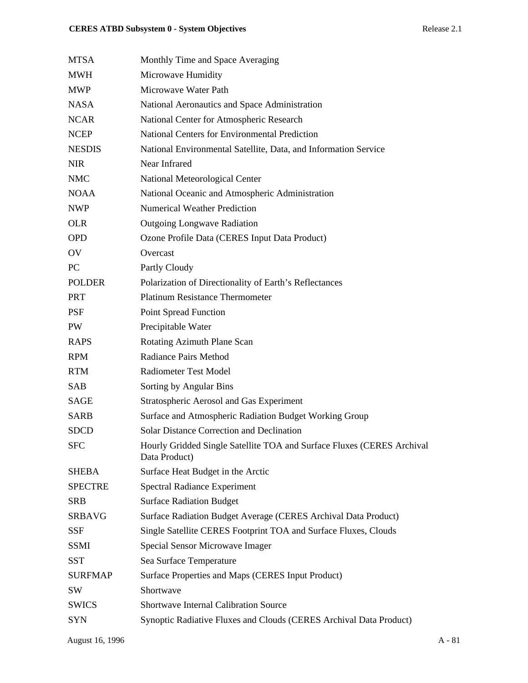| <b>MTSA</b>    | Monthly Time and Space Averaging                                                        |
|----------------|-----------------------------------------------------------------------------------------|
| <b>MWH</b>     | Microwave Humidity                                                                      |
| <b>MWP</b>     | Microwaye Water Path                                                                    |
| <b>NASA</b>    | National Aeronautics and Space Administration                                           |
| <b>NCAR</b>    | National Center for Atmospheric Research                                                |
| <b>NCEP</b>    | <b>National Centers for Environmental Prediction</b>                                    |
| <b>NESDIS</b>  | National Environmental Satellite, Data, and Information Service                         |
| <b>NIR</b>     | Near Infrared                                                                           |
| <b>NMC</b>     | National Meteorological Center                                                          |
| <b>NOAA</b>    | National Oceanic and Atmospheric Administration                                         |
| <b>NWP</b>     | <b>Numerical Weather Prediction</b>                                                     |
| <b>OLR</b>     | <b>Outgoing Longwave Radiation</b>                                                      |
| <b>OPD</b>     | Ozone Profile Data (CERES Input Data Product)                                           |
| OV             | Overcast                                                                                |
| PC             | Partly Cloudy                                                                           |
| <b>POLDER</b>  | Polarization of Directionality of Earth's Reflectances                                  |
| <b>PRT</b>     | <b>Platinum Resistance Thermometer</b>                                                  |
| <b>PSF</b>     | <b>Point Spread Function</b>                                                            |
| PW             | Precipitable Water                                                                      |
| <b>RAPS</b>    | Rotating Azimuth Plane Scan                                                             |
| <b>RPM</b>     | <b>Radiance Pairs Method</b>                                                            |
| <b>RTM</b>     | <b>Radiometer Test Model</b>                                                            |
| SAB            | Sorting by Angular Bins                                                                 |
| <b>SAGE</b>    | Stratospheric Aerosol and Gas Experiment                                                |
| <b>SARB</b>    | Surface and Atmospheric Radiation Budget Working Group                                  |
| <b>SDCD</b>    | <b>Solar Distance Correction and Declination</b>                                        |
| <b>SFC</b>     | Hourly Gridded Single Satellite TOA and Surface Fluxes (CERES Archival<br>Data Product) |
| <b>SHEBA</b>   | Surface Heat Budget in the Arctic                                                       |
| <b>SPECTRE</b> | <b>Spectral Radiance Experiment</b>                                                     |
| <b>SRB</b>     | <b>Surface Radiation Budget</b>                                                         |
| <b>SRBAVG</b>  | Surface Radiation Budget Average (CERES Archival Data Product)                          |
| <b>SSF</b>     | Single Satellite CERES Footprint TOA and Surface Fluxes, Clouds                         |
| <b>SSMI</b>    | Special Sensor Microwave Imager                                                         |
| <b>SST</b>     | Sea Surface Temperature                                                                 |
| <b>SURFMAP</b> | Surface Properties and Maps (CERES Input Product)                                       |
| SW             | Shortwave                                                                               |
| <b>SWICS</b>   | <b>Shortwave Internal Calibration Source</b>                                            |
| <b>SYN</b>     | Synoptic Radiative Fluxes and Clouds (CERES Archival Data Product)                      |
|                |                                                                                         |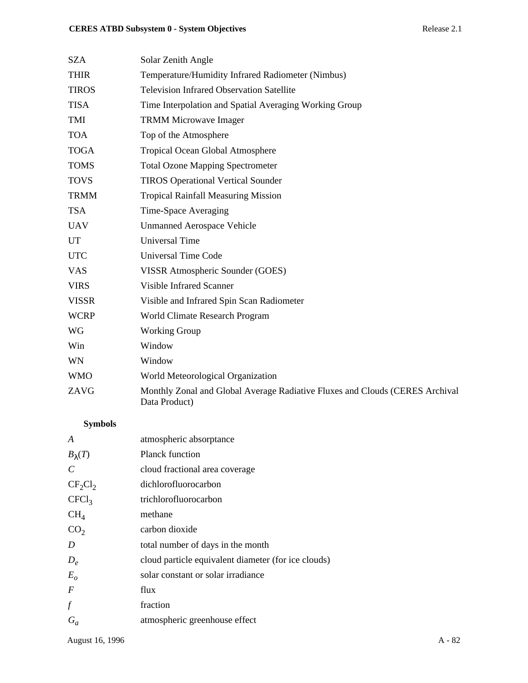| <b>SZA</b>   | Solar Zenith Angle                                                                            |
|--------------|-----------------------------------------------------------------------------------------------|
| <b>THIR</b>  | Temperature/Humidity Infrared Radiometer (Nimbus)                                             |
| <b>TIROS</b> | <b>Television Infrared Observation Satellite</b>                                              |
| <b>TISA</b>  | Time Interpolation and Spatial Averaging Working Group                                        |
| TMI          | <b>TRMM Microwave Imager</b>                                                                  |
| <b>TOA</b>   | Top of the Atmosphere                                                                         |
| <b>TOGA</b>  | <b>Tropical Ocean Global Atmosphere</b>                                                       |
| <b>TOMS</b>  | <b>Total Ozone Mapping Spectrometer</b>                                                       |
| <b>TOVS</b>  | <b>TIROS Operational Vertical Sounder</b>                                                     |
| <b>TRMM</b>  | <b>Tropical Rainfall Measuring Mission</b>                                                    |
| <b>TSA</b>   | Time-Space Averaging                                                                          |
| <b>UAV</b>   | <b>Unmanned Aerospace Vehicle</b>                                                             |
| <b>UT</b>    | <b>Universal Time</b>                                                                         |
| <b>UTC</b>   | <b>Universal Time Code</b>                                                                    |
| <b>VAS</b>   | VISSR Atmospheric Sounder (GOES)                                                              |
| <b>VIRS</b>  | <b>Visible Infrared Scanner</b>                                                               |
| <b>VISSR</b> | Visible and Infrared Spin Scan Radiometer                                                     |
| <b>WCRP</b>  | World Climate Research Program                                                                |
| <b>WG</b>    | <b>Working Group</b>                                                                          |
| Win          | Window                                                                                        |
| WN           | Window                                                                                        |
| <b>WMO</b>   | World Meteorological Organization                                                             |
| ZAVG         | Monthly Zonal and Global Average Radiative Fluxes and Clouds (CERES Archival<br>Data Product) |
|              |                                                                                               |

# **Symbols**

| A                 | atmospheric absorptance                             |
|-------------------|-----------------------------------------------------|
| $B_{\lambda}(T)$  | Planck function                                     |
| $\mathcal{C}$     | cloud fractional area coverage                      |
| $CF_2Cl_2$        | dichlorofluorocarbon                                |
| CFCl <sub>3</sub> | trichlorofluorocarbon                               |
| $CH_4$            | methane                                             |
| CO <sub>2</sub>   | carbon dioxide                                      |
| D                 | total number of days in the month                   |
| $D_e$             | cloud particle equivalent diameter (for ice clouds) |
| $E_{o}$           | solar constant or solar irradiance                  |
| $\boldsymbol{F}$  | flux                                                |
| $\boldsymbol{f}$  | fraction                                            |
| $G_a$             | atmospheric greenhouse effect                       |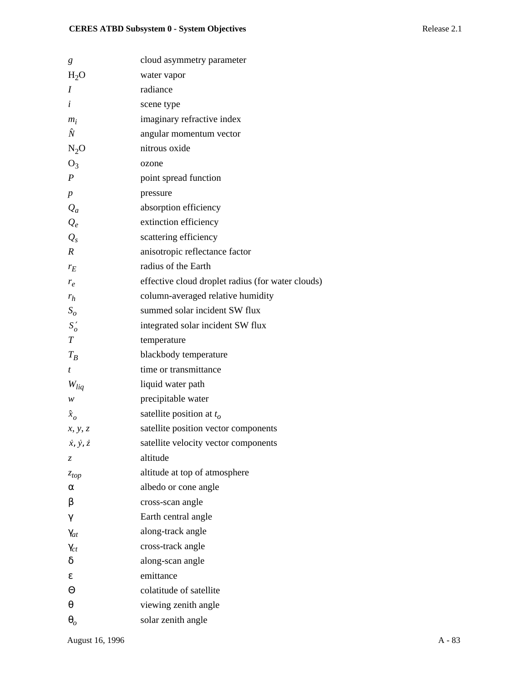| g                           | cloud asymmetry parameter                         |
|-----------------------------|---------------------------------------------------|
| $H_2O$                      | water vapor                                       |
| Ι                           | radiance                                          |
| $\dot{i}$                   | scene type                                        |
| $m_i$                       | imaginary refractive index                        |
| Ñ                           | angular momentum vector                           |
| $N_2O$                      | nitrous oxide                                     |
| $O_3$                       | ozone                                             |
| $\boldsymbol{P}$            | point spread function                             |
| $\boldsymbol{p}$            | pressure                                          |
| $Q_a$                       | absorption efficiency                             |
| $Q_e$                       | extinction efficiency                             |
| $Q_{s}$                     | scattering efficiency                             |
| $\boldsymbol{R}$            | anisotropic reflectance factor                    |
| $r_E$                       | radius of the Earth                               |
| $r_e$                       | effective cloud droplet radius (for water clouds) |
| $r_h$                       | column-averaged relative humidity                 |
| $S_{\rm o}$                 | summed solar incident SW flux                     |
| $S'_{o}$                    | integrated solar incident SW flux                 |
| T                           | temperature                                       |
| $T_B$                       | blackbody temperature                             |
| t                           | time or transmittance                             |
| $W_{liq}$                   | liquid water path                                 |
| w                           | precipitable water                                |
| $\hat{x}_o$                 | satellite position at $t_o$                       |
| x, y, z                     | satellite position vector components              |
| $\dot{x}, \dot{y}, \dot{z}$ | satellite velocity vector components              |
| Z.                          | altitude                                          |
| $z_{top}$                   | altitude at top of atmosphere                     |
| α                           | albedo or cone angle                              |
| β                           | cross-scan angle                                  |
| γ                           | Earth central angle                               |
| $\gamma_{at}$               | along-track angle                                 |
| $\gamma_{ct}$               | cross-track angle                                 |
| δ                           | along-scan angle                                  |
| ε                           | emittance                                         |
| Θ                           | colatitude of satellite                           |
| θ                           | viewing zenith angle                              |
| $\boldsymbol{\theta}_{o}$   | solar zenith angle                                |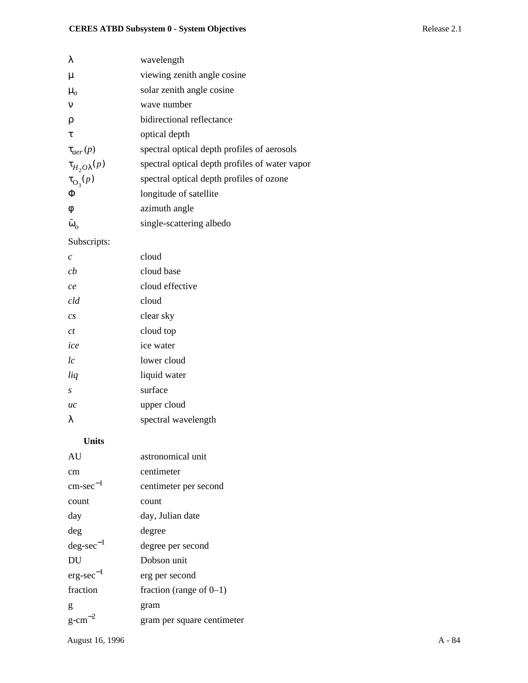| wavelength                                     |
|------------------------------------------------|
| viewing zenith angle cosine                    |
| solar zenith angle cosine                      |
| wave number                                    |
| bidirectional reflectance                      |
| optical depth                                  |
| spectral optical depth profiles of aerosols    |
| spectral optical depth profiles of water vapor |
| spectral optical depth profiles of ozone       |
| longitude of satellite                         |
| azimuth angle                                  |
| single-scattering albedo                       |
|                                                |

### Subscripts:

| C                | cloud               |
|------------------|---------------------|
| ch               | cloud base          |
| ce               | cloud effective     |
| cld              | cloud               |
| $\overline{c}$ s | clear sky           |
| ct               | cloud top           |
| ice              | ice water           |
| lc               | lower cloud         |
| liq              | liquid water        |
| S                | surface             |
| uc               | upper cloud         |
| λ                | spectral wavelength |
|                  |                     |

### **Units**

| AU                    | astronomical unit          |
|-----------------------|----------------------------|
| cm                    | centimeter                 |
| $\text{cm-sec}^{-1}$  | centimeter per second      |
| count                 | count                      |
| day                   | day, Julian date           |
| deg                   | degree                     |
| $deg\text{-}sec^{-1}$ | degree per second          |
| DU                    | Dobson unit                |
| $erg\text{-}sec^{-1}$ | erg per second             |
| fraction              | fraction (range of $0-1$ ) |
| g                     | gram                       |
| $g$ -cm <sup>-2</sup> | gram per square centimeter |
|                       |                            |